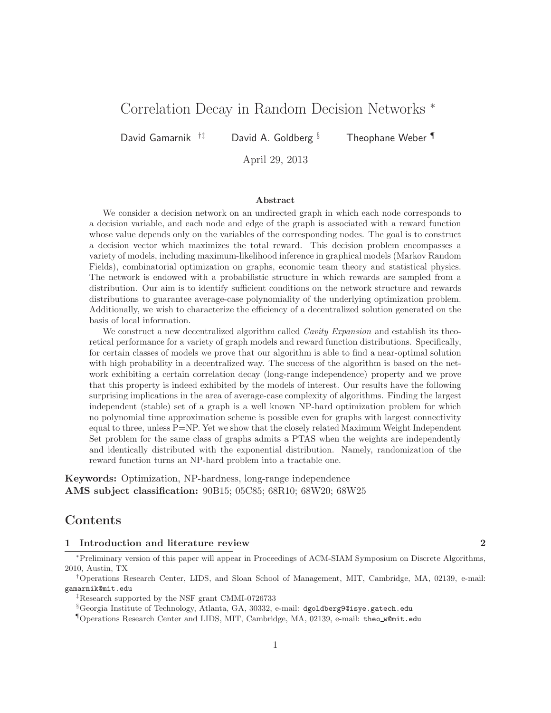# Correlation Decay in Random Decision Networks <sup>∗</sup>

David Gamarnik <sup>†‡</sup> David A. Goldberg <sup>§</sup> Theophane Weber

April 29, 2013

### Abstract

We consider a decision network on an undirected graph in which each node corresponds to a decision variable, and each node and edge of the graph is associated with a reward function whose value depends only on the variables of the corresponding nodes. The goal is to construct a decision vector which maximizes the total reward. This decision problem encompasses a variety of models, including maximum-likelihood inference in graphical models (Markov Random Fields), combinatorial optimization on graphs, economic team theory and statistical physics. The network is endowed with a probabilistic structure in which rewards are sampled from a distribution. Our aim is to identify sufficient conditions on the network structure and rewards distributions to guarantee average-case polynomiality of the underlying optimization problem. Additionally, we wish to characterize the efficiency of a decentralized solution generated on the basis of local information.

We construct a new decentralized algorithm called *Cavity Expansion* and establish its theoretical performance for a variety of graph models and reward function distributions. Specifically, for certain classes of models we prove that our algorithm is able to find a near-optimal solution with high probability in a decentralized way. The success of the algorithm is based on the network exhibiting a certain correlation decay (long-range independence) property and we prove that this property is indeed exhibited by the models of interest. Our results have the following surprising implications in the area of average-case complexity of algorithms. Finding the largest independent (stable) set of a graph is a well known NP-hard optimization problem for which no polynomial time approximation scheme is possible even for graphs with largest connectivity equal to three, unless P=NP. Yet we show that the closely related Maximum Weight Independent Set problem for the same class of graphs admits a PTAS when the weights are independently and identically distributed with the exponential distribution. Namely, randomization of the reward function turns an NP-hard problem into a tractable one.

Keywords: Optimization, NP-hardness, long-range independence AMS subject classification: 90B15; 05C85; 68R10; 68W20; 68W25

### Contents

#### 1 Introduction and literature review 2

<sup>∗</sup>Preliminary version of this paper will appear in Proceedings of ACM-SIAM Symposium on Discrete Algorithms, 2010, Austin, TX

<sup>†</sup>Operations Research Center, LIDS, and Sloan School of Management, MIT, Cambridge, MA, 02139, e-mail: gamarnik@mit.edu

<sup>‡</sup>Research supported by the NSF grant CMMI-0726733

<sup>§</sup>Georgia Institute of Technology, Atlanta, GA, 30332, e-mail: dgoldberg9@isye.gatech.edu

<sup>¶</sup>Operations Research Center and LIDS, MIT, Cambridge, MA, 02139, e-mail: theo w@mit.edu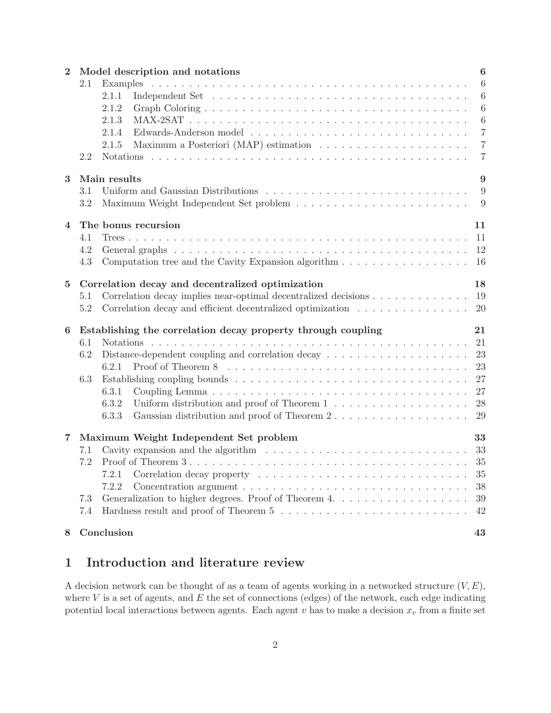| $\overline{2}$ |     | Model description and notations                                                                           | $\boldsymbol{6}$ |
|----------------|-----|-----------------------------------------------------------------------------------------------------------|------------------|
|                | 2.1 |                                                                                                           | $\boldsymbol{6}$ |
|                |     | 2.1.1                                                                                                     | 6                |
|                |     | 2.1.2                                                                                                     | $\boldsymbol{6}$ |
|                |     | 2.1.3                                                                                                     | $\boldsymbol{6}$ |
|                |     | 2.1.4                                                                                                     | $\overline{7}$   |
|                |     | 2.1.5                                                                                                     | $\overline{7}$   |
|                | 2.2 |                                                                                                           | $\overline{7}$   |
| 3              |     | Main results                                                                                              | 9                |
|                | 3.1 |                                                                                                           | 9                |
|                | 3.2 |                                                                                                           | 9                |
| $\overline{4}$ |     | The bonus recursion                                                                                       | 11               |
|                | 4.1 |                                                                                                           | 11               |
|                | 4.2 |                                                                                                           | 12               |
|                | 4.3 | Computation tree and the Cavity Expansion algorithm $\dots \dots \dots \dots \dots \dots$                 | <b>16</b>        |
| $\bf{5}$       |     | Correlation decay and decentralized optimization                                                          | 18               |
|                | 5.1 | Correlation decay implies near-optimal decentralized decisions                                            | 19               |
|                | 5.2 | Correlation decay and efficient decentralized optimization                                                | 20               |
| 6              |     | Establishing the correlation decay property through coupling                                              | 21               |
|                | 6.1 |                                                                                                           | 21               |
|                | 6.2 | Distance-dependent coupling and correlation decay $\dots \dots \dots \dots \dots \dots \dots$             | 23               |
|                |     | 6.2.1                                                                                                     | 23               |
|                | 6.3 |                                                                                                           | 27               |
|                |     | 6.3.1                                                                                                     | 27               |
|                |     | 6.3.2<br>Uniform distribution and proof of Theorem 1 $\dots \dots \dots \dots \dots \dots$                | 28               |
|                |     | 6.3.3                                                                                                     |                  |
| $\overline{7}$ |     | Maximum Weight Independent Set problem                                                                    | 33               |
|                | 7.1 | Cavity expansion and the algorithm $\dots \dots \dots \dots \dots \dots \dots \dots \dots \dots \dots$ 33 |                  |
|                | 7.2 |                                                                                                           |                  |
|                |     | 7.2.1                                                                                                     | 35               |
|                |     | 7.2.2<br>Concentration argument $\dots \dots \dots \dots \dots \dots \dots \dots \dots \dots \dots$       | 38               |
|                | 7.3 |                                                                                                           | 39               |
|                | 7.4 |                                                                                                           | 42               |
| 8              |     | Conclusion                                                                                                | 43               |

# 1 Introduction and literature review

A decision network can be thought of as a team of agents working in a networked structure  $(V, E)$ , where  $V$  is a set of agents, and  $E$  the set of connections (edges) of the network, each edge indicating potential local interactions between agents. Each agent v has to make a decision  $x_v$  from a finite set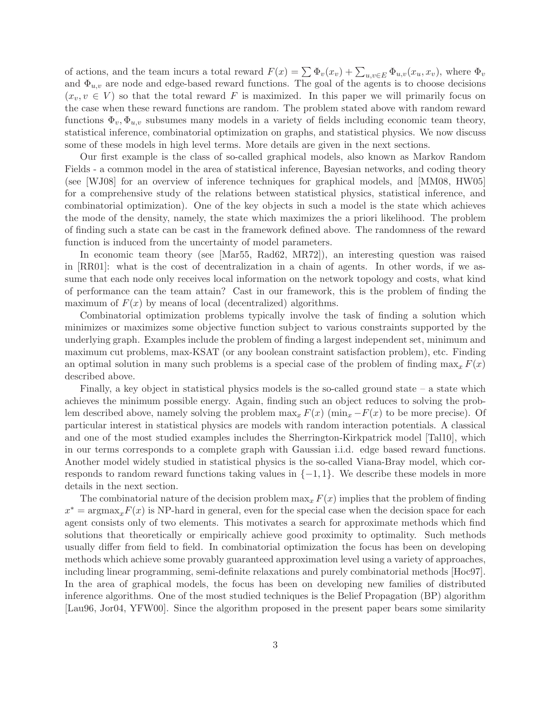of actions, and the team incurs a total reward  $F(x) = \sum \Phi_v(x_v) + \sum_{u,v \in E} \Phi_{u,v}(x_u, x_v)$ , where  $\Phi_v$ and  $\Phi_{u,v}$  are node and edge-based reward functions. The goal of the agents is to choose decisions  $(x_v, v \in V)$  so that the total reward F is maximized. In this paper we will primarily focus on the case when these reward functions are random. The problem stated above with random reward functions  $\Phi_v, \Phi_{u,v}$  subsumes many models in a variety of fields including economic team theory, statistical inference, combinatorial optimization on graphs, and statistical physics. We now discuss some of these models in high level terms. More details are given in the next sections.

Our first example is the class of so-called graphical models, also known as Markov Random Fields - a common model in the area of statistical inference, Bayesian networks, and coding theory (see [WJ08] for an overview of inference techniques for graphical models, and [MM08, HW05] for a comprehensive study of the relations between statistical physics, statistical inference, and combinatorial optimization). One of the key objects in such a model is the state which achieves the mode of the density, namely, the state which maximizes the a priori likelihood. The problem of finding such a state can be cast in the framework defined above. The randomness of the reward function is induced from the uncertainty of model parameters.

In economic team theory (see [Mar55, Rad62, MR72]), an interesting question was raised in [RR01]: what is the cost of decentralization in a chain of agents. In other words, if we assume that each node only receives local information on the network topology and costs, what kind of performance can the team attain? Cast in our framework, this is the problem of finding the maximum of  $F(x)$  by means of local (decentralized) algorithms.

Combinatorial optimization problems typically involve the task of finding a solution which minimizes or maximizes some objective function subject to various constraints supported by the underlying graph. Examples include the problem of finding a largest independent set, minimum and maximum cut problems, max-KSAT (or any boolean constraint satisfaction problem), etc. Finding an optimal solution in many such problems is a special case of the problem of finding  $\max_x F(x)$ described above.

Finally, a key object in statistical physics models is the so-called ground state – a state which achieves the minimum possible energy. Again, finding such an object reduces to solving the problem described above, namely solving the problem  $\max_x F(x)$  ( $\min_x -F(x)$  to be more precise). Of particular interest in statistical physics are models with random interaction potentials. A classical and one of the most studied examples includes the Sherrington-Kirkpatrick model [Tal10], which in our terms corresponds to a complete graph with Gaussian i.i.d. edge based reward functions. Another model widely studied in statistical physics is the so-called Viana-Bray model, which corresponds to random reward functions taking values in  $\{-1,1\}$ . We describe these models in more details in the next section.

The combinatorial nature of the decision problem  $\max_x F(x)$  implies that the problem of finding  $x^* = \text{argmax}_x F(x)$  is NP-hard in general, even for the special case when the decision space for each agent consists only of two elements. This motivates a search for approximate methods which find solutions that theoretically or empirically achieve good proximity to optimality. Such methods usually differ from field to field. In combinatorial optimization the focus has been on developing methods which achieve some provably guaranteed approximation level using a variety of approaches, including linear programming, semi-definite relaxations and purely combinatorial methods [Hoc97]. In the area of graphical models, the focus has been on developing new families of distributed inference algorithms. One of the most studied techniques is the Belief Propagation (BP) algorithm [Lau96, Jor04, YFW00]. Since the algorithm proposed in the present paper bears some similarity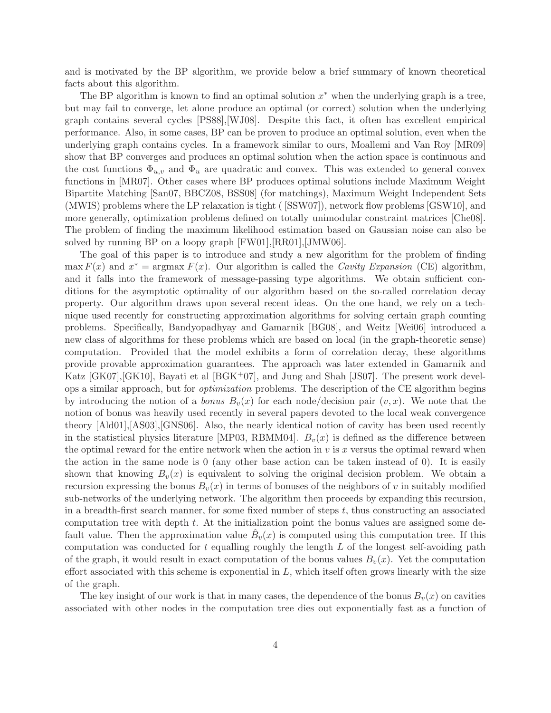and is motivated by the BP algorithm, we provide below a brief summary of known theoretical facts about this algorithm.

The BP algorithm is known to find an optimal solution  $x^*$  when the underlying graph is a tree, but may fail to converge, let alone produce an optimal (or correct) solution when the underlying graph contains several cycles [PS88],[WJ08]. Despite this fact, it often has excellent empirical performance. Also, in some cases, BP can be proven to produce an optimal solution, even when the underlying graph contains cycles. In a framework similar to ours, Moallemi and Van Roy [MR09] show that BP converges and produces an optimal solution when the action space is continuous and the cost functions  $\Phi_{u,v}$  and  $\Phi_u$  are quadratic and convex. This was extended to general convex functions in [MR07]. Other cases where BP produces optimal solutions include Maximum Weight Bipartite Matching [San07, BBCZ08, BSS08] (for matchings), Maximum Weight Independent Sets (MWIS) problems where the LP relaxation is tight ( [SSW07]), network flow problems [GSW10], and more generally, optimization problems defined on totally unimodular constraint matrices [Che08]. The problem of finding the maximum likelihood estimation based on Gaussian noise can also be solved by running BP on a loopy graph  $[FW01], [RR01], [JMW06].$ 

The goal of this paper is to introduce and study a new algorithm for the problem of finding  $\max F(x)$  and  $x^* = \argmax F(x)$ . Our algorithm is called the *Cavity Expansion* (CE) algorithm, and it falls into the framework of message-passing type algorithms. We obtain sufficient conditions for the asymptotic optimality of our algorithm based on the so-called correlation decay property. Our algorithm draws upon several recent ideas. On the one hand, we rely on a technique used recently for constructing approximation algorithms for solving certain graph counting problems. Specifically, Bandyopadhyay and Gamarnik [BG08], and Weitz [Wei06] introduced a new class of algorithms for these problems which are based on local (in the graph-theoretic sense) computation. Provided that the model exhibits a form of correlation decay, these algorithms provide provable approximation guarantees. The approach was later extended in Gamarnik and Katz [GK07],[GK10], Bayati et al [BGK+07], and Jung and Shah [JS07]. The present work develops a similar approach, but for *optimization* problems. The description of the CE algorithm begins by introducing the notion of a *bonus*  $B_v(x)$  for each node/decision pair  $(v, x)$ . We note that the notion of bonus was heavily used recently in several papers devoted to the local weak convergence theory [Ald01],[AS03],[GNS06]. Also, the nearly identical notion of cavity has been used recently in the statistical physics literature [MP03, RBMM04].  $B_v(x)$  is defined as the difference between the optimal reward for the entire network when the action in  $v$  is  $x$  versus the optimal reward when the action in the same node is 0 (any other base action can be taken instead of 0). It is easily shown that knowing  $B_v(x)$  is equivalent to solving the original decision problem. We obtain a recursion expressing the bonus  $B_v(x)$  in terms of bonuses of the neighbors of v in suitably modified sub-networks of the underlying network. The algorithm then proceeds by expanding this recursion, in a breadth-first search manner, for some fixed number of steps t, thus constructing an associated computation tree with depth t. At the initialization point the bonus values are assigned some default value. Then the approximation value  $\hat{B}_v(x)$  is computed using this computation tree. If this computation was conducted for  $t$  equalling roughly the length  $L$  of the longest self-avoiding path of the graph, it would result in exact computation of the bonus values  $B_v(x)$ . Yet the computation effort associated with this scheme is exponential in  $L$ , which itself often grows linearly with the size of the graph.

The key insight of our work is that in many cases, the dependence of the bonus  $B_v(x)$  on cavities associated with other nodes in the computation tree dies out exponentially fast as a function of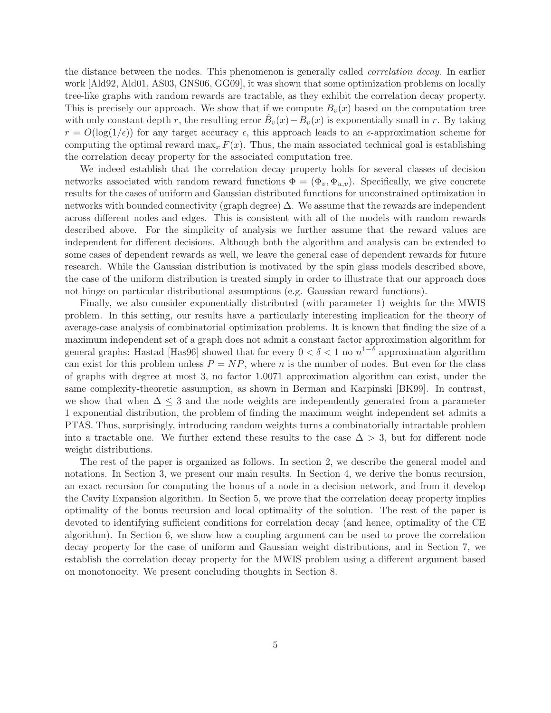the distance between the nodes. This phenomenon is generally called *correlation decay*. In earlier work [Ald92, Ald01, AS03, GNS06, GG09], it was shown that some optimization problems on locally tree-like graphs with random rewards are tractable, as they exhibit the correlation decay property. This is precisely our approach. We show that if we compute  $B_v(x)$  based on the computation tree with only constant depth r, the resulting error  $\hat{B}_v(x) - B_v(x)$  is exponentially small in r. By taking  $r = O(\log(1/\epsilon))$  for any target accuracy  $\epsilon$ , this approach leads to an  $\epsilon$ -approximation scheme for computing the optimal reward  $\max_x F(x)$ . Thus, the main associated technical goal is establishing the correlation decay property for the associated computation tree.

We indeed establish that the correlation decay property holds for several classes of decision networks associated with random reward functions  $\Phi = (\Phi_v, \Phi_{u,v})$ . Specifically, we give concrete results for the cases of uniform and Gaussian distributed functions for unconstrained optimization in networks with bounded connectivity (graph degree) ∆. We assume that the rewards are independent across different nodes and edges. This is consistent with all of the models with random rewards described above. For the simplicity of analysis we further assume that the reward values are independent for different decisions. Although both the algorithm and analysis can be extended to some cases of dependent rewards as well, we leave the general case of dependent rewards for future research. While the Gaussian distribution is motivated by the spin glass models described above, the case of the uniform distribution is treated simply in order to illustrate that our approach does not hinge on particular distributional assumptions (e.g. Gaussian reward functions).

Finally, we also consider exponentially distributed (with parameter 1) weights for the MWIS problem. In this setting, our results have a particularly interesting implication for the theory of average-case analysis of combinatorial optimization problems. It is known that finding the size of a maximum independent set of a graph does not admit a constant factor approximation algorithm for general graphs: Hastad [Has96] showed that for every  $0 < \delta < 1$  no  $n^{1-\delta}$  approximation algorithm can exist for this problem unless  $P = NP$ , where n is the number of nodes. But even for the class of graphs with degree at most 3, no factor 1.0071 approximation algorithm can exist, under the same complexity-theoretic assumption, as shown in Berman and Karpinski [BK99]. In contrast, we show that when  $\Delta \leq 3$  and the node weights are independently generated from a parameter 1 exponential distribution, the problem of finding the maximum weight independent set admits a PTAS. Thus, surprisingly, introducing random weights turns a combinatorially intractable problem into a tractable one. We further extend these results to the case  $\Delta > 3$ , but for different node weight distributions.

The rest of the paper is organized as follows. In section 2, we describe the general model and notations. In Section 3, we present our main results. In Section 4, we derive the bonus recursion, an exact recursion for computing the bonus of a node in a decision network, and from it develop the Cavity Expansion algorithm. In Section 5, we prove that the correlation decay property implies optimality of the bonus recursion and local optimality of the solution. The rest of the paper is devoted to identifying sufficient conditions for correlation decay (and hence, optimality of the CE algorithm). In Section 6, we show how a coupling argument can be used to prove the correlation decay property for the case of uniform and Gaussian weight distributions, and in Section 7, we establish the correlation decay property for the MWIS problem using a different argument based on monotonocity. We present concluding thoughts in Section 8.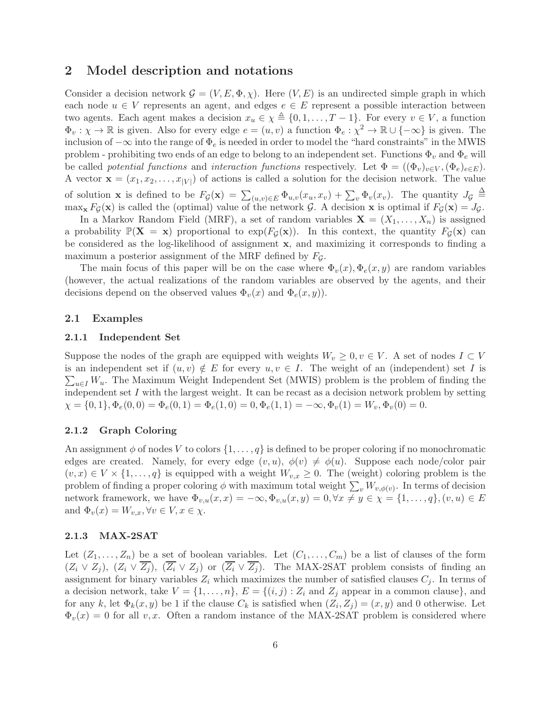### 2 Model description and notations

Consider a decision network  $\mathcal{G} = (V, E, \Phi, \chi)$ . Here  $(V, E)$  is an undirected simple graph in which each node  $u \in V$  represents an agent, and edges  $e \in E$  represent a possible interaction between two agents. Each agent makes a decision  $x_u \in \chi \triangleq \{0, 1, \ldots, T-1\}$ . For every  $v \in V$ , a function  $\Phi_v : \chi \to \mathbb{R}$  is given. Also for every edge  $e = (u, v)$  a function  $\Phi_e : \chi^2 \to \mathbb{R} \cup \{-\infty\}$  is given. The inclusion of  $-\infty$  into the range of  $\Phi_e$  is needed in order to model the "hard constraints" in the MWIS problem - prohibiting two ends of an edge to belong to an independent set. Functions  $\Phi_v$  and  $\Phi_e$  will be called *potential functions* and *interaction functions* respectively. Let  $\Phi = ((\Phi_v)_{v \in V}, (\Phi_e)_{e \in E})$ . A vector  $\mathbf{x} = (x_1, x_2, \dots, x_{|V|})$  of actions is called a solution for the decision network. The value of solution **x** is defined to be  $F_g(\mathbf{x}) = \sum_{(u,v)\in E} \Phi_{u,v}(x_u, x_v) + \sum_v \Phi_v(x_v)$ . The quantity  $J_g \triangleq$  $\max_{\mathbf{x}} F_{\mathcal{G}}(\mathbf{x})$  is called the (optimal) value of the network  $\mathcal{G}$ . A decision  $\mathbf{x}$  is optimal if  $F_{\mathcal{G}}(\mathbf{x}) = J_{\mathcal{G}}$ .

In a Markov Random Field (MRF), a set of random variables  $\mathbf{X} = (X_1, \ldots, X_n)$  is assigned a probability  $\mathbb{P}(\mathbf{X} = \mathbf{x})$  proportional to  $\exp(F_{\mathcal{G}}(\mathbf{x}))$ . In this context, the quantity  $F_{\mathcal{G}}(\mathbf{x})$  can be considered as the log-likelihood of assignment x, and maximizing it corresponds to finding a maximum a posterior assignment of the MRF defined by  $F<sub>G</sub>$ .

The main focus of this paper will be on the case where  $\Phi_v(x), \Phi_e(x, y)$  are random variables (however, the actual realizations of the random variables are observed by the agents, and their decisions depend on the observed values  $\Phi_v(x)$  and  $\Phi_e(x, y)$ .

### 2.1 Examples

### 2.1.1 Independent Set

Suppose the nodes of the graph are equipped with weights  $W_v \geq 0, v \in V$ . A set of nodes  $I \subset V$  $\sum_{u\in I} W_u$ . The Maximum Weight Independent Set (MWIS) problem is the problem of finding the is an independent set if  $(u, v) \notin E$  for every  $u, v \in I$ . The weight of an (independent) set I is independent set I with the largest weight. It can be recast as a decision network problem by setting  $\chi = \{0, 1\}, \Phi_e(0, 0) = \Phi_e(0, 1) = \Phi_e(1, 0) = 0, \Phi_e(1, 1) = -\infty, \Phi_v(1) = W_v, \Phi_v(0) = 0.$ 

### 2.1.2 Graph Coloring

An assignment  $\phi$  of nodes V to colors  $\{1, \ldots, q\}$  is defined to be proper coloring if no monochromatic edges are created. Namely, for every edge  $(v, u)$ ,  $\phi(v) \neq \phi(u)$ . Suppose each node/color pair  $(v, x) \in V \times \{1, \ldots, q\}$  is equipped with a weight  $W_{v,x} \geq 0$ . The (weight) coloring problem is the problem of finding a proper coloring  $\phi$  with maximum total weight  $\sum_{v} W_{v,\phi(v)}$ . In terms of decision network framework, we have  $\Phi_{v,u}(x,x) = -\infty, \Phi_{v,u}(x,y) = 0, \forall x \neq y \in \chi = \{1,\ldots,q\}, (v,u) \in E$ and  $\Phi_v(x) = W_{v,x}, \forall v \in V, x \in \chi$ .

### 2.1.3 MAX-2SAT

Let  $(Z_1, \ldots, Z_n)$  be a set of boolean variables. Let  $(C_1, \ldots, C_m)$  be a list of clauses of the form  $(Z_i \vee Z_j)$ ,  $(Z_i \vee \overline{Z_j})$ ,  $(\overline{Z_i} \vee Z_j)$  or  $(\overline{Z_i} \vee \overline{Z_j})$ . The MAX-2SAT problem consists of finding an assignment for binary variables  $Z_i$  which maximizes the number of satisfied clauses  $C_i$ . In terms of a decision network, take  $V = \{1, \ldots, n\}$ ,  $E = \{(i, j) : Z_i \text{ and } Z_j \text{ appear in a common clause}\}$ , and for any k, let  $\Phi_k(x, y)$  be 1 if the clause  $C_k$  is satisfied when  $(Z_i, Z_j) = (x, y)$  and 0 otherwise. Let  $\Phi_v(x) = 0$  for all v, x. Often a random instance of the MAX-2SAT problem is considered where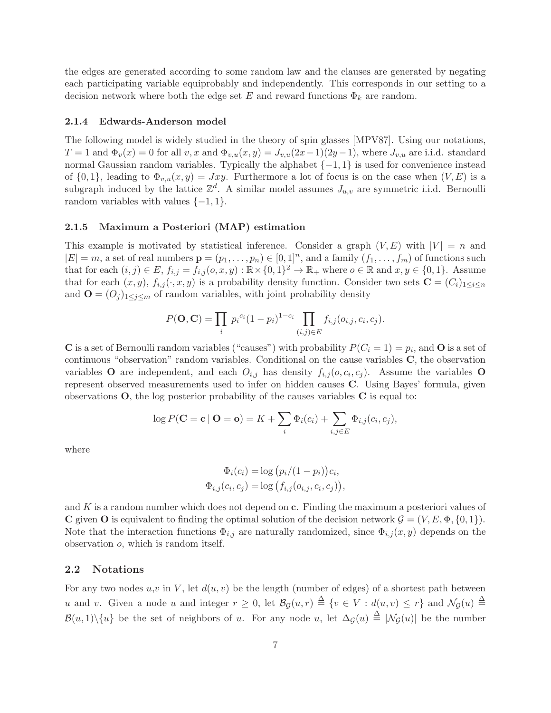the edges are generated according to some random law and the clauses are generated by negating each participating variable equiprobably and independently. This corresponds in our setting to a decision network where both the edge set E and reward functions  $\Phi_k$  are random.

#### 2.1.4 Edwards-Anderson model

The following model is widely studied in the theory of spin glasses [MPV87]. Using our notations,  $T = 1$  and  $\Phi_v(x) = 0$  for all v, x and  $\Phi_{v,u}(x, y) = J_{v,u}(2x-1)(2y-1)$ , where  $J_{v,u}$  are i.i.d. standard normal Gaussian random variables. Typically the alphabet  $\{-1, 1\}$  is used for convenience instead of  $\{0,1\}$ , leading to  $\Phi_{v,u}(x,y) = Jxy$ . Furthermore a lot of focus is on the case when  $(V, E)$  is a subgraph induced by the lattice  $\mathbb{Z}^d$ . A similar model assumes  $J_{u,v}$  are symmetric i.i.d. Bernoulli random variables with values  $\{-1, 1\}$ .

### 2.1.5 Maximum a Posteriori (MAP) estimation

This example is motivated by statistical inference. Consider a graph  $(V, E)$  with  $|V| = n$  and  $|E| = m$ , a set of real numbers  $\mathbf{p} = (p_1, \dots, p_n) \in [0, 1]^n$ , and a family  $(f_1, \dots, f_m)$  of functions such that for each  $(i, j) \in E$ ,  $f_{i,j} = f_{i,j} (o, x, y) : \mathbb{R} \times \{0, 1\}^2 \to \mathbb{R}_+$  where  $o \in \mathbb{R}$  and  $x, y \in \{0, 1\}$ . Assume that for each  $(x, y)$ ,  $f_{i,j}(\cdot, x, y)$  is a probability density function. Consider two sets  $\mathbf{C} = (C_i)_{1 \leq i \leq n}$ and  $\mathbf{O} = (O_j)_{1 \leq j \leq m}$  of random variables, with joint probability density

$$
P(\mathbf{O}, \mathbf{C}) = \prod_{i} p_i^{c_i} (1 - p_i)^{1 - c_i} \prod_{(i,j) \in E} f_{i,j}(o_{i,j}, c_i, c_j).
$$

**C** is a set of Bernoulli random variables ("causes") with probability  $P(C_i = 1) = p_i$ , and **O** is a set of continuous "observation" random variables. Conditional on the cause variables C, the observation variables O are independent, and each  $O_{i,j}$  has density  $f_{i,j}(o, c_i, c_j)$ . Assume the variables O represent observed measurements used to infer on hidden causes C. Using Bayes' formula, given observations  $O$ , the log posterior probability of the causes variables  $C$  is equal to:

$$
\log P(\mathbf{C} = \mathbf{c} \mid \mathbf{O} = \mathbf{o}) = K + \sum_{i} \Phi_i(c_i) + \sum_{i,j \in E} \Phi_{i,j}(c_i, c_j),
$$

where

$$
\Phi_i(c_i) = \log (p_i/(1-p_i))c_i, \n\Phi_{i,j}(c_i, c_j) = \log (f_{i,j}(o_{i,j}, c_i, c_j)),
$$

and K is a random number which does not depend on  $c$ . Finding the maximum a posteriori values of **C** given **O** is equivalent to finding the optimal solution of the decision network  $\mathcal{G} = (V, E, \Phi, \{0, 1\})$ . Note that the interaction functions  $\Phi_{i,j}$  are naturally randomized, since  $\Phi_{i,j}(x, y)$  depends on the observation o, which is random itself.

### 2.2 Notations

For any two nodes  $u, v$  in V, let  $d(u, v)$  be the length (number of edges) of a shortest path between u and v. Given a node u and integer  $r \geq 0$ , let  $\mathcal{B}_{\mathcal{G}}(u,r) \triangleq \{v \in V : d(u,v) \leq r\}$  and  $\mathcal{N}_{\mathcal{G}}(u) \triangleq$  $\mathcal{B}(u,1)\setminus\{u\}$  be the set of neighbors of u. For any node u, let  $\Delta_{\mathcal{G}}(u) \triangleq |\mathcal{N}_{\mathcal{G}}(u)|$  be the number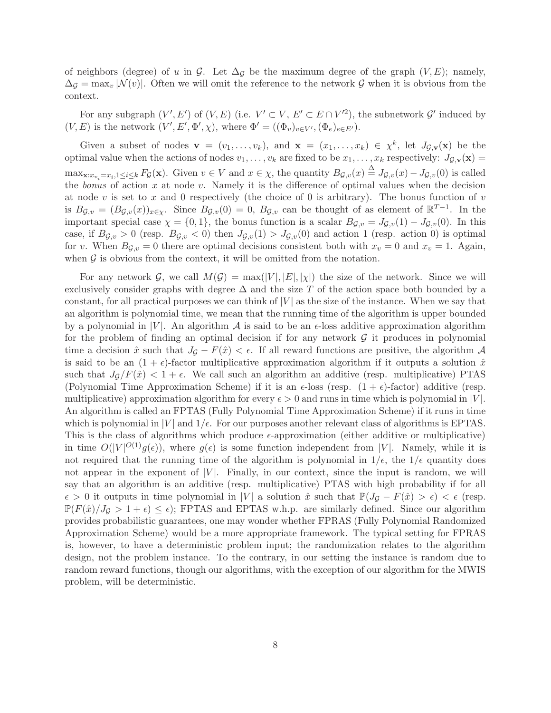of neighbors (degree) of u in G. Let  $\Delta_G$  be the maximum degree of the graph  $(V, E)$ ; namely,  $\Delta_G = \max_v |\mathcal{N}(v)|$ . Often we will omit the reference to the network G when it is obvious from the context.

For any subgraph  $(V', E')$  of  $(V, E)$  (i.e.  $V' \subset V$ ,  $E' \subset E \cap V'^2$ ), the subnetwork  $\mathcal{G}'$  induced by  $(V, E)$  is the network  $(V', E', \Phi', \chi)$ , where  $\Phi' = ((\Phi_v)_{v \in V'}, (\Phi_e)_{e \in E'})$ .

Given a subset of nodes  $\mathbf{v} = (v_1, \ldots, v_k)$ , and  $\mathbf{x} = (x_1, \ldots, x_k) \in \chi^k$ , let  $J_{\mathcal{G},\mathbf{v}}(\mathbf{x})$  be the optimal value when the actions of nodes  $v_1, \ldots, v_k$  are fixed to be  $x_1, \ldots, x_k$  respectively:  $J_{\mathcal{G},\mathbf{v}}(\mathbf{x}) =$  $\max_{\mathbf{x}:x_{v_i}=x_i,1\leq i\leq k} F_{\mathcal{G}}(\mathbf{x})$ . Given  $v\in V$  and  $x\in\chi$ , the quantity  $B_{\mathcal{G},v}(x) \triangleq J_{\mathcal{G},v}(x) - J_{\mathcal{G},v}(0)$  is called the *bonus* of action  $x$  at node  $v$ . Namely it is the difference of optimal values when the decision at node v is set to x and 0 respectively (the choice of 0 is arbitrary). The bonus function of v is  $B_{\mathcal{G},v} = (B_{\mathcal{G},v}(x))_{x \in \chi}$ . Since  $B_{\mathcal{G},v}(0) = 0$ ,  $B_{\mathcal{G},v}$  can be thought of as element of  $\mathbb{R}^{T-1}$ . In the important special case  $\chi = \{0, 1\}$ , the bonus function is a scalar  $B_{\mathcal{G},v} = J_{\mathcal{G},v}(1) - J_{\mathcal{G},v}(0)$ . In this case, if  $B_{\mathcal{G},v} > 0$  (resp.  $B_{\mathcal{G},v} < 0$ ) then  $J_{\mathcal{G},v}(1) > J_{\mathcal{G},v}(0)$  and action 1 (resp. action 0) is optimal for v. When  $B_{\mathcal{G},v} = 0$  there are optimal decisions consistent both with  $x_v = 0$  and  $x_v = 1$ . Again, when  $G$  is obvious from the context, it will be omitted from the notation.

For any network G, we call  $M(G) = \max(|V|, |E|, |\chi|)$  the size of the network. Since we will exclusively consider graphs with degree  $\Delta$  and the size T of the action space both bounded by a constant, for all practical purposes we can think of  $|V|$  as the size of the instance. When we say that an algorithm is polynomial time, we mean that the running time of the algorithm is upper bounded by a polynomial in |V|. An algorithm  $\mathcal A$  is said to be an  $\epsilon$ -loss additive approximation algorithm for the problem of finding an optimal decision if for any network  $\mathcal G$  it produces in polynomial time a decision  $\hat{x}$  such that  $J_{\mathcal{G}} - F(\hat{x}) < \epsilon$ . If all reward functions are positive, the algorithm A is said to be an  $(1 + \epsilon)$ -factor multiplicative approximation algorithm if it outputs a solution  $\hat{x}$ such that  $J_{\mathcal{G}}/F(\hat{x}) < 1 + \epsilon$ . We call such an algorithm an additive (resp. multiplicative) PTAS (Polynomial Time Approximation Scheme) if it is an  $\epsilon$ -loss (resp.  $(1 + \epsilon)$ -factor) additive (resp. multiplicative) approximation algorithm for every  $\epsilon > 0$  and runs in time which is polynomial in  $|V|$ . An algorithm is called an FPTAS (Fully Polynomial Time Approximation Scheme) if it runs in time which is polynomial in  $|V|$  and  $1/\epsilon$ . For our purposes another relevant class of algorithms is EPTAS. This is the class of algorithms which produce  $\epsilon$ -approximation (either additive or multiplicative) in time  $O(|V|^{O(1)}g(\epsilon))$ , where  $g(\epsilon)$  is some function independent from |V|. Namely, while it is not required that the running time of the algorithm is polynomial in  $1/\epsilon$ , the  $1/\epsilon$  quantity does not appear in the exponent of  $|V|$ . Finally, in our context, since the input is random, we will say that an algorithm is an additive (resp. multiplicative) PTAS with high probability if for all  $\epsilon > 0$  it outputs in time polynomial in |V| a solution  $\hat{x}$  such that  $\mathbb{P}(J_{\mathcal{G}} - F(\hat{x}) > \epsilon) < \epsilon$  (resp.  $\mathbb{P}(F(\hat{x})/J_{\mathcal{G}} > 1 + \epsilon) \leq \epsilon$ ; FPTAS and EPTAS w.h.p. are similarly defined. Since our algorithm provides probabilistic guarantees, one may wonder whether FPRAS (Fully Polynomial Randomized Approximation Scheme) would be a more appropriate framework. The typical setting for FPRAS is, however, to have a deterministic problem input; the randomization relates to the algorithm design, not the problem instance. To the contrary, in our setting the instance is random due to random reward functions, though our algorithms, with the exception of our algorithm for the MWIS problem, will be deterministic.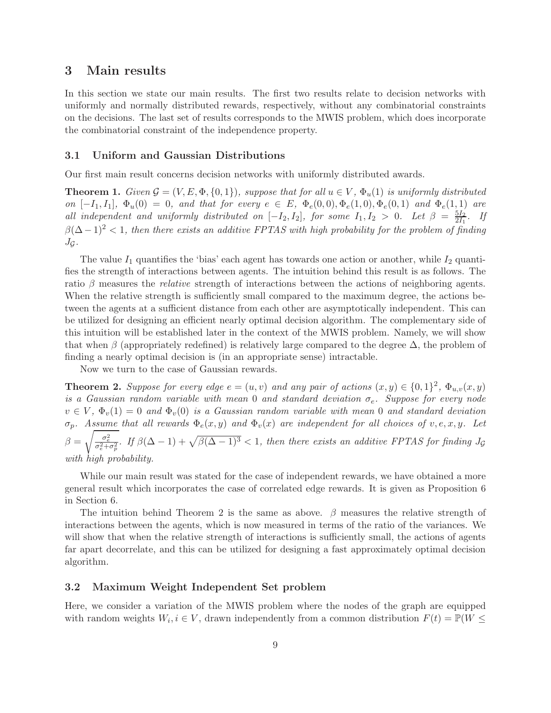### 3 Main results

In this section we state our main results. The first two results relate to decision networks with uniformly and normally distributed rewards, respectively, without any combinatorial constraints on the decisions. The last set of results corresponds to the MWIS problem, which does incorporate the combinatorial constraint of the independence property.

### 3.1 Uniform and Gaussian Distributions

Our first main result concerns decision networks with uniformly distributed awards.

**Theorem 1.** *Given*  $\mathcal{G} = (V, E, \Phi, \{0, 1\})$ *, suppose that for all*  $u \in V$ *,*  $\Phi_u(1)$  *is uniformly distributed on*  $[-I_1, I_1]$ ,  $\Phi_u(0) = 0$ , and that for every  $e \in E$ ,  $\Phi_e(0, 0)$ ,  $\Phi_e(1, 0)$ ,  $\Phi_e(0, 1)$  *and*  $\Phi_e(1, 1)$  *are all independent and uniformly distributed on*  $[-I_2, I_2]$ *, for some*  $I_1, I_2 > 0$ *. Let*  $\beta = \frac{5I_2}{2I_1}$  $\frac{5I_2}{2I_1}$ *.* If  $\beta(\Delta - 1)^2 < 1$ , then there exists an additive FPTAS with high probability for the problem of finding  $J_{\mathcal{G}}$ .

The value  $I_1$  quantifies the 'bias' each agent has towards one action or another, while  $I_2$  quantifies the strength of interactions between agents. The intuition behind this result is as follows. The ratio β measures the *relative* strength of interactions between the actions of neighboring agents. When the relative strength is sufficiently small compared to the maximum degree, the actions between the agents at a sufficient distance from each other are asymptotically independent. This can be utilized for designing an efficient nearly optimal decision algorithm. The complementary side of this intuition will be established later in the context of the MWIS problem. Namely, we will show that when  $\beta$  (appropriately redefined) is relatively large compared to the degree  $\Delta$ , the problem of finding a nearly optimal decision is (in an appropriate sense) intractable.

Now we turn to the case of Gaussian rewards.

**Theorem 2.** Suppose for every edge  $e = (u, v)$  and any pair of actions  $(x, y) \in \{0, 1\}^2$ ,  $\Phi_{u,v}(x, y)$ *is a Gaussian random variable with mean* 0 *and standard deviation*  $\sigma_e$ . Suppose for every node  $v \in V$ ,  $\Phi_v(1) = 0$  and  $\Phi_v(0)$  *is a Gaussian random variable with mean* 0 *and standard deviation*  $\sigma_p$ *. Assume that all rewards*  $\Phi_e(x, y)$  *and*  $\Phi_v(x)$  *are independent for all choices of* v, e, x, y. Let  $\beta = \sqrt{\frac{\sigma_e^2}{\sigma_e^2 + \sigma_p^2}}$ . If  $\beta(\Delta - 1) + \sqrt{\beta(\Delta - 1)^3} < 1$ , then there exists an additive FPTAS for finding  $J_{\mathcal{G}}$ *with high probability.*

While our main result was stated for the case of independent rewards, we have obtained a more general result which incorporates the case of correlated edge rewards. It is given as Proposition 6 in Section 6.

The intuition behind Theorem 2 is the same as above.  $\beta$  measures the relative strength of interactions between the agents, which is now measured in terms of the ratio of the variances. We will show that when the relative strength of interactions is sufficiently small, the actions of agents far apart decorrelate, and this can be utilized for designing a fast approximately optimal decision algorithm.

### 3.2 Maximum Weight Independent Set problem

Here, we consider a variation of the MWIS problem where the nodes of the graph are equipped with random weights  $W_i, i \in V$ , drawn independently from a common distribution  $F(t) = \mathbb{P}(W \leq$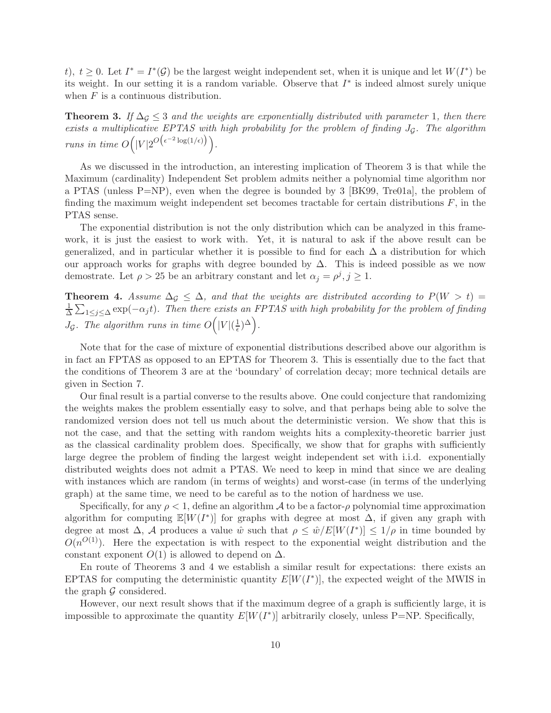t),  $t \geq 0$ . Let  $I^* = I^*(\mathcal{G})$  be the largest weight independent set, when it is unique and let  $W(I^*)$  be its weight. In our setting it is a random variable. Observe that  $I^*$  is indeed almost surely unique when  $F$  is a continuous distribution.

**Theorem 3.** If  $\Delta q \leq 3$  *and the weights are exponentially distributed with parameter* 1*, then there exists a multiplicative EPTAS with high probability for the problem of finding* JG*. The algorithm runs in time*  $O(|V|2^{O\left(\epsilon^{-2}\log(1/\epsilon)\right)}\right)$ .

As we discussed in the introduction, an interesting implication of Theorem 3 is that while the Maximum (cardinality) Independent Set problem admits neither a polynomial time algorithm nor a PTAS (unless  $P=NP$ ), even when the degree is bounded by 3 [BK99, Tre01a], the problem of finding the maximum weight independent set becomes tractable for certain distributions  $F$ , in the PTAS sense.

The exponential distribution is not the only distribution which can be analyzed in this framework, it is just the easiest to work with. Yet, it is natural to ask if the above result can be generalized, and in particular whether it is possible to find for each  $\Delta$  a distribution for which our approach works for graphs with degree bounded by  $\Delta$ . This is indeed possible as we now demostrate. Let  $\rho > 25$  be an arbitrary constant and let  $\alpha_j = \rho^j, j \ge 1$ .

Theorem 4. Assume  $\Delta \mathcal{G} \leq \Delta$ , and that the weights are distributed according to  $P(W > t) =$ 1  $\frac{1}{\Delta} \sum_{1 \leq j \leq \Delta} \exp(-\alpha_j t)$ . Then there exists an FPTAS with high probability for the problem of finding  $J_{\mathcal{G}}$ *. The algorithm runs in time*  $O(|V|(\frac{1}{\epsilon}))$  $(\frac{1}{\epsilon})^{\Delta}$ .

Note that for the case of mixture of exponential distributions described above our algorithm is in fact an FPTAS as opposed to an EPTAS for Theorem 3. This is essentially due to the fact that the conditions of Theorem 3 are at the 'boundary' of correlation decay; more technical details are given in Section 7.

Our final result is a partial converse to the results above. One could conjecture that randomizing the weights makes the problem essentially easy to solve, and that perhaps being able to solve the randomized version does not tell us much about the deterministic version. We show that this is not the case, and that the setting with random weights hits a complexity-theoretic barrier just as the classical cardinality problem does. Specifically, we show that for graphs with sufficiently large degree the problem of finding the largest weight independent set with i.i.d. exponentially distributed weights does not admit a PTAS. We need to keep in mind that since we are dealing with instances which are random (in terms of weights) and worst-case (in terms of the underlying graph) at the same time, we need to be careful as to the notion of hardness we use.

Specifically, for any  $\rho < 1$ , define an algorithm A to be a factor- $\rho$  polynomial time approximation algorithm for computing  $\mathbb{E}[W(I^*)]$  for graphs with degree at most  $\Delta$ , if given any graph with degree at most  $\Delta$ , A produces a value  $\hat{w}$  such that  $\rho \leq \hat{w}/E[W(I^*)] \leq 1/\rho$  in time bounded by  $O(n^{O(1)})$ . Here the expectation is with respect to the exponential weight distribution and the constant exponent  $O(1)$  is allowed to depend on  $\Delta$ .

En route of Theorems 3 and 4 we establish a similar result for expectations: there exists an EPTAS for computing the deterministic quantity  $E[W(I^*)]$ , the expected weight of the MWIS in the graph  $\mathcal G$  considered.

However, our next result shows that if the maximum degree of a graph is sufficiently large, it is impossible to approximate the quantity  $E[W(I^*)]$  arbitrarily closely, unless P=NP. Specifically,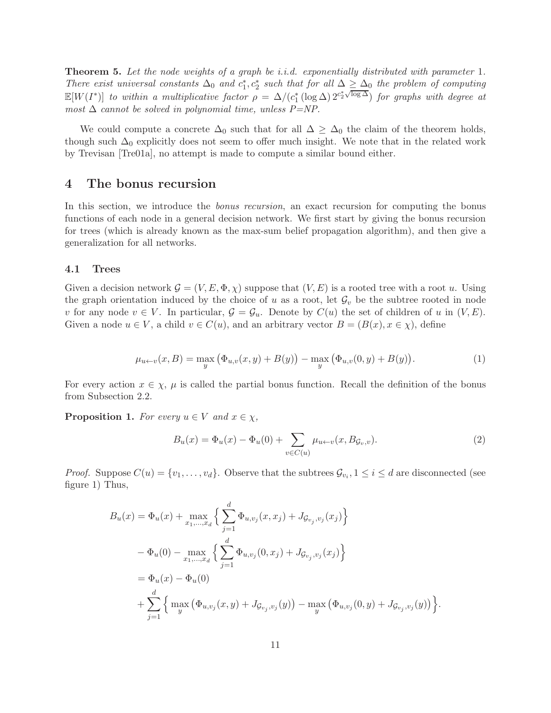Theorem 5. *Let the node weights of a graph be i.i.d. exponentially distributed with parameter* 1*. There exist universal constants*  $\Delta_0$  *and*  $c_1^*, c_2^*$  *such that for all*  $\Delta \geq \Delta_0$  *the problem of computing*  $\mathbb{E}[W(I^*)]$  *to within a multiplicative factor*  $\rho = \Delta/(c_1^* \left(\log \Delta\right) 2^{c_2^* \sqrt{\log \Delta}})$  *for graphs with degree at most*  $\Delta$  *cannot be solved in polynomial time, unless P=NP.* 

We could compute a concrete  $\Delta_0$  such that for all  $\Delta \geq \Delta_0$  the claim of the theorem holds, though such  $\Delta_0$  explicitly does not seem to offer much insight. We note that in the related work by Trevisan [Tre01a], no attempt is made to compute a similar bound either.

### 4 The bonus recursion

In this section, we introduce the *bonus recursion*, an exact recursion for computing the bonus functions of each node in a general decision network. We first start by giving the bonus recursion for trees (which is already known as the max-sum belief propagation algorithm), and then give a generalization for all networks.

### 4.1 Trees

Given a decision network  $\mathcal{G} = (V, E, \Phi, \chi)$  suppose that  $(V, E)$  is a rooted tree with a root u. Using the graph orientation induced by the choice of u as a root, let  $\mathcal{G}_v$  be the subtree rooted in node v for any node  $v \in V$ . In particular,  $\mathcal{G} = \mathcal{G}_u$ . Denote by  $C(u)$  the set of children of u in  $(V, E)$ . Given a node  $u \in V$ , a child  $v \in C(u)$ , and an arbitrary vector  $B = (B(x), x \in \chi)$ , define

$$
\mu_{u \leftarrow v}(x, B) = \max_{y} (\Phi_{u,v}(x, y) + B(y)) - \max_{y} (\Phi_{u,v}(0, y) + B(y)).
$$
\n(1)

For every action  $x \in \chi$ ,  $\mu$  is called the partial bonus function. Recall the definition of the bonus from Subsection 2.2.

**Proposition 1.** For every  $u \in V$  and  $x \in \chi$ ,

$$
B_u(x) = \Phi_u(x) - \Phi_u(0) + \sum_{v \in C(u)} \mu_{u \leftarrow v}(x, B_{\mathcal{G}_v, v}).
$$
\n(2)

*Proof.* Suppose  $C(u) = \{v_1, \ldots, v_d\}$ . Observe that the subtrees  $\mathcal{G}_{v_i}, 1 \leq i \leq d$  are disconnected (see figure 1) Thus,

$$
B_u(x) = \Phi_u(x) + \max_{x_1, \dots, x_d} \left\{ \sum_{j=1}^d \Phi_{u, v_j}(x, x_j) + J_{\mathcal{G}_{v_j}, v_j}(x_j) \right\}
$$
  
-  $\Phi_u(0) - \max_{x_1, \dots, x_d} \left\{ \sum_{j=1}^d \Phi_{u, v_j}(0, x_j) + J_{\mathcal{G}_{v_j}, v_j}(x_j) \right\}$   
=  $\Phi_u(x) - \Phi_u(0)$   
+  $\sum_{j=1}^d \left\{ \max_y \left( \Phi_{u, v_j}(x, y) + J_{\mathcal{G}_{v_j}, v_j}(y) \right) - \max_y \left( \Phi_{u, v_j}(0, y) + J_{\mathcal{G}_{v_j}, v_j}(y) \right) \right\}.$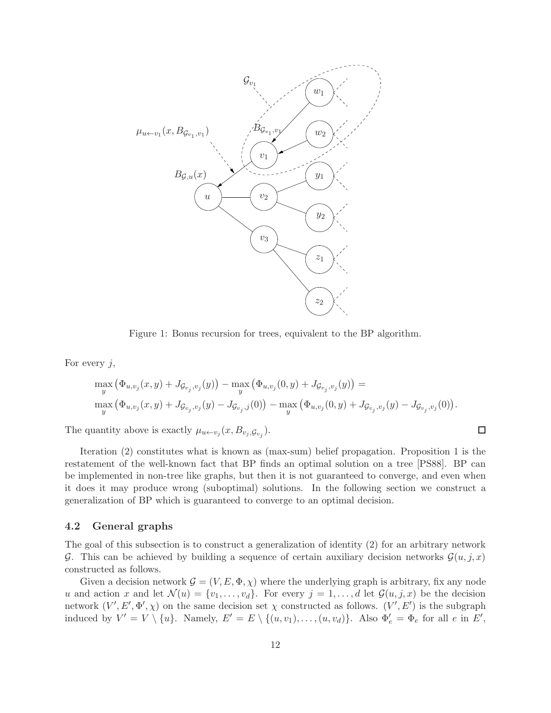

Figure 1: Bonus recursion for trees, equivalent to the BP algorithm.

For every  $j$ ,

$$
\max_{y} (\Phi_{u,v_j}(x,y) + J_{\mathcal{G}_{v_j},v_j}(y)) - \max_{y} (\Phi_{u,v_j}(0,y) + J_{\mathcal{G}_{v_j},v_j}(y)) =
$$
  

$$
\max_{y} (\Phi_{u,v_j}(x,y) + J_{\mathcal{G}_{v_j},v_j}(y) - J_{\mathcal{G}_{v_j},j}(0)) - \max_{y} (\Phi_{u,v_j}(0,y) + J_{\mathcal{G}_{v_j},v_j}(y) - J_{\mathcal{G}_{v_j},v_j}(0)).
$$

 $\Box$ 

The quantity above is exactly  $\mu_{u \leftarrow v_j}(x, B_{v_j, \mathcal{G}_{v_j}})$ .

Iteration (2) constitutes what is known as (max-sum) belief propagation. Proposition 1 is the restatement of the well-known fact that BP finds an optimal solution on a tree [PS88]. BP can be implemented in non-tree like graphs, but then it is not guaranteed to converge, and even when it does it may produce wrong (suboptimal) solutions. In the following section we construct a generalization of BP which is guaranteed to converge to an optimal decision.

### 4.2 General graphs

The goal of this subsection is to construct a generalization of identity (2) for an arbitrary network G. This can be achieved by building a sequence of certain auxiliary decision networks  $\mathcal{G}(u, j, x)$ constructed as follows.

Given a decision network  $\mathcal{G} = (V, E, \Phi, \chi)$  where the underlying graph is arbitrary, fix any node u and action x and let  $\mathcal{N}(u) = \{v_1, \ldots, v_d\}$ . For every  $j = 1, \ldots, d$  let  $\mathcal{G}(u, j, x)$  be the decision network  $(V', E', \Phi', \chi)$  on the same decision set  $\chi$  constructed as follows.  $(V', E')$  is the subgraph induced by  $V' = V \setminus \{u\}$ . Namely,  $E' = E \setminus \{(u, v_1), \ldots, (u, v_d)\}$ . Also  $\Phi'_e = \Phi_e$  for all  $e$  in  $E'$ ,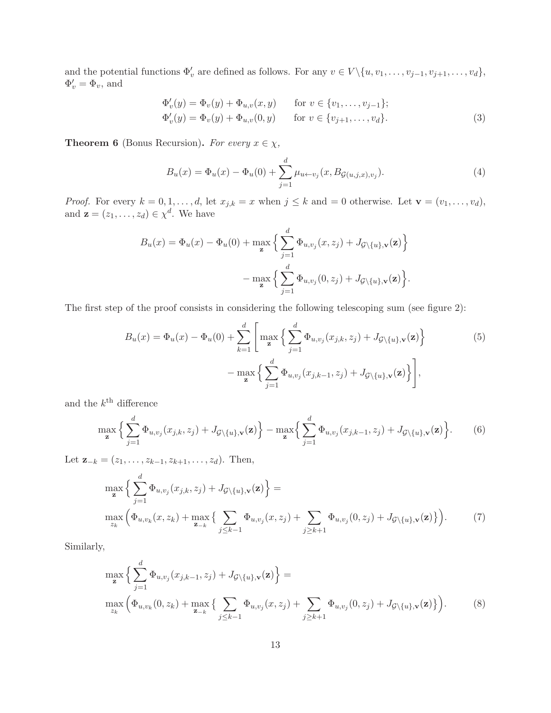and the potential functions  $\Phi'_v$  are defined as follows. For any  $v \in V \setminus \{u, v_1, \ldots, v_{j-1}, v_{j+1}, \ldots, v_d\},\$  $\Phi'_v = \Phi_v$ , and

$$
\Phi'_{v}(y) = \Phi_{v}(y) + \Phi_{u,v}(x, y) \quad \text{for } v \in \{v_1, \dots, v_{j-1}\};
$$
  
\n
$$
\Phi'_{v}(y) = \Phi_{v}(y) + \Phi_{u,v}(0, y) \quad \text{for } v \in \{v_{j+1}, \dots, v_d\}.
$$
\n(3)

**Theorem 6** (Bonus Recursion). *For every*  $x \in \chi$ ,

$$
B_u(x) = \Phi_u(x) - \Phi_u(0) + \sum_{j=1}^d \mu_{u \leftarrow v_j}(x, B_{\mathcal{G}(u,j,x),v_j}).
$$
\n(4)

*Proof.* For every  $k = 0, 1, ..., d$ , let  $x_{j,k} = x$  when  $j \le k$  and  $= 0$  otherwise. Let  $\mathbf{v} = (v_1, ..., v_d)$ , and  $\mathbf{z} = (z_1, \dots, z_d) \in \chi^d$ . We have

$$
B_u(x) = \Phi_u(x) - \Phi_u(0) + \max_{\mathbf{z}} \left\{ \sum_{j=1}^d \Phi_{u,v_j}(x, z_j) + J_{\mathcal{G}\backslash\{u\},\mathbf{v}}(\mathbf{z}) \right\}
$$

$$
- \max_{\mathbf{z}} \left\{ \sum_{j=1}^d \Phi_{u,v_j}(0, z_j) + J_{\mathcal{G}\backslash\{u\},\mathbf{v}}(\mathbf{z}) \right\}.
$$

The first step of the proof consists in considering the following telescoping sum (see figure 2):

$$
B_u(x) = \Phi_u(x) - \Phi_u(0) + \sum_{k=1}^d \left[ \max_{\mathbf{z}} \left\{ \sum_{j=1}^d \Phi_{u,v_j}(x_{j,k}, z_j) + J_{\mathcal{G}\backslash\{u\},\mathbf{v}}(\mathbf{z}) \right\} - \max_{\mathbf{z}} \left\{ \sum_{j=1}^d \Phi_{u,v_j}(x_{j,k-1}, z_j) + J_{\mathcal{G}\backslash\{u\},\mathbf{v}}(\mathbf{z}) \right\} \right],
$$
\n(5)

and the  $k^{\text{th}}$  difference

$$
\max_{\mathbf{z}} \left\{ \sum_{j=1}^d \Phi_{u,v_j}(x_{j,k}, z_j) + J_{\mathcal{G}\backslash\{u\},\mathbf{v}}(\mathbf{z}) \right\} - \max_{\mathbf{z}} \left\{ \sum_{j=1}^d \Phi_{u,v_j}(x_{j,k-1}, z_j) + J_{\mathcal{G}\backslash\{u\},\mathbf{v}}(\mathbf{z}) \right\}.
$$
 (6)

Let  $\mathbf{z}_{-k} = (z_1, \ldots, z_{k-1}, z_{k+1}, \ldots, z_d)$ . Then,

$$
\max_{\mathbf{z}} \left\{ \sum_{j=1}^{d} \Phi_{u,v_j}(x_{j,k}, z_j) + J_{\mathcal{G}\backslash\{u\},\mathbf{v}}(\mathbf{z}) \right\} = \n\max_{z_k} \left( \Phi_{u,v_k}(x, z_k) + \max_{\mathbf{z}_{-k}} \left\{ \sum_{j \leq k-1} \Phi_{u,v_j}(x, z_j) + \sum_{j \geq k+1} \Phi_{u,v_j}(0, z_j) + J_{\mathcal{G}\backslash\{u\},\mathbf{v}}(\mathbf{z}) \right\} \right).
$$
\n(7)

Similarly,

$$
\max_{\mathbf{z}} \left\{ \sum_{j=1}^{d} \Phi_{u, v_j}(x_{j,k-1}, z_j) + J_{\mathcal{G} \setminus \{u\}, \mathbf{v}}(\mathbf{z}) \right\} = \n\max_{z_k} \left( \Phi_{u, v_k}(0, z_k) + \max_{\mathbf{z}_{-k}} \left\{ \sum_{j \le k-1} \Phi_{u, v_j}(x, z_j) + \sum_{j \ge k+1} \Phi_{u, v_j}(0, z_j) + J_{\mathcal{G} \setminus \{u\}, \mathbf{v}}(\mathbf{z}) \right\} \right).
$$
\n(8)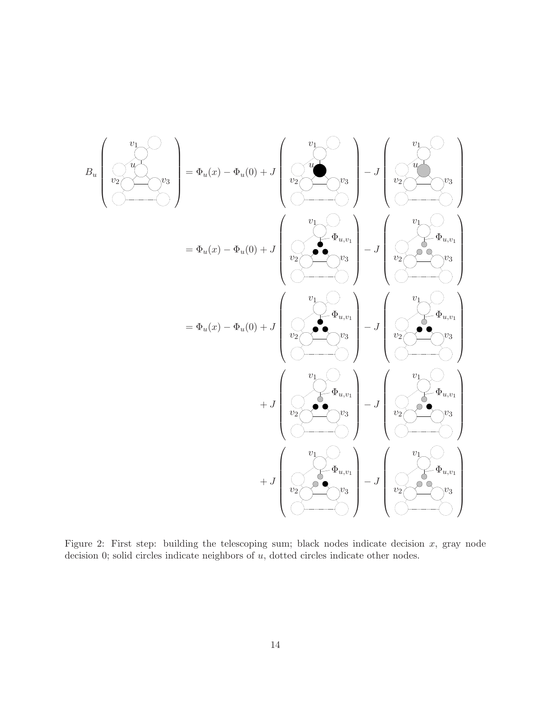$$
B_u \begin{pmatrix} v_1 \\ v_2 \\ v_3 \\ \hline \end{pmatrix} = \Phi_u(x) - \Phi_u(0) + J \begin{pmatrix} v_1 \\ v_2 \\ v_2 \\ \hline \end{pmatrix} - J \begin{pmatrix} v_1 \\ v_2 \\ v_3 \\ \hline \end{pmatrix}
$$
  

$$
= \Phi_u(x) - \Phi_u(0) + J \begin{pmatrix} v_1 \\ v_2 \\ v_2 \\ \hline \end{pmatrix} - J \begin{pmatrix} v_1 \\ v_2 \\ v_3 \\ \hline \end{pmatrix}
$$
  

$$
= \Phi_u(x) - \Phi_u(0) + J \begin{pmatrix} v_1 \\ v_2 \\ v_3 \\ \hline \end{pmatrix} - J \begin{pmatrix} v_1 \\ v_2 \\ v_3 \\ \hline \end{pmatrix} - J \begin{pmatrix} v_1 \\ v_2 \\ v_3 \\ \hline \end{pmatrix} - J \begin{pmatrix} v_1 \\ v_2 \\ v_3 \\ \hline \end{pmatrix} - J \begin{pmatrix} v_1 \\ v_2 \\ v_3 \\ \hline \end{pmatrix} - J \begin{pmatrix} v_1 \\ v_2 \\ v_3 \\ \hline \end{pmatrix} - J \begin{pmatrix} v_1 \\ v_2 \\ v_3 \\ \hline \end{pmatrix} - J \begin{pmatrix} v_1 \\ v_2 \\ v_3 \\ \hline \end{pmatrix} - J \begin{pmatrix} v_1 \\ v_2 \\ v_3 \\ \hline \end{pmatrix} - J \begin{pmatrix} v_1 \\ v_2 \\ v_3 \\ \hline \end{pmatrix} - J \begin{pmatrix} v_1 \\ v_2 \\ v_3 \\ \hline \end{pmatrix} - J \begin{pmatrix} v_1 \\ v_2 \\ v_3 \\ \hline \end{pmatrix} - J \begin{pmatrix} v_1 \\ v_2 \\ v_3 \\ \hline \end{pmatrix} - J \begin{pmatrix} v_1 \\ v_2 \\ v_3 \\ \hline \end{pmatrix} - J \begin{pmatrix} v_1 \\ v_2 \\ v_3 \\ \hline \end{pmatrix} - J \begin{pmatrix} v_1 \\ v_2 \\ v_3 \\ \hline \end{pmatrix} - J \begin{pmatrix} v_1 \\ v_2 \\ v_3 \\ \hline \end{pmatrix} - J \begin{pmatrix} v_1 \\ v_2 \\ v_3 \\ \hline \end{pmatrix} - J \begin{pmatrix} v_1 \\ v_2 \\ v_3 \\ \hline \end{pmatrix} - J \begin{pm
$$

Figure 2: First step: building the telescoping sum; black nodes indicate decision  $x$ , gray node decision 0; solid circles indicate neighbors of  $u$ , dotted circles indicate other nodes.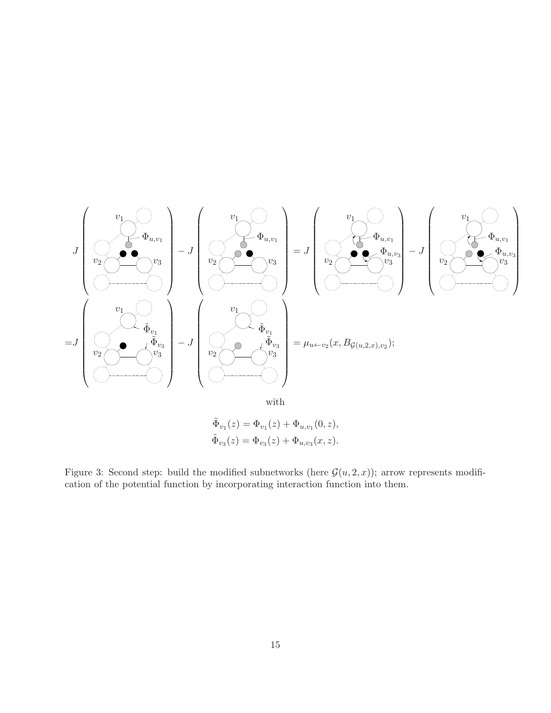

Figure 3: Second step: build the modified subnetworks (here  $\mathcal{G}(u, 2, x)$ ); arrow represents modification of the potential function by incorporating interaction function into them.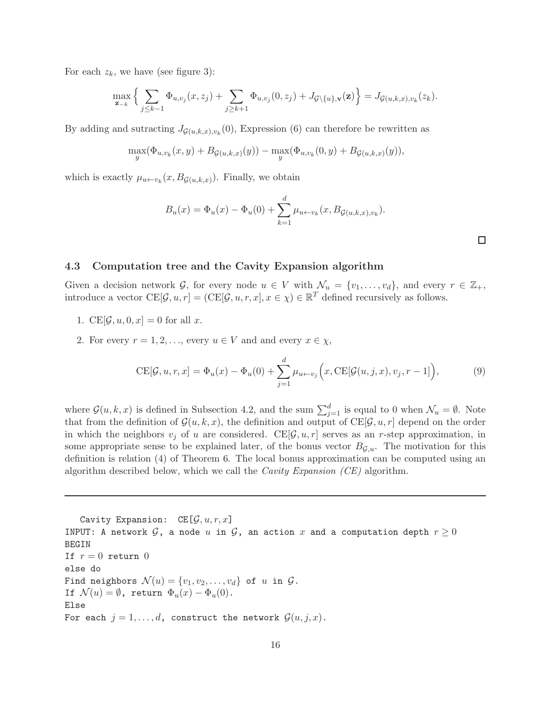For each  $z_k$ , we have (see figure 3):

$$
\max_{\mathbf{z}_{-k}} \Big\{ \sum_{j \leq k-1} \Phi_{u,v_j}(x,z_j) + \sum_{j \geq k+1} \Phi_{u,v_j}(0,z_j) + J_{\mathcal{G}\setminus\{u\},\mathbf{v}}(\mathbf{z}) \Big\} = J_{\mathcal{G}(u,k,x),v_k}(z_k).
$$

By adding and sutracting  $J_{\mathcal{G}(u,k,x),v_k}(0)$ , Expression (6) can therefore be rewritten as

$$
\max_{y} (\Phi_{u,v_k}(x,y) + B_{\mathcal{G}(u,k,x)}(y)) - \max_{y} (\Phi_{u,v_k}(0,y) + B_{\mathcal{G}(u,k,x)}(y)),
$$

which is exactly  $\mu_{u \leftarrow v_k}(x, B_{\mathcal{G}(u,k,x)})$ . Finally, we obtain

$$
B_u(x) = \Phi_u(x) - \Phi_u(0) + \sum_{k=1}^d \mu_{u \leftarrow v_k}(x, B_{\mathcal{G}(u,k,x),v_k}).
$$

### 4.3 Computation tree and the Cavity Expansion algorithm

Given a decision network G, for every node  $u \in V$  with  $\mathcal{N}_u = \{v_1, \ldots, v_d\}$ , and every  $r \in \mathbb{Z}_+$ , introduce a vector  $CE[\mathcal{G}, u, r] = (CE[\mathcal{G}, u, r, x], x \in \chi) \in \mathbb{R}^T$  defined recursively as follows.

- 1. CE $[\mathcal{G}, u, 0, x] = 0$  for all x.
- 2. For every  $r = 1, 2, \ldots$ , every  $u \in V$  and and every  $x \in \chi$ ,

$$
CE[\mathcal{G}, u, r, x] = \Phi_u(x) - \Phi_u(0) + \sum_{j=1}^d \mu_{u \leftarrow v_j}\Big(x, CE[\mathcal{G}(u, j, x), v_j, r - 1]\Big),\tag{9}
$$

where  $\mathcal{G}(u,k,x)$  is defined in Subsection 4.2, and the sum  $\sum_{j=1}^{d}$  is equal to 0 when  $\mathcal{N}_u = \emptyset$ . Note that from the definition of  $\mathcal{G}(u, k, x)$ , the definition and output of  $CE[\mathcal{G}, u, r]$  depend on the order in which the neighbors  $v_j$  of u are considered. CE[ $\mathcal{G}, u, r$ ] serves as an r-step approximation, in some appropriate sense to be explained later, of the bonus vector  $B_{\mathcal{G},u}$ . The motivation for this definition is relation (4) of Theorem 6. The local bonus approximation can be computed using an algorithm described below, which we call the *Cavity Expansion (CE)* algorithm.

Cavity Expansion:  $CE[\mathcal{G}, u, r, x]$ INPUT: A network  $G$ , a node u in  $G$ , an action x and a computation depth  $r \geq 0$ BEGIN If  $r = 0$  return 0 else do Find neighbors  $\mathcal{N}(u) = \{v_1, v_2, \ldots, v_d\}$  of u in  $\mathcal{G}$ . If  $\mathcal{N}(u) = \emptyset$ , return  $\Phi_u(x) - \Phi_u(0)$ . Else For each  $j = 1, \ldots, d$ , construct the network  $\mathcal{G}(u, j, x)$ .

 $\Box$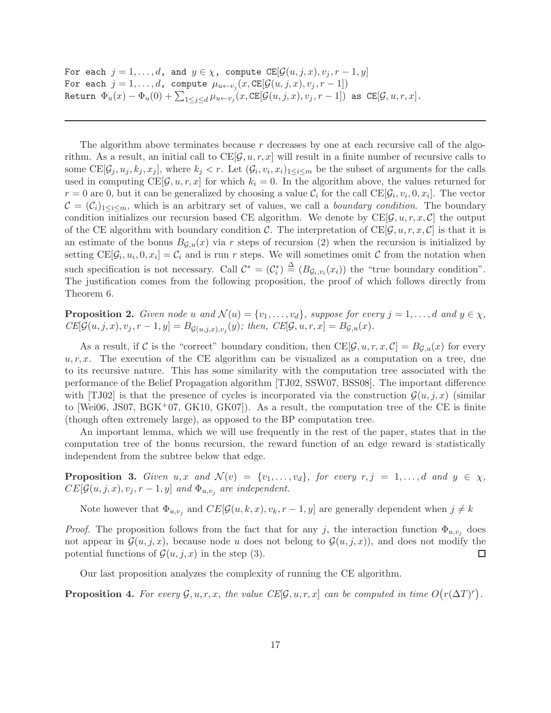For each  $j = 1, \ldots, d$ , and  $y \in \chi$ , compute  $\text{CE}[\mathcal{G}(u, j, x), v_j, r - 1, y]$ For each  $j=1,\ldots,d$ , compute  $\mu_{u \leftarrow v_j} (x,\texttt{CE}[\mathcal{G}(u,j,x),v_j,r-1])$ Return  $\Phi_u(x) - \Phi_u(0) + \sum_{1 \leq j \leq d} \mu_{u \leftarrow v_j}(x, \texttt{CE}[\mathcal{G}(u, j, x), v_j, r-1])$  as  $\texttt{CE}[\mathcal{G}, u, r, x]$ .

The algorithm above terminates because  $r$  decreases by one at each recursive call of the algorithm. As a result, an initial call to  $CE[\mathcal{G}, u, r, x]$  will result in a finite number of recursive calls to some  $\text{CE}[\mathcal{G}_j, u_j, k_j, x_j]$ , where  $k_j < r$ . Let  $(\mathcal{G}_i, v_i, x_i)_{1 \leq i \leq m}$  be the subset of arguments for the calls used in computing  $CE[\mathcal{G}, u, r, x]$  for which  $k_i = 0$ . In the algorithm above, the values returned for  $r = 0$  are 0, but it can be generalized by choosing a value  $C_i$  for the call  $CE[\mathcal{G}_i, v_i, 0, x_i]$ . The vector  $\mathcal{C} = (\mathcal{C}_i)_{1 \leq i \leq m}$ , which is an arbitrary set of values, we call a *boundary condition*. The boundary condition initializes our recursion based CE algorithm. We denote by  $CE[\mathcal{G}, u, r, x, \mathcal{C}]$  the output of the CE algorithm with boundary condition C. The interpretation of  $CE[\mathcal{G}, u, r, x, \mathcal{C}]$  is that it is an estimate of the bonus  $B_{G,u}(x)$  via r steps of recursion (2) when the recursion is initialized by setting  $CE[\mathcal{G}_i, u_i, 0, x_i] = \mathcal{C}_i$  and is run r steps. We will sometimes omit C from the notation when such specification is not necessary. Call  $\mathcal{C}^* = (\mathcal{C}_i^*) \stackrel{\Delta}{=} (B_{\mathcal{G}_i, v_i}(x_i))$  the "true boundary condition". The justification comes from the following proposition, the proof of which follows directly from Theorem 6.

**Proposition 2.** *Given node* u *and*  $\mathcal{N}(u) = \{v_1, \ldots, v_d\}$ *, suppose for every*  $j = 1, \ldots, d$  *and*  $y \in \chi$ *,*  $CE[\mathcal{G}(u, j, x), v_j, r - 1, y] = B_{\mathcal{G}(u, j, x), v_j}(y); \text{ then, } CE[\mathcal{G}, u, r, x] = B_{\mathcal{G}, u}(x).$ 

As a result, if C is the "correct" boundary condition, then  $CE[\mathcal{G}, u, r, x, \mathcal{C}] = B_{\mathcal{G},u}(x)$  for every  $u, r, x$ . The execution of the CE algorithm can be visualized as a computation on a tree, due to its recursive nature. This has some similarity with the computation tree associated with the performance of the Belief Propagation algorithm [TJ02, SSW07, BSS08]. The important difference with [TJ02] is that the presence of cycles is incorporated via the construction  $\mathcal{G}(u, j, x)$  (similar to [Wei06, JS07, BGK<sup>+</sup>07, GK10, GK07]). As a result, the computation tree of the CE is finite (though often extremely large), as opposed to the BP computation tree.

An important lemma, which we will use frequently in the rest of the paper, states that in the computation tree of the bonus recursion, the reward function of an edge reward is statistically independent from the subtree below that edge.

**Proposition 3.** Given  $u, x$  and  $\mathcal{N}(v) = \{v_1, \ldots, v_d\}$ , for every  $r, j = 1, \ldots, d$  and  $y \in \chi$ ,  $CE[\mathcal{G}(u, j, x), v_j, r - 1, y]$  and  $\Phi_{u, v_j}$  are independent.

Note however that  $\Phi_{u,v_j}$  and  $CE[\mathcal{G}(u,k,x), v_k, r-1, y]$  are generally dependent when  $j \neq k$ 

*Proof.* The proposition follows from the fact that for any j, the interaction function  $\Phi_{u,v_i}$  does not appear in  $\mathcal{G}(u, j, x)$ , because node u does not belong to  $\mathcal{G}(u, j, x)$ , and does not modify the potential functions of  $\mathcal{G}(u, j, x)$  in the step (3). potential functions of  $\mathcal{G}(u, j, x)$  in the step (3).

Our last proposition analyzes the complexity of running the CE algorithm.

**Proposition 4.** For every  $\mathcal{G}, u, r, x$ , the value  $CE[\mathcal{G}, u, r, x]$  can be computed in time  $O(r(\Delta T)^r)$ .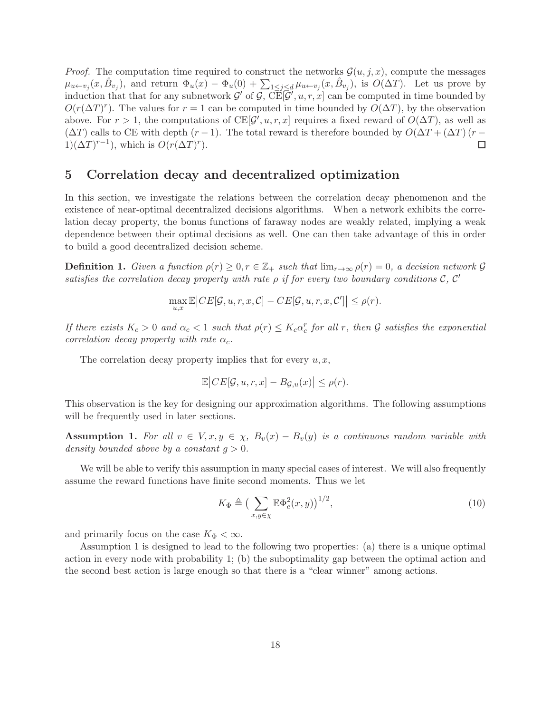*Proof.* The computation time required to construct the networks  $\mathcal{G}(u, j, x)$ , compute the messages  $\mu_{u \leftarrow v_j}(x, \hat{B}_{v_j})$ , and return  $\Phi_u(x) - \Phi_u(0) + \sum_{1 \leq j \leq d} \mu_{u \leftarrow v_j}(x, \hat{B}_{v_j})$ , is  $O(\Delta T)$ . Let us prove by induction that that for any subnetwork  $\mathcal{G}'$  of  $\mathcal{G}$ ,  $CE[\mathcal{G}', u, r, x]$  can be computed in time bounded by  $O(r(\Delta T)^r)$ . The values for  $r = 1$  can be computed in time bounded by  $O(\Delta T)$ , by the observation above. For  $r > 1$ , the computations of  $CE[\mathcal{G}', u, r, x]$  requires a fixed reward of  $O(\Delta T)$ , as well as  $(\Delta T)$  calls to CE with depth  $(r - 1)$ . The total reward is therefore bounded by  $O(\Delta T + (\Delta T) (r - 1)(\Delta T)^{r-1})$ , which is  $O(r(\Delta T)^{r})$ .  $1)(\Delta T)^{r-1}$ , which is  $O(r(\Delta T)^r)$ .

### 5 Correlation decay and decentralized optimization

In this section, we investigate the relations between the correlation decay phenomenon and the existence of near-optimal decentralized decisions algorithms. When a network exhibits the correlation decay property, the bonus functions of faraway nodes are weakly related, implying a weak dependence between their optimal decisions as well. One can then take advantage of this in order to build a good decentralized decision scheme.

**Definition 1.** *Given a function*  $\rho(r) \geq 0, r \in \mathbb{Z}_+$  *such that*  $\lim_{r \to \infty} \rho(r) = 0$ *, a decision network*  $\mathcal{G}$ *satisfies the correlation decay property with rate*  $\rho$  *if for every two boundary conditions*  $C, C'$ 

$$
\max_{u,x} \mathbb{E}\big|CE[\mathcal{G}, u, r, x, \mathcal{C}] - CE[\mathcal{G}, u, r, x, \mathcal{C}']\big| \leq \rho(r).
$$

*If there exists*  $K_c > 0$  *and*  $\alpha_c < 1$  *such that*  $\rho(r) \leq K_c \alpha_c^r$  *for all r, then G satisfies the exponential correlation decay property with rate*  $\alpha_c$ *.* 

The correlation decay property implies that for every  $u, x$ ,

$$
\mathbb{E}\big|CE[\mathcal{G}, u, r, x] - B_{\mathcal{G},u}(x)\big| \le \rho(r).
$$

This observation is the key for designing our approximation algorithms. The following assumptions will be frequently used in later sections.

Assumption 1. For all  $v \in V$ ,  $x, y \in \chi$ ,  $B_v(x) - B_v(y)$  *is a continuous random variable with density bounded above by a constant*  $q > 0$ *.* 

We will be able to verify this assumption in many special cases of interest. We will also frequently assume the reward functions have finite second moments. Thus we let

$$
K_{\Phi} \triangleq \left(\sum_{x,y \in \chi} \mathbb{E} \Phi_e^2(x,y)\right)^{1/2},\tag{10}
$$

and primarily focus on the case  $K_{\Phi} < \infty$ .

Assumption 1 is designed to lead to the following two properties: (a) there is a unique optimal action in every node with probability 1; (b) the suboptimality gap between the optimal action and the second best action is large enough so that there is a "clear winner" among actions.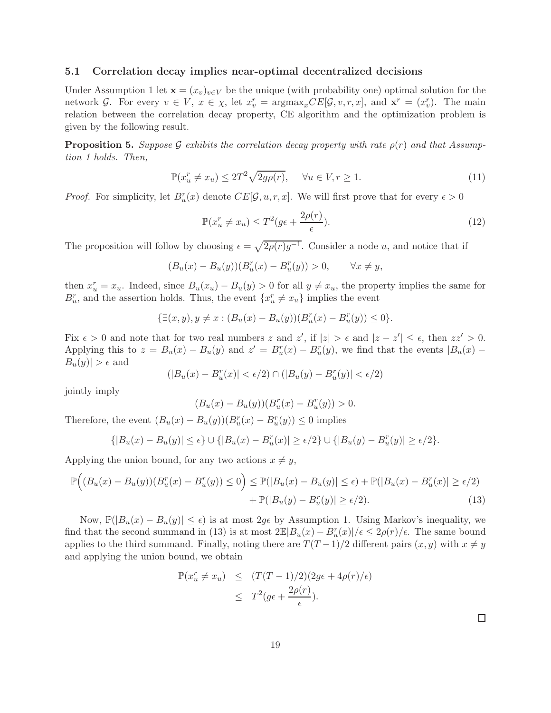### 5.1 Correlation decay implies near-optimal decentralized decisions

Under Assumption 1 let  $\mathbf{x} = (x_v)_{v \in V}$  be the unique (with probability one) optimal solution for the network G. For every  $v \in V$ ,  $x \in \chi$ , let  $x_v^r = \text{argmax}_x CE[\mathcal{G}, v, r, x]$ , and  $\mathbf{x}^r = (x_v^r)$ . The main relation between the correlation decay property, CE algorithm and the optimization problem is given by the following result.

**Proposition 5.** *Suppose* G *exhibits the correlation decay property with rate*  $\rho(r)$  *and that Assumption 1 holds. Then,*

$$
\mathbb{P}(x_u^r \neq x_u) \le 2T^2 \sqrt{2g\rho(r)}, \quad \forall u \in V, r \ge 1.
$$
\n<sup>(11)</sup>

*Proof.* For simplicity, let  $B_u^r(x)$  denote  $CE[\mathcal{G}, u, r, x]$ . We will first prove that for every  $\epsilon > 0$ 

$$
\mathbb{P}(x_u^r \neq x_u) \le T^2(g\epsilon + \frac{2\rho(r)}{\epsilon}).\tag{12}
$$

The proposition will follow by choosing  $\epsilon = \sqrt{2\rho(r)g^{-1}}$ . Consider a node u, and notice that if

 $(B_u(x) - B_u(y))(B_u^r(x) - B_u^r(y)) > 0, \qquad \forall x \neq y,$ 

then  $x_u^r = x_u$ . Indeed, since  $B_u(x_u) - B_u(y) > 0$  for all  $y \neq x_u$ , the property implies the same for  $B_u^r$ , and the assertion holds. Thus, the event  $\{x_u^r \neq x_u\}$  implies the event

$$
\{\exists (x, y), y \neq x : (B_u(x) - B_u(y))(B_u^r(x) - B_u^r(y)) \leq 0\}.
$$

Fix  $\epsilon > 0$  and note that for two real numbers z and z', if  $|z| > \epsilon$  and  $|z - z'| \leq \epsilon$ , then  $zz' > 0$ . Applying this to  $z = B_u(x) - B_u(y)$  and  $z' = B_u^r(x) - B_u^r(y)$ , we find that the events  $|B_u(x) - B_u(y)|$  $|B_u(y)| > \epsilon$  and

$$
(|B_u(x) - B_u^r(x)| < \epsilon/2) \cap (|B_u(y) - B_u^r(y)| < \epsilon/2)
$$

jointly imply

$$
(B_u(x) - B_u(y))(B_u^r(x) - B_u^r(y)) > 0.
$$

Therefore, the event  $(B_u(x) - B_u(y))(B_u^r(x) - B_u^r(y)) \leq 0$  implies

$$
\{|B_u(x) - B_u(y)| \le \epsilon\} \cup \{|B_u(x) - B_u^r(x)| \ge \epsilon/2\} \cup \{|B_u(y) - B_u^r(y)| \ge \epsilon/2\}.
$$

Applying the union bound, for any two actions  $x \neq y$ ,

$$
\mathbb{P}\Big((B_u(x) - B_u(y))(B_u^r(x) - B_u^r(y)) \le 0\Big) \le \mathbb{P}(|B_u(x) - B_u(y)| \le \epsilon) + \mathbb{P}(|B_u(x) - B_u^r(x)| \ge \epsilon/2) + \mathbb{P}(|B_u(y) - B_u^r(y)| \ge \epsilon/2).
$$
\n(13)

Now,  $\mathbb{P}(|B_u(x) - B_u(y)| \leq \epsilon)$  is at most  $2g\epsilon$  by Assumption 1. Using Markov's inequality, we find that the second summand in (13) is at most  $2\mathbb{E}|B_u(x)-B_u^r(x)|/\epsilon \leq 2\rho(r)/\epsilon$ . The same bound applies to the third summand. Finally, noting there are  $T(T-1)/2$  different pairs  $(x, y)$  with  $x \neq y$ and applying the union bound, we obtain

$$
\mathbb{P}(x_u^r \neq x_u) \leq (T(T-1)/2)(2g\epsilon + 4\rho(r)/\epsilon)
$$
  

$$
\leq T^2(g\epsilon + \frac{2\rho(r)}{\epsilon}).
$$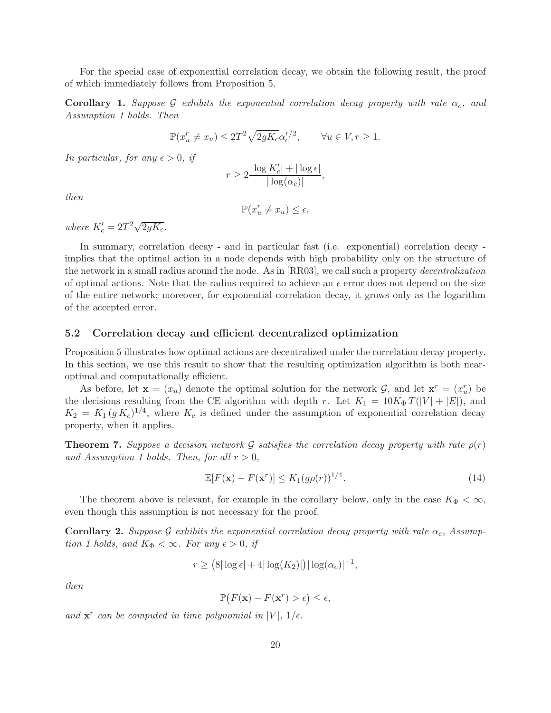For the special case of exponential correlation decay, we obtain the following result, the proof of which immediately follows from Proposition 5.

**Corollary 1.** *Suppose* G *exhibits the exponential correlation decay property with rate*  $\alpha_c$ , and *Assumption 1 holds. Then*

$$
\mathbb{P}(x_u^r \neq x_u) \le 2T^2 \sqrt{2gK_c} \alpha_c^{r/2}, \qquad \forall u \in V, r \ge 1.
$$

*In particular, for any*  $\epsilon > 0$ *, if* 

$$
r \ge 2 \frac{|\log K_c'| + |\log \epsilon|}{|\log(\alpha_c)|},
$$

*then*

$$
\mathbb{P}(x_u^r \neq x_u) \le \epsilon,
$$

*where*  $K_c' = 2T^2 \sqrt{2gK_c}$ .

In summary, correlation decay - and in particular fast (i.e. exponential) correlation decay implies that the optimal action in a node depends with high probability only on the structure of the network in a small radius around the node. As in [RR03], we call such a property *decentralization* of optimal actions. Note that the radius required to achieve an  $\epsilon$  error does not depend on the size of the entire network; moreover, for exponential correlation decay, it grows only as the logarithm of the accepted error.

### 5.2 Correlation decay and efficient decentralized optimization

Proposition 5 illustrates how optimal actions are decentralized under the correlation decay property. In this section, we use this result to show that the resulting optimization algorithm is both nearoptimal and computationally efficient.

As before, let  $\mathbf{x} = (x_u)$  denote the optimal solution for the network  $\mathcal{G}$ , and let  $\mathbf{x}^r = (x_u^r)$  be the decisions resulting from the CE algorithm with depth r. Let  $K_1 = 10K_{\Phi}T(|V| + |E|)$ , and  $K_2 = K_1 (g K_c)^{1/4}$ , where  $K_c$  is defined under the assumption of exponential correlation decay property, when it applies.

**Theorem 7.** Suppose a decision network G satisfies the correlation decay property with rate  $\rho(r)$ *and Assumption 1 holds. Then, for all*  $r > 0$ ,

$$
\mathbb{E}[F(\mathbf{x}) - F(\mathbf{x}^r)] \le K_1(g\rho(r))^{1/4}.
$$
\n(14)

The theorem above is relevant, for example in the corollary below, only in the case  $K_{\Phi} < \infty$ , even though this assumption is not necessary for the proof.

**Corollary 2.** *Suppose* G *exhibits the exponential correlation decay property with rate*  $\alpha_c$ , Assump*tion 1 holds, and*  $K_{\Phi} < \infty$ *. For any*  $\epsilon > 0$ *, if* 

$$
r \geq (8|\log \epsilon| + 4|\log(K_2)|)|\log(\alpha_c)|^{-1},
$$

*then*

$$
\mathbb{P}\big(F(\mathbf{x}) - F(\mathbf{x}^r) > \epsilon\big) \le \epsilon,
$$

and  $\mathbf{x}^r$  can be computed in time polynomial in  $|V|$ ,  $1/\epsilon$ .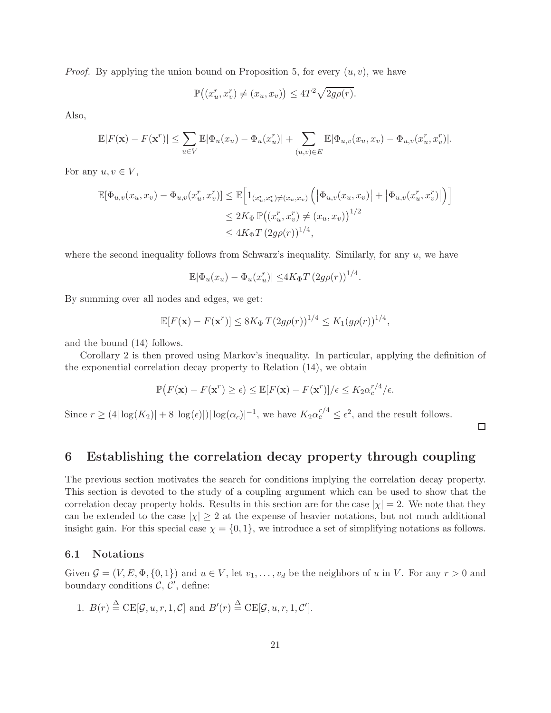*Proof.* By applying the union bound on Proposition 5, for every  $(u, v)$ , we have

$$
\mathbb{P}\big((x_u^r, x_v^r) \neq (x_u, x_v)\big) \leq 4T^2 \sqrt{2g\rho(r)}.
$$

Also,

$$
\mathbb{E}|F(\mathbf{x}) - F(\mathbf{x}^r)| \leq \sum_{u \in V} \mathbb{E}|\Phi_u(x_u) - \Phi_u(x_u^r)| + \sum_{(u,v) \in E} \mathbb{E}|\Phi_{u,v}(x_u, x_v) - \Phi_{u,v}(x_u^r, x_v^r)|.
$$

For any  $u, v \in V$ ,

$$
\mathbb{E}[\Phi_{u,v}(x_u, x_v) - \Phi_{u,v}(x_u^r, x_v^r)] \leq \mathbb{E}\Big[1_{(x_u^r, x_v^r) \neq (x_u, x_v)} \Big(\big|\Phi_{u,v}(x_u, x_v)\big| + \big|\Phi_{u,v}(x_u^r, x_v^r)\big|\Big)\Big]
$$
  

$$
\leq 2K_{\Phi} \mathbb{P}\big((x_u^r, x_v^r) \neq (x_u, x_v)\big)^{1/2}
$$
  

$$
\leq 4K_{\Phi} T \left(2g\rho(r)\right)^{1/4},
$$

where the second inequality follows from Schwarz's inequality. Similarly, for any  $u$ , we have

$$
\mathbb{E}|\Phi_u(x_u) - \Phi_u(x_u^r)| \leq 4K_{\Phi}T(2g\rho(r))^{1/4}.
$$

By summing over all nodes and edges, we get:

$$
\mathbb{E}[F(\mathbf{x}) - F(\mathbf{x}^r)] \leq 8K_{\Phi} T (2g\rho(r))^{1/4} \leq K_1 (g\rho(r))^{1/4},
$$

and the bound (14) follows.

Corollary 2 is then proved using Markov's inequality. In particular, applying the definition of the exponential correlation decay property to Relation (14), we obtain

$$
\mathbb{P}(F(\mathbf{x}) - F(\mathbf{x}^r) \ge \epsilon) \le \mathbb{E}[F(\mathbf{x}) - F(\mathbf{x}^r)]/\epsilon \le K_2 \alpha_c^{r/4}/\epsilon.
$$

Since  $r \geq (4|\log(K_2)| + 8|\log(\epsilon)|)|\log(\alpha_c)|^{-1}$ , we have  $K_2\alpha_c^{r/4} \leq \epsilon^2$ , and the result follows.

 $\Box$ 

### 6 Establishing the correlation decay property through coupling

The previous section motivates the search for conditions implying the correlation decay property. This section is devoted to the study of a coupling argument which can be used to show that the correlation decay property holds. Results in this section are for the case  $|\chi| = 2$ . We note that they can be extended to the case  $|\chi| \geq 2$  at the expense of heavier notations, but not much additional insight gain. For this special case  $\chi = \{0, 1\}$ , we introduce a set of simplifying notations as follows.

### 6.1 Notations

Given  $\mathcal{G} = (V, E, \Phi, \{0, 1\})$  and  $u \in V$ , let  $v_1, \ldots, v_d$  be the neighbors of u in V. For any  $r > 0$  and boundary conditions  $\mathcal{C}, \mathcal{C}'$ , define:

1. 
$$
B(r) \stackrel{\Delta}{=} \text{CE}[\mathcal{G}, u, r, 1, \mathcal{C}]
$$
 and  $B'(r) \stackrel{\Delta}{=} \text{CE}[\mathcal{G}, u, r, 1, \mathcal{C}']$ .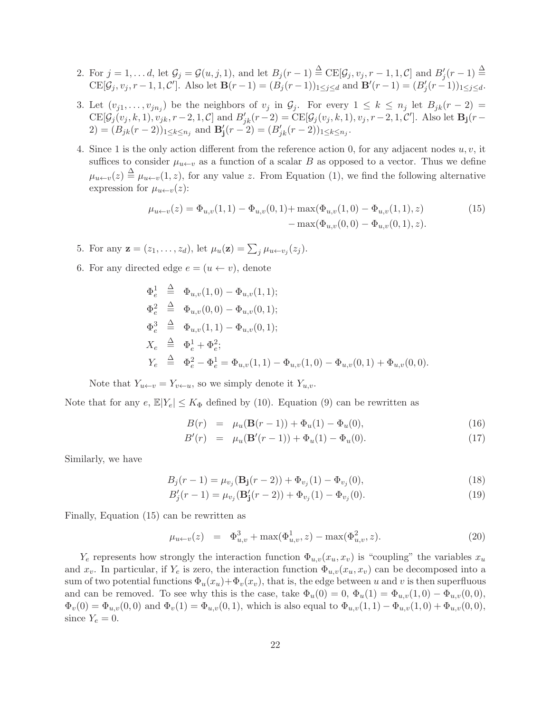- 2. For  $j = 1, \ldots d$ , let  $\mathcal{G}_j = \mathcal{G}(u, j, 1)$ , and let  $B_j(r-1) \stackrel{\Delta}{=} \text{CE}[\mathcal{G}_j, v_j, r-1, 1, \mathcal{C}]$  and  $B'_j(r-1) \stackrel{\Delta}{=}$  $CE[\mathcal{G}_j, v_j, r-1, 1, \mathcal{C}']$ . Also let  $\mathbf{B}(r-1) = (B_j(r-1))_{1 \leq j \leq d}$  and  $\mathbf{B}'(r-1) = (B'_j(r-1))_{1 \leq j \leq d}$ .
- 3. Let  $(v_{j1},...,v_{jn_j})$  be the neighbors of  $v_j$  in  $\mathcal{G}_j$ . For every  $1 \leq k \leq n_j$  let  $B_{jk}(r-2)$  $CE[\mathcal{G}_j(v_j, k, 1), v_{jk}, r-2, 1, \mathcal{C}]$  and  $B'_{jk}(r-2) = CE[\mathcal{G}_j(v_j, k, 1), v_j, r-2, 1, \mathcal{C}']$ . Also let  $\mathbf{B_j}(r-2)$ 2) =  $(B_{jk}(r-2))_{1 \leq k \leq n_j}$  and  $\mathbf{B}'_j(r-2) = (B'_{jk}(r-2))_{1 \leq k \leq n_j}$ .
- 4. Since 1 is the only action different from the reference action 0, for any adjacent nodes  $u, v$ , it suffices to consider  $\mu_{u\leftarrow v}$  as a function of a scalar B as opposed to a vector. Thus we define  $\mu_{u\leftarrow v}(z) \triangleq \mu_{u\leftarrow v}(1,z)$ , for any value z. From Equation (1), we find the following alternative expression for  $\mu_{u\leftarrow v}(z)$ :

$$
\mu_{u \leftarrow v}(z) = \Phi_{u,v}(1,1) - \Phi_{u,v}(0,1) + \max(\Phi_{u,v}(1,0) - \Phi_{u,v}(1,1),z) - \max(\Phi_{u,v}(0,0) - \Phi_{u,v}(0,1),z).
$$
\n(15)

5. For any  $\mathbf{z} = (z_1, \dots, z_d)$ , let  $\mu_u(\mathbf{z}) = \sum_j \mu_{u \leftarrow v_j}(z_j)$ .

6. For any directed edge  $e = (u \leftarrow v)$ , denote

$$
\begin{aligned}\n\Phi_e^1 &\triangleq \Phi_{u,v}(1,0) - \Phi_{u,v}(1,1); \\
\Phi_e^2 &\triangleq \Phi_{u,v}(0,0) - \Phi_{u,v}(0,1); \\
\Phi_e^3 &\triangleq \Phi_{u,v}(1,1) - \Phi_{u,v}(0,1); \\
X_e &\triangleq \Phi_e^1 + \Phi_e^2; \\
Y_e &\triangleq \Phi_e^2 - \Phi_e^1 = \Phi_{u,v}(1,1) - \Phi_{u,v}(1,0) - \Phi_{u,v}(0,1) + \Phi_{u,v}(0,0).\n\end{aligned}
$$

Note that  $Y_{u \leftarrow v} = Y_{v \leftarrow u}$ , so we simply denote it  $Y_{u,v}$ .

Note that for any  $e, \mathbb{E}|Y_e| \leq K_{\Phi}$  defined by (10). Equation (9) can be rewritten as

$$
B(r) = \mu_u(\mathbf{B}(r-1)) + \Phi_u(1) - \Phi_u(0), \tag{16}
$$

$$
B'(r) = \mu_u(\mathbf{B}'(r-1)) + \Phi_u(1) - \Phi_u(0). \tag{17}
$$

Similarly, we have

$$
B_j(r-1) = \mu_{v_j}(\mathbf{B_j}(r-2)) + \Phi_{v_j}(1) - \Phi_{v_j}(0),\tag{18}
$$

$$
B'_{j}(r-1) = \mu_{v_j}(\mathbf{B}'_{j}(r-2)) + \Phi_{v_j}(1) - \Phi_{v_j}(0). \tag{19}
$$

Finally, Equation (15) can be rewritten as

$$
\mu_{u \leftarrow v}(z) = \Phi_{u,v}^3 + \max(\Phi_{u,v}^1, z) - \max(\Phi_{u,v}^2, z). \tag{20}
$$

 $Y_e$  represents how strongly the interaction function  $\Phi_{u,v}(x_u, x_v)$  is "coupling" the variables  $x_u$ and  $x_v$ . In particular, if  $Y_e$  is zero, the interaction function  $\Phi_{u,v}(x_u, x_v)$  can be decomposed into a sum of two potential functions  $\Phi_u(x_u)+\Phi_v(x_v)$ , that is, the edge between u and v is then superfluous and can be removed. To see why this is the case, take  $\Phi_u(0) = 0$ ,  $\Phi_u(1) = \Phi_{u,v}(1,0) - \Phi_{u,v}(0,0)$ ,  $\Phi_v(0) = \Phi_{u,v}(0,0)$  and  $\Phi_v(1) = \Phi_{u,v}(0,1)$ , which is also equal to  $\Phi_{u,v}(1,1) - \Phi_{u,v}(1,0) + \Phi_{u,v}(0,0)$ , since  $Y_e = 0$ .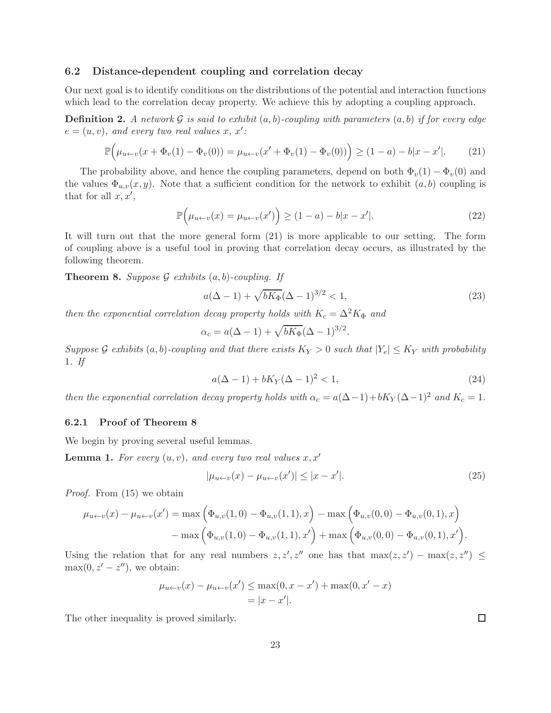### 6.2 Distance-dependent coupling and correlation decay

Our next goal is to identify conditions on the distributions of the potential and interaction functions which lead to the correlation decay property. We achieve this by adopting a coupling approach.

**Definition 2.** A network  $\mathcal G$  is said to exhibit  $(a, b)$ -coupling with parameters  $(a, b)$  if for every edge  $e = (u, v)$ *, and every two real values x, x'*:

$$
\mathbb{P}\Big(\mu_{u\leftarrow v}(x+\Phi_v(1)-\Phi_v(0)) = \mu_{u\leftarrow v}(x'+\Phi_v(1)-\Phi_v(0))\Big) \ge (1-a) - b|x-x'|.
$$
 (21)

The probability above, and hence the coupling parameters, depend on both  $\Phi_v(1) - \Phi_v(0)$  and the values  $\Phi_{u,v}(x, y)$ . Note that a sufficient condition for the network to exhibit  $(a, b)$  coupling is that for all  $x, x'$ ,

$$
\mathbb{P}\Big(\mu_{u \leftarrow v}(x) = \mu_{u \leftarrow v}(x')\Big) \ge (1 - a) - b|x - x'|.
$$
\n(22)

It will turn out that the more general form (21) is more applicable to our setting. The form of coupling above is a useful tool in proving that correlation decay occurs, as illustrated by the following theorem.

Theorem 8. *Suppose* G *exhibits* (a, b)*-coupling. If*

$$
a(\Delta - 1) + \sqrt{bK_{\Phi}}(\Delta - 1)^{3/2} < 1,\tag{23}
$$

*then the exponential correlation decay property holds with*  $K_c = \Delta^2 K_{\Phi}$  *and* 

$$
\alpha_c = a(\Delta - 1) + \sqrt{bK_{\Phi}}(\Delta - 1)^{3/2}.
$$

*Suppose* G *exhibits*  $(a, b)$ *-coupling and that there exists*  $K_Y > 0$  *such that*  $|Y_e| \leq K_Y$  *with probability* 1*. If*

$$
a(\Delta - 1) + bK_Y(\Delta - 1)^2 < 1,\tag{24}
$$

*then the exponential correlation decay property holds with*  $\alpha_c = a(\Delta - 1) + bK_Y (\Delta - 1)^2$  *and*  $K_c = 1$ *.* 

### 6.2.1 Proof of Theorem 8

We begin by proving several useful lemmas.

**Lemma 1.** For every  $(u, v)$ , and every two real values  $x, x'$ 

$$
|\mu_{u \leftarrow v}(x) - \mu_{u \leftarrow v}(x')| \le |x - x'|.
$$
\n(25)

*Proof.* From (15) we obtain

$$
\mu_{u \leftarrow v}(x) - \mu_{u \leftarrow v}(x') = \max\left(\Phi_{u,v}(1,0) - \Phi_{u,v}(1,1),x\right) - \max\left(\Phi_{u,v}(0,0) - \Phi_{u,v}(0,1),x\right) - \max\left(\Phi_{u,v}(1,0) - \Phi_{u,v}(1,1),x'\right) + \max\left(\Phi_{u,v}(0,0) - \Phi_{u,v}(0,1),x'\right).
$$

Using the relation that for any real numbers  $z, z', z''$  one has that  $\max(z, z') - \max(z, z'') \leq$  $\max(0, z' - z'')$ , we obtain:

$$
\mu_{u \leftarrow v}(x) - \mu_{u \leftarrow v}(x') \le \max(0, x - x') + \max(0, x' - x)
$$
  
= |x - x'|.

The other inequality is proved similarly.

 $\Box$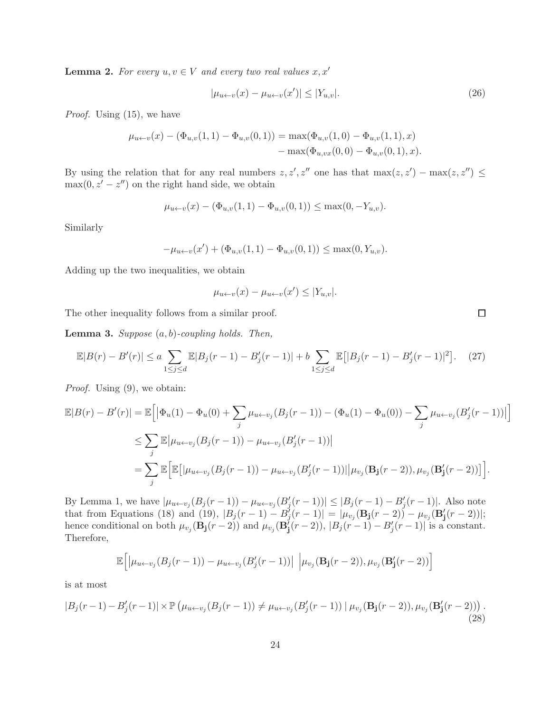**Lemma 2.** For every  $u, v \in V$  and every two real values  $x, x'$ 

$$
|\mu_{u \leftarrow v}(x) - \mu_{u \leftarrow v}(x')| \le |Y_{u,v}|.
$$
\n(26)

*Proof.* Using (15), we have

$$
\mu_{u \leftarrow v}(x) - (\Phi_{u,v}(1,1) - \Phi_{u,v}(0,1)) = \max(\Phi_{u,v}(1,0) - \Phi_{u,v}(1,1),x)
$$

$$
-\max(\Phi_{u,vx}(0,0) - \Phi_{u,v}(0,1),x).
$$

By using the relation that for any real numbers  $z, z', z''$  one has that  $\max(z, z') - \max(z, z'') \leq$  $\max(0, z' - z'')$  on the right hand side, we obtain

$$
\mu_{u \leftarrow v}(x) - (\Phi_{u,v}(1,1) - \Phi_{u,v}(0,1)) \leq \max(0, -Y_{u,v}).
$$

Similarly

$$
-\mu_{u \leftarrow v}(x') + (\Phi_{u,v}(1,1) - \Phi_{u,v}(0,1)) \leq \max(0, Y_{u,v}).
$$

Adding up the two inequalities, we obtain

$$
\mu_{u \leftarrow v}(x) - \mu_{u \leftarrow v}(x') \le |Y_{u,v}|.
$$

The other inequality follows from a similar proof.

Lemma 3. *Suppose* (a, b)*-coupling holds. Then,*

$$
\mathbb{E}|B(r) - B'(r)| \le a \sum_{1 \le j \le d} \mathbb{E}|B_j(r-1) - B'_j(r-1)| + b \sum_{1 \le j \le d} \mathbb{E}[|B_j(r-1) - B'_j(r-1)|^2]. \tag{27}
$$

*Proof.* Using (9), we obtain:

$$
\mathbb{E}|B(r) - B'(r)| = \mathbb{E}\Big[\big|\Phi_u(1) - \Phi_u(0) + \sum_j \mu_{u \leftarrow v_j}(B_j(r-1)) - (\Phi_u(1) - \Phi_u(0)) - \sum_j \mu_{u \leftarrow v_j}(B_j'(r-1))\big|\Big] \n\leq \sum_j \mathbb{E}\big|\mu_{u \leftarrow v_j}(B_j(r-1)) - \mu_{u \leftarrow v_j}(B_j'(r-1))\big| \n= \sum_j \mathbb{E}\Big[\mathbb{E}\big[|\mu_{u \leftarrow v_j}(B_j(r-1)) - \mu_{u \leftarrow v_j}(B_j'(r-1))|\big|\mu_{v_j}(\mathbf{B_j}(r-2)), \mu_{v_j}(\mathbf{B_j}'(r-2))\big]\Big].
$$

By Lemma 1, we have  $|\mu_{u \leftarrow v_j}(B_j(r-1)) - \mu_{u \leftarrow v_j}(B'_j(r-1))| \leq |B_j(r-1) - B'_j(r-1)|$ . Also note that from Equations (18) and (19),  $|B_j(r-1) - B'_j(r-1)| = |\mu_{v_j}(\mathbf{B_j}(r-2)) - \mu_{v_j}(\mathbf{B'_j}(r-2))|;$ hence conditional on both  $\mu_{v_j}(\mathbf{B_j}(r-2))$  and  $\mu_{v_j}(\mathbf{B'_j}(r-2))$ ,  $|B_j(r-1) - B'_j(r-1)|$  is a constant. Therefore,

$$
\mathbb{E}\Big[\big|\mu_{u\leftarrow v_j}(B_j(r-1)) - \mu_{u\leftarrow v_j}(B'_j(r-1))\big| \Big|\mu_{v_j}(\mathbf{B_j}(r-2)), \mu_{v_j}(\mathbf{B'_j}(r-2))\Big]
$$

is at most

$$
|B_j(r-1) - B'_j(r-1)| \times \mathbb{P}\left(\mu_{u \leftarrow v_j}(B_j(r-1)) \neq \mu_{u \leftarrow v_j}(B'_j(r-1)) \mid \mu_{v_j}(\mathbf{B_j}(r-2)), \mu_{v_j}(\mathbf{B}'_j(r-2))\right). \tag{28}
$$

 $\Box$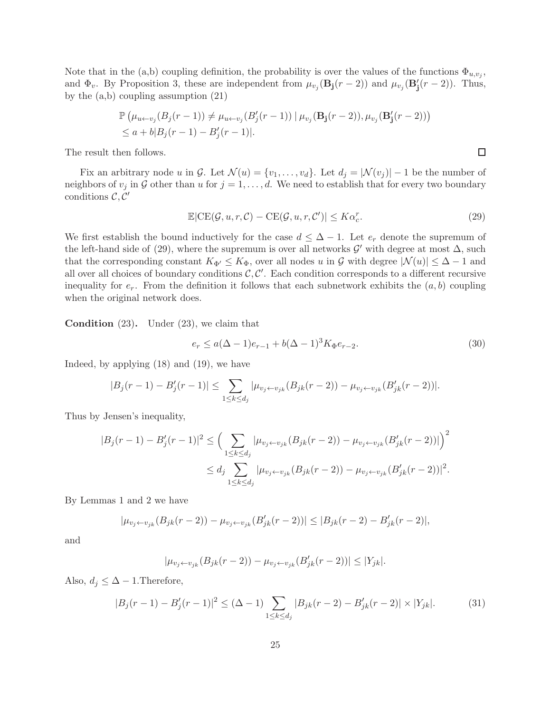Note that in the (a,b) coupling definition, the probability is over the values of the functions  $\Phi_{u,v_j}$ , and  $\Phi_v$ . By Proposition 3, these are independent from  $\mu_{v_j}(\mathbf{B}_j(r-2))$  and  $\mu_{v_j}(\mathbf{B}'_j(r-2))$ . Thus, by the (a,b) coupling assumption (21)

$$
\mathbb{P}(\mu_{u \leftarrow v_j}(B_j(r-1)) \neq \mu_{u \leftarrow v_j}(B'_j(r-1)) | \mu_{v_j}(\mathbf{B_j}(r-2)), \mu_{v_j}(\mathbf{B'_j}(r-2)))
$$
  
\n
$$
\leq a + b|B_j(r-1) - B'_j(r-1)|.
$$

The result then follows.

Fix an arbitrary node u in G. Let  $\mathcal{N}(u) = \{v_1, \ldots, v_d\}$ . Let  $d_j = |\mathcal{N}(v_j)| - 1$  be the number of neighbors of  $v_j$  in G other than u for  $j = 1, \ldots, d$ . We need to establish that for every two boundary conditions  $\mathcal{C}, \mathcal{C}'$ 

$$
\mathbb{E}|\mathrm{CE}(\mathcal{G}, u, r, \mathcal{C}) - \mathrm{CE}(\mathcal{G}, u, r, \mathcal{C}')| \leq K\alpha_c^r.
$$
\n(29)

 $\Box$ 

We first establish the bound inductively for the case  $d \leq \Delta - 1$ . Let  $e_r$  denote the supremum of the left-hand side of (29), where the supremum is over all networks  $\mathcal{G}'$  with degree at most  $\Delta$ , such that the corresponding constant  $K_{\Phi'} \leq K_{\Phi}$ , over all nodes u in G with degree  $|\mathcal{N}(u)| \leq \Delta - 1$  and all over all choices of boundary conditions  $\mathcal{C}, \mathcal{C}'$ . Each condition corresponds to a different recursive inequality for  $e_r$ . From the definition it follows that each subnetwork exhibits the  $(a, b)$  coupling when the original network does.

Condition (23). Under (23), we claim that

$$
e_r \le a(\Delta - 1)e_{r-1} + b(\Delta - 1)^3 K_\Phi e_{r-2}.
$$
\n(30)

Indeed, by applying (18) and (19), we have

$$
|B_j(r-1) - B'_j(r-1)| \leq \sum_{1 \leq k \leq d_j} |\mu_{v_j \leftarrow v_{jk}}(B_{jk}(r-2)) - \mu_{v_j \leftarrow v_{jk}}(B'_{jk}(r-2))|.
$$

Thus by Jensen's inequality,

$$
|B_j(r-1) - B'_j(r-1)|^2 \leq \left(\sum_{1 \leq k \leq d_j} |\mu_{v_j \leftarrow v_{jk}}(B_{jk}(r-2)) - \mu_{v_j \leftarrow v_{jk}}(B'_{jk}(r-2))|\right)^2
$$
  

$$
\leq d_j \sum_{1 \leq k \leq d_j} |\mu_{v_j \leftarrow v_{jk}}(B_{jk}(r-2)) - \mu_{v_j \leftarrow v_{jk}}(B'_{jk}(r-2))|^2.
$$

By Lemmas 1 and 2 we have

$$
|\mu_{v_j \leftarrow v_{jk}}(B_{jk}(r-2)) - \mu_{v_j \leftarrow v_{jk}}(B'_{jk}(r-2))| \leq |B_{jk}(r-2) - B'_{jk}(r-2)|,
$$

and

$$
|\mu_{v_j \leftarrow v_{jk}}(B_{jk}(r-2)) - \mu_{v_j \leftarrow v_{jk}}(B'_{jk}(r-2))| \le |Y_{jk}|.
$$

Also,  $d_i \leq \Delta - 1$ . Therefore,

$$
|B_j(r-1) - B'_j(r-1)|^2 \leq (\Delta - 1) \sum_{1 \leq k \leq d_j} |B_{jk}(r-2) - B'_{jk}(r-2)| \times |Y_{jk}|.
$$
 (31)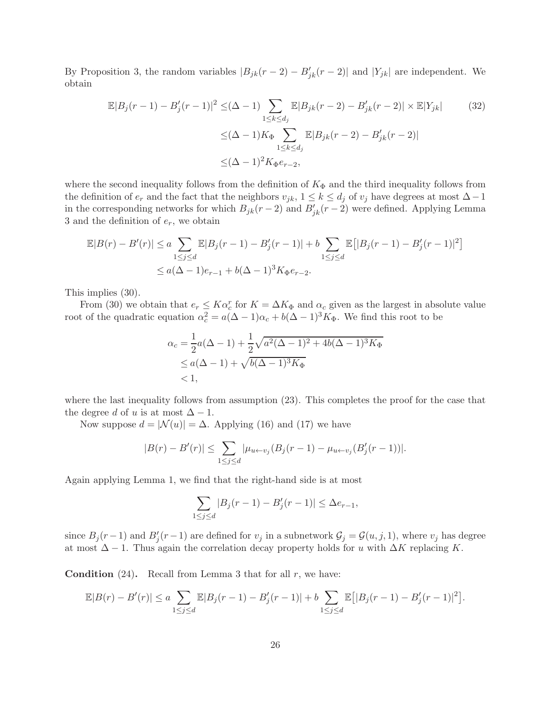By Proposition 3, the random variables  $|B_{jk}(r-2) - B'_{jk}(r-2)|$  and  $|Y_{jk}|$  are independent. We obtain

$$
\mathbb{E}|B_j(r-1) - B'_j(r-1)|^2 \leq (\Delta - 1) \sum_{1 \leq k \leq d_j} \mathbb{E}|B_{jk}(r-2) - B'_{jk}(r-2)| \times \mathbb{E}|Y_{jk}| \tag{32}
$$

$$
\leq (\Delta - 1)K_{\Phi} \sum_{1 \leq k \leq d_j} \mathbb{E}|B_{jk}(r-2) - B'_{jk}(r-2)|
$$

$$
\leq (\Delta - 1)^2 K_{\Phi} e_{r-2},
$$

where the second inequality follows from the definition of  $K_{\Phi}$  and the third inequality follows from the definition of  $e_r$  and the fact that the neighbors  $v_{jk}$ ,  $1 \leq k \leq d_j$  of  $v_j$  have degrees at most  $\Delta-1$ in the corresponding networks for which  $B_{jk}(r-2)$  and  $B'_{jk}(r-2)$  were defined. Applying Lemma 3 and the definition of  $e_r$ , we obtain

$$
\mathbb{E}|B(r) - B'(r)| \le a \sum_{1 \le j \le d} \mathbb{E}|B_j(r-1) - B'_j(r-1)| + b \sum_{1 \le j \le d} \mathbb{E}[|B_j(r-1) - B'_j(r-1)|^2]
$$
  

$$
\le a(\Delta - 1)e_{r-1} + b(\Delta - 1)^3 K_{\Phi}e_{r-2}.
$$

This implies (30).

From (30) we obtain that  $e_r \leq K\alpha_c^r$  for  $K = \Delta K_{\Phi}$  and  $\alpha_c$  given as the largest in absolute value root of the quadratic equation  $\alpha_c^2 = a(\Delta - 1)\alpha_c + b(\Delta - 1)^3 K_{\Phi}$ . We find this root to be

$$
\alpha_c = \frac{1}{2}a(\Delta - 1) + \frac{1}{2}\sqrt{a^2(\Delta - 1)^2 + 4b(\Delta - 1)^3K_{\Phi}}
$$
  
\$\le a(\Delta - 1) + \sqrt{b(\Delta - 1)^3K\_{\Phi}\$  
\$< 1\$,

where the last inequality follows from assumption (23). This completes the proof for the case that the degree d of u is at most  $\Delta - 1$ .

Now suppose  $d = |\mathcal{N}(u)| = \Delta$ . Applying (16) and (17) we have

$$
|B(r) - B'(r)| \le \sum_{1 \le j \le d} |\mu_{u \leftarrow v_j}(B_j(r-1) - \mu_{u \leftarrow v_j}(B'_j(r-1))|.
$$

Again applying Lemma 1, we find that the right-hand side is at most

$$
\sum_{1 \le j \le d} |B_j(r-1) - B'_j(r-1)| \le \Delta e_{r-1},
$$

since  $B_j(r-1)$  and  $B'_j(r-1)$  are defined for  $v_j$  in a subnetwork  $\mathcal{G}_j = \mathcal{G}(u, j, 1)$ , where  $v_j$  has degree at most  $\Delta - 1$ . Thus again the correlation decay property holds for u with  $\Delta K$  replacing K.

**Condition** (24). Recall from Lemma 3 that for all  $r$ , we have:

$$
\mathbb{E}|B(r) - B'(r)| \le a \sum_{1 \le j \le d} \mathbb{E}|B_j(r-1) - B'_j(r-1)| + b \sum_{1 \le j \le d} \mathbb{E}[|B_j(r-1) - B'_j(r-1)|^2].
$$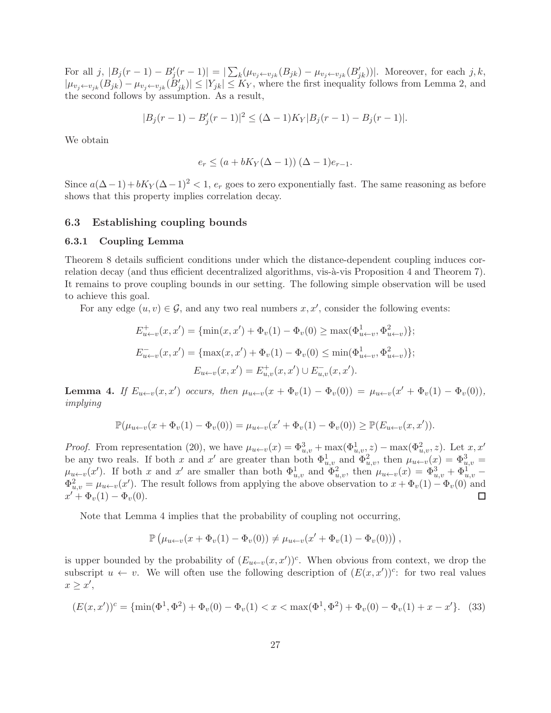For all j,  $|B_j(r-1) - B'_j(r-1)| = |\sum_k (\mu_{v_j \leftarrow v_{jk}}(B_{jk}) - \mu_{v_j \leftarrow v_{jk}}(B'_{jk}))|$ . Moreover, for each j, k,  $|\mu_{v_j \leftarrow v_{jk}}(B_{jk}) - \mu_{v_j \leftarrow v_{jk}}(B'_{jk})| \leq |Y_{jk}| \leq K_Y$ , where the first inequality follows from Lemma 2, and the second follows by assumption. As a result,

$$
|B_j(r-1) - B'_j(r-1)|^2 \leq (\Delta - 1)K_Y|B_j(r-1) - B_j(r-1)|.
$$

We obtain

$$
e_r \leq (a + bK_Y(\Delta - 1)) (\Delta - 1)e_{r-1}.
$$

Since  $a(\Delta-1)+bK_Y(\Delta-1)^2 < 1$ ,  $e_r$  goes to zero exponentially fast. The same reasoning as before shows that this property implies correlation decay.

### 6.3 Establishing coupling bounds

#### 6.3.1 Coupling Lemma

Theorem 8 details sufficient conditions under which the distance-dependent coupling induces correlation decay (and thus efficient decentralized algorithms, vis- $\grave{a}$ -vis Proposition 4 and Theorem 7). It remains to prove coupling bounds in our setting. The following simple observation will be used to achieve this goal.

For any edge  $(u, v) \in \mathcal{G}$ , and any two real numbers  $x, x'$ , consider the following events:

$$
E_{u \leftarrow v}^{+}(x, x') = \{ \min(x, x') + \Phi_{v}(1) - \Phi_{v}(0) \ge \max(\Phi_{u \leftarrow v}^{1}, \Phi_{u \leftarrow v}^{2}) \};
$$
  

$$
E_{u \leftarrow v}^{-}(x, x') = \{ \max(x, x') + \Phi_{v}(1) - \Phi_{v}(0) \le \min(\Phi_{u \leftarrow v}^{1}, \Phi_{u \leftarrow v}^{2}) \};
$$
  

$$
E_{u \leftarrow v}(x, x') = E_{u,v}^{+}(x, x') \cup E_{u,v}^{-}(x, x').
$$

**Lemma 4.** If  $E_{u \leftarrow v}(x, x')$  occurs, then  $\mu_{u \leftarrow v}(x + \Phi_v(1) - \Phi_v(0)) = \mu_{u \leftarrow v}(x' + \Phi_v(1) - \Phi_v(0)),$ *implying*

$$
\mathbb{P}(\mu_{u \leftarrow v}(x + \Phi_v(1) - \Phi_v(0)) = \mu_{u \leftarrow v}(x' + \Phi_v(1) - \Phi_v(0)) \geq \mathbb{P}(E_{u \leftarrow v}(x, x')).
$$

*Proof.* From representation (20), we have  $\mu_{u \leftarrow v}(x) = \Phi_{u,v}^3 + \max(\Phi_{u,v}^1, z) - \max(\Phi_{u,v}^2, z)$ . Let  $x, x'$ be any two reals. If both x and x' are greater than both  $\Phi_{u,v}^1$  and  $\Phi_{u,v}^2$ , then  $\mu_{u\leftarrow v}(x) = \Phi_{u,v}^3$  $\mu_{u \leftarrow v}(x')$ . If both x and x' are smaller than both  $\Phi_{u,v}^1$  and  $\Phi_{u,v}^2$ , then  $\mu_{u \leftarrow v}(x) = \Phi_{u,v}^3 + \Phi_{u,v}^1$  $\Phi_{u,v}^2 = \mu_{u \leftarrow v}(x')$ . The result follows from applying the above observation to  $x + \Phi_v(1) - \Phi_v(0)$  and  $x' + \Phi_v(1) - \Phi_v(0).$ 

Note that Lemma 4 implies that the probability of coupling not occurring,

$$
\mathbb{P}\left(\mu_{u\leftarrow v}(x+\Phi_v(1)-\Phi_v(0))\neq\mu_{u\leftarrow v}(x'+\Phi_v(1)-\Phi_v(0))\right),\right.
$$

is upper bounded by the probability of  $(E_{u\leftarrow v}(x, x'))^c$ . When obvious from context, we drop the subscript  $u \leftarrow v$ . We will often use the following description of  $(E(x, x'))^c$ : for two real values  $x \geq x',$ 

$$
(E(x, x'))^c = \{ \min(\Phi^1, \Phi^2) + \Phi_v(0) - \Phi_v(1) < x < \max(\Phi^1, \Phi^2) + \Phi_v(0) - \Phi_v(1) + x - x' \}. \tag{33}
$$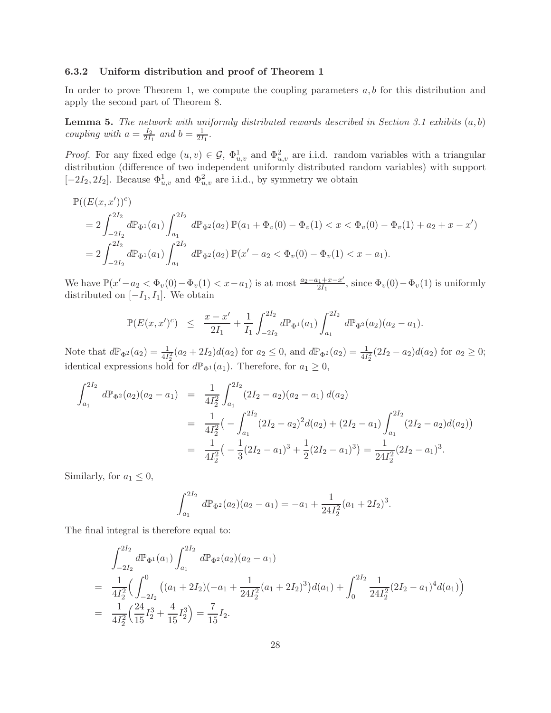### 6.3.2 Uniform distribution and proof of Theorem 1

In order to prove Theorem 1, we compute the coupling parameters  $a, b$  for this distribution and apply the second part of Theorem 8.

Lemma 5. *The network with uniformly distributed rewards described in Section 3.1 exhibits* (a, b) *coupling with*  $a = \frac{I_2}{2I_1}$  $\frac{I_2}{2I_1}$  and  $b = \frac{1}{2I}$  $\frac{1}{2I_1}$ .

*Proof.* For any fixed edge  $(u, v) \in \mathcal{G}$ ,  $\Phi_{u,v}^1$  and  $\Phi_{u,v}^2$  are i.i.d. random variables with a triangular distribution (difference of two independent uniformly distributed random variables) with support [-2I<sub>2</sub>, 2I<sub>2</sub>]. Because  $\Phi_{u,v}^1$  and  $\Phi_{u,v}^2$  are i.i.d., by symmetry we obtain

$$
\mathbb{P}((E(x, x'))^c)
$$
  
=  $2 \int_{-2I_2}^{2I_2} d\mathbb{P}_{\Phi^1}(a_1) \int_{a_1}^{2I_2} d\mathbb{P}_{\Phi^2}(a_2) \mathbb{P}(a_1 + \Phi_v(0) - \Phi_v(1) < x < \Phi_v(0) - \Phi_v(1) + a_2 + x - x')$   
=  $2 \int_{-2I_2}^{2I_2} d\mathbb{P}_{\Phi^1}(a_1) \int_{a_1}^{2I_2} d\mathbb{P}_{\Phi^2}(a_2) \mathbb{P}(x'-a_2 < \Phi_v(0) - \Phi_v(1) < x - a_1).$ 

We have  $\mathbb{P}(x'-a_2 < \Phi_v(0) - \Phi_v(1) < x - a_1)$  is at most  $\frac{a_2 - a_1 + x - x'}{2I_1}$  $\frac{a_{11}+x-x}{2I_{1}},$  since  $\Phi_{v}(0)-\Phi_{v}(1)$  is uniformly distributed on  $[-I_1, I_1]$ . We obtain

$$
\mathbb{P}(E(x,x')^c) \leq \frac{x-x'}{2I_1} + \frac{1}{I_1} \int_{-2I_2}^{2I_2} d\mathbb{P}_{\Phi^1}(a_1) \int_{a_1}^{2I_2} d\mathbb{P}_{\Phi^2}(a_2) (a_2 - a_1).
$$

Note that  $d\mathbb{P}_{\Phi^2}(a_2) = \frac{1}{4I_2^2}(a_2 + 2I_2)d(a_2)$  for  $a_2 \le 0$ , and  $d\mathbb{P}_{\Phi^2}(a_2) = \frac{1}{4I_2^2}(2I_2 - a_2)d(a_2)$  for  $a_2 \ge 0$ ; identical expressions hold for  $d\mathbb{P}_{\Phi^1}(a_1)$ . Therefore, for  $a_1 \geq 0$ ,

$$
\int_{a_1}^{2I_2} d\mathbb{P}_{\Phi^2}(a_2)(a_2 - a_1) = \frac{1}{4I_2^2} \int_{a_1}^{2I_2} (2I_2 - a_2)(a_2 - a_1) d(a_2)
$$
  
\n
$$
= \frac{1}{4I_2^2} \left( - \int_{a_1}^{2I_2} (2I_2 - a_2)^2 d(a_2) + (2I_2 - a_1) \int_{a_1}^{2I_2} (2I_2 - a_2) d(a_2) \right)
$$
  
\n
$$
= \frac{1}{4I_2^2} \left( - \frac{1}{3} (2I_2 - a_1)^3 + \frac{1}{2} (2I_2 - a_1)^3 \right) = \frac{1}{24I_2^2} (2I_2 - a_1)^3.
$$

Similarly, for  $a_1 \leq 0$ ,

$$
\int_{a_1}^{2I_2} d\mathbb{P}_{\Phi^2}(a_2)(a_2 - a_1) = -a_1 + \frac{1}{24I_2^2}(a_1 + 2I_2)^3.
$$

The final integral is therefore equal to:

$$
\int_{-2I_2}^{2I_2} d\mathbb{P}_{\Phi^1}(a_1) \int_{a_1}^{2I_2} d\mathbb{P}_{\Phi^2}(a_2)(a_2 - a_1)
$$
\n
$$
= \frac{1}{4I_2^2} \Big( \int_{-2I_2}^0 \big( (a_1 + 2I_2)(-a_1 + \frac{1}{24I_2^2}(a_1 + 2I_2)^3 \big) d(a_1) + \int_0^{2I_2} \frac{1}{24I_2^2} (2I_2 - a_1)^4 d(a_1) \Big)
$$
\n
$$
= \frac{1}{4I_2^2} \Big( \frac{24}{15}I_2^3 + \frac{4}{15}I_2^3 \Big) = \frac{7}{15}I_2.
$$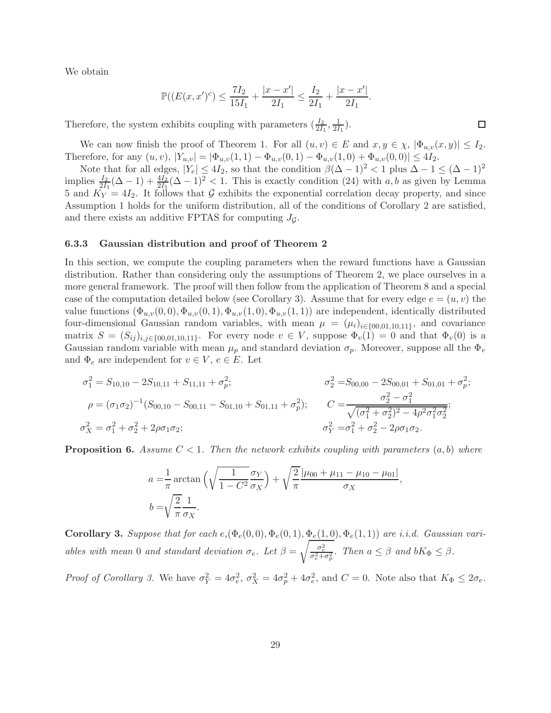We obtain

$$
\mathbb{P}((E(x, x')^{c}) \le \frac{7I_2}{15I_1} + \frac{|x - x'|}{2I_1} \le \frac{I_2}{2I_1} + \frac{|x - x'|}{2I_1}.
$$

Therefore, the system exhibits coupling with parameters  $(\frac{I_2}{2I_1}, \frac{1}{2I})$  $\frac{1}{2I_1}$ .

We can now finish the proof of Theorem 1. For all  $(u, v) \in E$  and  $x, y \in \chi$ ,  $|\Phi_{u,v}(x, y)| \leq I_2$ . Therefore, for any  $(u, v)$ ,  $|Y_{u,v}| = |\Phi_{u,v}(1, 1) - \Phi_{u,v}(0, 1) - \Phi_{u,v}(1, 0) + \Phi_{u,v}(0, 0)| \leq 4I_2$ .

Note that for all edges,  $|Y_e| \le 4I_2$ , so that the condition  $\beta(\Delta - 1)^2 < 1$  plus  $\Delta - 1 \le (\Delta - 1)^2$ implies  $\frac{I_2}{2I_1}(\Delta - 1) + \frac{4I_2}{2I_1}(\Delta - 1)^2 < 1$ . This is exactly condition (24) with a, b as given by Lemma 5 and  $K_Y = 4I_2$ . It follows that G exhibits the exponential correlation decay property, and since Assumption 1 holds for the uniform distribution, all of the conditions of Corollary 2 are satisfied, and there exists an additive FPTAS for computing  $J<sub>G</sub>$ .

#### 6.3.3 Gaussian distribution and proof of Theorem 2

In this section, we compute the coupling parameters when the reward functions have a Gaussian distribution. Rather than considering only the assumptions of Theorem 2, we place ourselves in a more general framework. The proof will then follow from the application of Theorem 8 and a special case of the computation detailed below (see Corollary 3). Assume that for every edge  $e = (u, v)$  the value functions  $(\Phi_{u,v}(0,0), \Phi_{u,v}(0,1), \Phi_{u,v}(1,0), \Phi_{u,v}(1,1))$  are independent, identically distributed four-dimensional Gaussian random variables, with mean  $\mu = (\mu_i)_{i \in \{00,01,10,11\}}$ , and covariance matrix  $S = (S_{ij})_{i,j\in\{00,01,10,11\}}$ . For every node  $v \in V$ , suppose  $\Phi_v(1) = 0$  and that  $\Phi_v(0)$  is a Gaussian random variable with mean  $\mu_p$  and standard deviation  $\sigma_p$ . Moreover, suppose all the  $\Phi_v$ and  $\Phi_e$  are independent for  $v \in V$ ,  $e \in E$ . Let

$$
\sigma_1^2 = S_{10,10} - 2S_{10,11} + S_{11,11} + \sigma_p^2; \qquad \sigma_2^2 = S_{00,00} - 2S_{00,01} + S_{01,01} + \sigma_p^2; \n\rho = (\sigma_1 \sigma_2)^{-1} (S_{00,10} - S_{00,11} - S_{01,10} + S_{01,11} + \sigma_p^2); \qquad C = \frac{\sigma_2^2 - \sigma_1^2}{\sqrt{(\sigma_1^2 + \sigma_2^2)^2 - 4\rho^2 \sigma_1^2 \sigma_2^2}}; \n\sigma_X^2 = \sigma_1^2 + \sigma_2^2 + 2\rho \sigma_1 \sigma_2; \qquad \sigma_Y^2 = \sigma_1^2 + \sigma_2^2 - 2\rho \sigma_1 \sigma_2.
$$

**Proposition 6.** Assume  $C < 1$ . Then the network exhibits coupling with parameters  $(a, b)$  where

$$
a = \frac{1}{\pi} \arctan\left(\sqrt{\frac{1}{1 - C^2}} \frac{\sigma_Y}{\sigma_X}\right) + \sqrt{\frac{2}{\pi}} \frac{|\mu_{00} + \mu_{11} - \mu_{10} - \mu_{01}|}{\sigma_X},
$$
  

$$
b = \sqrt{\frac{2}{\pi}} \frac{1}{\sigma_X}.
$$

Corollary 3. Suppose that for each  $e, (\Phi_e(0,0), \Phi_e(0,1), \Phi_e(1,0), \Phi_e(1,1))$  are i.i.d. Gaussian vari*ables with mean* 0 *and standard deviation*  $\sigma_e$ *. Let*  $\beta = \sqrt{\frac{\sigma_e^2}{\sigma_e^2 + \sigma_p^2}}$ *. Then*  $a \leq \beta$  *and*  $bK_{\Phi} \leq \beta$ *.* 

*Proof of Corollary 3.* We have  $\sigma_Y^2 = 4\sigma_e^2$ ,  $\sigma_X^2 = 4\sigma_p^2 + 4\sigma_e^2$ , and  $C = 0$ . Note also that  $K_{\Phi} \leq 2\sigma_e$ .

 $\Box$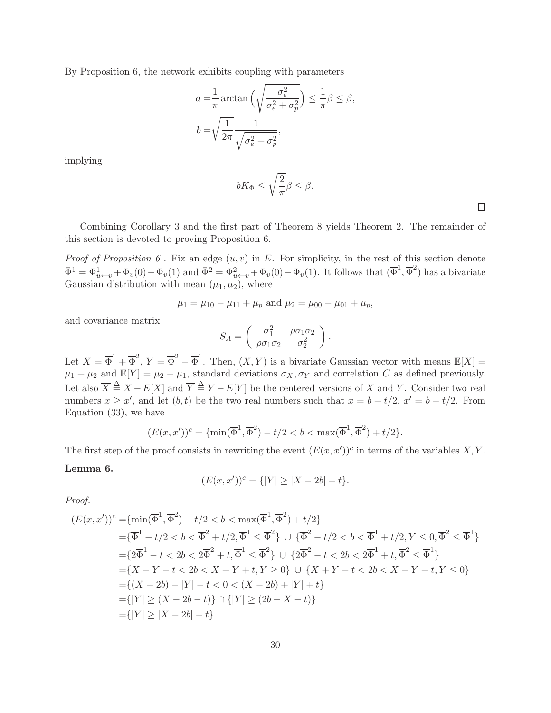By Proposition 6, the network exhibits coupling with parameters

$$
a = \frac{1}{\pi} \arctan\left(\sqrt{\frac{\sigma_e^2}{\sigma_e^2 + \sigma_p^2}}\right) \le \frac{1}{\pi} \beta \le \beta,
$$
  

$$
b = \sqrt{\frac{1}{2\pi}} \frac{1}{\sqrt{\sigma_e^2 + \sigma_p^2}},
$$

implying

$$
bK_{\Phi}\leq \sqrt{\frac{2}{\pi}}\beta\leq \beta.
$$

 $\Box$ 

Combining Corollary 3 and the first part of Theorem 8 yields Theorem 2. The remainder of this section is devoted to proving Proposition 6.

*Proof of Proposition 6.* Fix an edge  $(u, v)$  in E. For simplicity, in the rest of this section denote  $\overline{\Phi}^1 = \Phi^1_{u \leftarrow v} + \Phi_v(0) - \Phi_v(1)$  and  $\overline{\Phi}^2 = \Phi^2_{u \leftarrow v} + \Phi_v(0) - \Phi_v(1)$ . It follows that  $(\overline{\Phi}^1, \overline{\Phi}^2)$  has a bivariate Gaussian distribution with mean  $(\mu_1, \mu_2)$ , where

$$
\mu_1 = \mu_{10} - \mu_{11} + \mu_p
$$
 and  $\mu_2 = \mu_{00} - \mu_{01} + \mu_p$ ,

and covariance matrix

$$
S_A = \begin{pmatrix} \sigma_1^2 & \rho \sigma_1 \sigma_2 \\ \rho \sigma_1 \sigma_2 & \sigma_2^2 \end{pmatrix}.
$$

Let  $X = \overline{\Phi}^1 + \overline{\Phi}^2$ ,  $Y = \overline{\Phi}^2 - \overline{\Phi}^1$ . Then,  $(X, Y)$  is a bivariate Gaussian vector with means  $\mathbb{E}[X] =$  $\mu_1 + \mu_2$  and  $\mathbb{E}[Y] = \mu_2 - \mu_1$ , standard deviations  $\sigma_X, \sigma_Y$  and correlation C as defined previously. Let also  $\overline{X} \triangleq X - E[X]$  and  $\overline{Y} \triangleq Y - E[Y]$  be the centered versions of X and Y. Consider two real numbers  $x \geq x'$ , and let  $(b, t)$  be the two real numbers such that  $x = b + t/2$ ,  $x' = b - t/2$ . From Equation (33), we have

$$
(E(x, x'))^c = \{ \min(\overline{\Phi}^1, \overline{\Phi}^2) - t/2 < b < \max(\overline{\Phi}^1, \overline{\Phi}^2) + t/2 \}.
$$

The first step of the proof consists in rewriting the event  $(E(x, x'))^c$  in terms of the variables X, Y.

#### Lemma 6.

$$
(E(x, x'))^{c} = \{ |Y| \ge |X - 2b| - t \}.
$$

*Proof.*

$$
(E(x, x'))^c = \{\min(\overline{\Phi}^1, \overline{\Phi}^2) - t/2 < b < \max(\overline{\Phi}^1, \overline{\Phi}^2) + t/2\}
$$
  
\n
$$
= \{\overline{\Phi}^1 - t/2 < b < \overline{\Phi}^2 + t/2, \overline{\Phi}^1 \le \overline{\Phi}^2\} \cup \{\overline{\Phi}^2 - t/2 < b < \overline{\Phi}^1 + t/2, Y \le 0, \overline{\Phi}^2 \le \overline{\Phi}^1\}
$$
  
\n
$$
= \{2\overline{\Phi}^1 - t < 2b < 2\overline{\Phi}^2 + t, \overline{\Phi}^1 \le \overline{\Phi}^2\} \cup \{2\overline{\Phi}^2 - t < 2b < 2\overline{\Phi}^1 + t, \overline{\Phi}^2 \le \overline{\Phi}^1\}
$$
  
\n
$$
= \{X - Y - t < 2b < X + Y + t, Y \ge 0\} \cup \{X + Y - t < 2b < X - Y + t, Y \le 0\}
$$
  
\n
$$
= \{(X - 2b) - |Y| - t < 0 < (X - 2b) + |Y| + t\}
$$
  
\n
$$
= \{|Y| \ge (X - 2b - t)\} \cap \{|Y| \ge (2b - X - t)\}
$$
  
\n
$$
= \{|Y| \ge |X - 2b| - t\}.
$$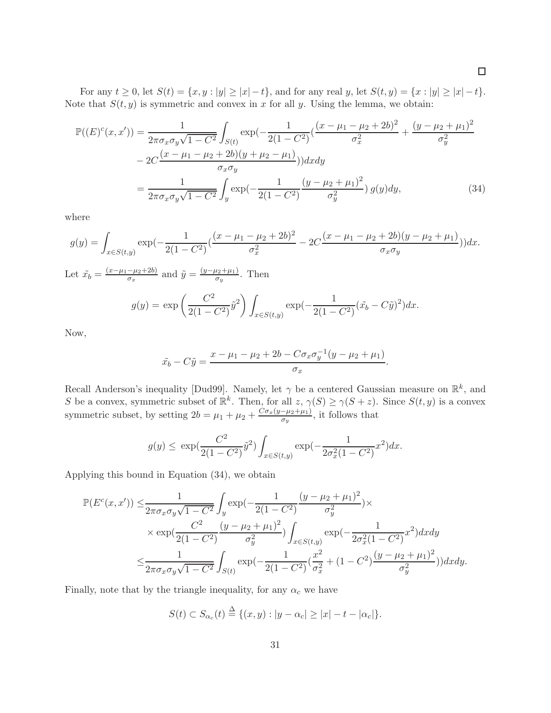For any  $t \ge 0$ , let  $S(t) = \{x, y : |y| \ge |x| - t\}$ , and for any real y, let  $S(t, y) = \{x : |y| \ge |x| - t\}$ . Note that  $S(t, y)$  is symmetric and convex in x for all y. Using the lemma, we obtain:

$$
\mathbb{P}((E)^{c}(x,x')) = \frac{1}{2\pi\sigma_{x}\sigma_{y}\sqrt{1-C^{2}}} \int_{S(t)} \exp\left(-\frac{1}{2(1-C^{2})}\left(\frac{(x-\mu_{1}-\mu_{2}+2b)^{2}}{\sigma_{x}^{2}}+\frac{(y-\mu_{2}+\mu_{1})^{2}}{\sigma_{y}^{2}}\right)\right) dxdy
$$

$$
-2C\frac{(x-\mu_{1}-\mu_{2}+2b)(y+\mu_{2}-\mu_{1})}{\sigma_{x}\sigma_{y}}\right) dxdy
$$

$$
= \frac{1}{2\pi\sigma_{x}\sigma_{y}\sqrt{1-C^{2}}} \int_{y} \exp\left(-\frac{1}{2(1-C^{2})}\frac{(y-\mu_{2}+\mu_{1})^{2}}{\sigma_{y}^{2}}\right) g(y) dy,
$$
(34)

where

$$
g(y) = \int_{x \in S(t,y)} \exp\left(-\frac{1}{2(1-C^2)}\left(\frac{(x-\mu_1-\mu_2+2b)^2}{\sigma_x^2} - 2C\frac{(x-\mu_1-\mu_2+2b)(y-\mu_2+\mu_1)}{\sigma_x \sigma_y}\right)\right)dx.
$$

Let  $\tilde{x_b} = \frac{(x-\mu_1-\mu_2+2b)}{\sigma_x}$  and  $\tilde{y} = \frac{(y-\mu_2+\mu_1)}{\sigma_y}$ . Then

$$
g(y) = \exp\left(\frac{C^2}{2(1-C^2)}\tilde{y}^2\right) \int_{x \in S(t,y)} \exp(-\frac{1}{2(1-C^2)}(\tilde{x}_b - C\tilde{y})^2) dx.
$$

Now,

$$
\tilde{x}_b - C\tilde{y} = \frac{x - \mu_1 - \mu_2 + 2b - C\sigma_x \sigma_y^{-1} (y - \mu_2 + \mu_1)}{\sigma_x}.
$$

Recall Anderson's inequality [Dud99]. Namely, let  $\gamma$  be a centered Gaussian measure on  $\mathbb{R}^k$ , and S be a convex, symmetric subset of  $\mathbb{R}^k$ . Then, for all  $z, \gamma(S) \geq \gamma(S + z)$ . Since  $S(t, y)$  is a convex symmetric subset, by setting  $2b = \mu_1 + \mu_2 + \frac{C\sigma_x(y-\mu_2+\mu_1)}{\sigma_y}$ , it follows that

$$
g(y) \le \exp\left(\frac{C^2}{2(1-C^2)}\tilde{y}^2\right) \int_{x \in S(t,y)} \exp\left(-\frac{1}{2\sigma_x^2(1-C^2)}x^2\right) dx.
$$

Applying this bound in Equation (34), we obtain

$$
\mathbb{P}(E^{c}(x, x')) \leq \frac{1}{2\pi\sigma_{x}\sigma_{y}\sqrt{1-C^{2}}} \int_{y} \exp(-\frac{1}{2(1-C^{2})} \frac{(y-\mu_{2}+\mu_{1})^{2}}{\sigma_{y}^{2}}) \times \exp(\frac{C^{2}}{2(1-C^{2})} \frac{(y-\mu_{2}+\mu_{1})^{2}}{\sigma_{y}^{2}}) \int_{x \in S(t, y)} \exp(-\frac{1}{2\sigma_{x}^{2}(1-C^{2})} x^{2}) dxdy
$$
  

$$
\leq \frac{1}{2\pi\sigma_{x}\sigma_{y}\sqrt{1-C^{2}}} \int_{S(t)} \exp(-\frac{1}{2(1-C^{2})} (\frac{x^{2}}{\sigma_{x}^{2}} + (1-C^{2}) \frac{(y-\mu_{2}+\mu_{1})^{2}}{\sigma_{y}^{2}})) dxdy.
$$

Finally, note that by the triangle inequality, for any  $\alpha_c$  we have

$$
S(t) \subset S_{\alpha_c}(t) \stackrel{\Delta}{=} \{(x, y) : |y - \alpha_c| \ge |x| - t - |\alpha_c| \}.
$$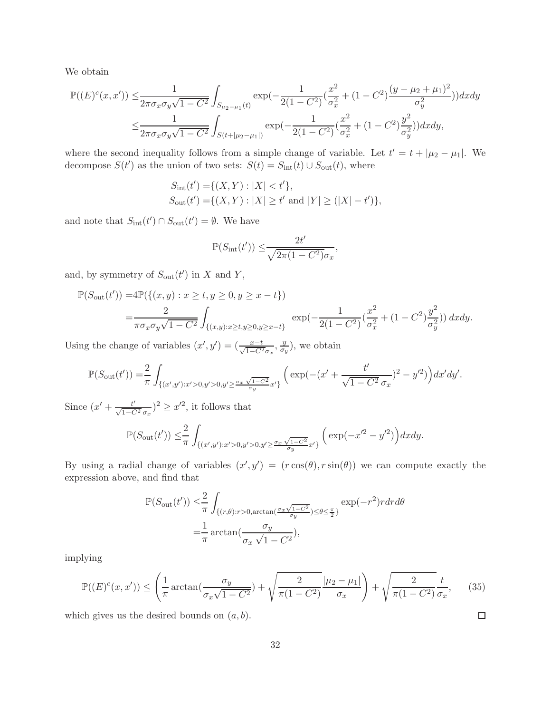We obtain

$$
\mathbb{P}((E)^{c}(x,x')) \leq \frac{1}{2\pi\sigma_{x}\sigma_{y}\sqrt{1-C^{2}}} \int_{S_{\mu_{2}-\mu_{1}}(t)} \exp(-\frac{1}{2(1-C^{2})}(\frac{x^{2}}{\sigma_{x}^{2}}+(1-C^{2})\frac{(y-\mu_{2}+\mu_{1})^{2}}{\sigma_{y}^{2}}))dxdy
$$
  

$$
\leq \frac{1}{2\pi\sigma_{x}\sigma_{y}\sqrt{1-C^{2}}} \int_{S(t+|\mu_{2}-\mu_{1}|)} \exp(-\frac{1}{2(1-C^{2})}(\frac{x^{2}}{\sigma_{x}^{2}}+(1-C^{2})\frac{y^{2}}{\sigma_{y}^{2}}))dxdy,
$$

where the second inequality follows from a simple change of variable. Let  $t' = t + |\mu_2 - \mu_1|$ . We decompose  $S(t')$  as the union of two sets:  $S(t) = S_{\text{int}}(t) \cup S_{\text{out}}(t)$ , where

$$
S_{\rm int}(t') = \{(X, Y) : |X| < t'\},
$$
\n
$$
S_{\rm out}(t') = \{(X, Y) : |X| \ge t' \text{ and } |Y| \ge (|X| - t')\},
$$

and note that  $S_{\text{int}}(t') \cap S_{\text{out}}(t') = \emptyset$ . We have

$$
\mathbb{P}(S_{\rm int}(t')) \leq \frac{2t'}{\sqrt{2\pi(1 - C^2)}\sigma_x},
$$

and, by symmetry of  $S_{\text{out}}(t')$  in X and Y,

$$
\mathbb{P}(S_{\text{out}}(t')) = 4\mathbb{P}(\{(x, y) : x \ge t, y \ge 0, y \ge x - t\})
$$
  
= 
$$
\frac{2}{\pi \sigma_x \sigma_y \sqrt{1 - C^2}} \int_{\{(x, y) : x \ge t, y \ge 0, y \ge x - t\}} \exp(-\frac{1}{2(1 - C^2)} (\frac{x^2}{\sigma_x^2} + (1 - C^2) \frac{y^2}{\sigma_y^2})) dx dy.
$$

Using the change of variables  $(x', y') = (\frac{x-t}{\sqrt{1-C^2}\sigma_x}, \frac{y}{\sigma_y})$  $\frac{y}{\sigma_y}$ , we obtain

$$
\mathbb{P}(S_{\text{out}}(t')) = \frac{2}{\pi} \int_{\{(x',y') : x' > 0, y' > 0, y' \ge \frac{\sigma_x \sqrt{1 - C^2}}{\sigma_y} x'\}} \left( \exp(-(x' + \frac{t'}{\sqrt{1 - C^2} \sigma_x})^2 - y'^2) \right) dx'dy'.
$$

Since  $(x' + \frac{t'}{\sqrt{1 - C^2} \sigma_x})^2 \geq x'^2$ , it follows that

$$
\mathbb{P}(S_{\text{out}}(t')) \leq \frac{2}{\pi} \int_{\{(x',y'): x'>0, y'>0, y'\geq \frac{\sigma_x \sqrt{1-C^2}}{\sigma_y}x'\}} \Big(\exp\left(-x'^2 - y'^2\right)\Big) dx dy.
$$

By using a radial change of variables  $(x', y') = (r \cos(\theta), r \sin(\theta))$  we can compute exactly the expression above, and find that

$$
\mathbb{P}(S_{\text{out}}(t')) \leq \frac{2}{\pi} \int_{\{(r,\theta):r>0, \arctan\left(\frac{\sigma_x \sqrt{1-C^2}}{\sigma_y}\right) \leq \theta \leq \frac{\pi}{2}\}} \exp(-r^2) r dr d\theta
$$

$$
= \frac{1}{\pi} \arctan\left(\frac{\sigma_y}{\sigma_x \sqrt{1-C^2}}\right),
$$

implying

$$
\mathbb{P}((E)^{c}(x,x')) \leq \left(\frac{1}{\pi}\arctan\left(\frac{\sigma_y}{\sigma_x\sqrt{1-C^2}}\right) + \sqrt{\frac{2}{\pi(1-C^2)}}\frac{|\mu_2-\mu_1|}{\sigma_x}\right) + \sqrt{\frac{2}{\pi(1-C^2)}}\frac{t}{\sigma_x},\qquad(35)
$$

 $\Box$ 

which gives us the desired bounds on  $(a, b)$ .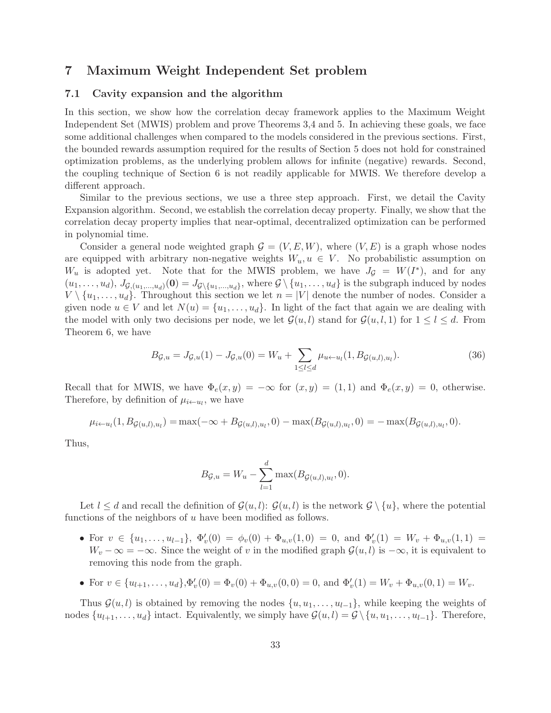### 7 Maximum Weight Independent Set problem

### 7.1 Cavity expansion and the algorithm

In this section, we show how the correlation decay framework applies to the Maximum Weight Independent Set (MWIS) problem and prove Theorems 3,4 and 5. In achieving these goals, we face some additional challenges when compared to the models considered in the previous sections. First, the bounded rewards assumption required for the results of Section 5 does not hold for constrained optimization problems, as the underlying problem allows for infinite (negative) rewards. Second, the coupling technique of Section 6 is not readily applicable for MWIS. We therefore develop a different approach.

Similar to the previous sections, we use a three step approach. First, we detail the Cavity Expansion algorithm. Second, we establish the correlation decay property. Finally, we show that the correlation decay property implies that near-optimal, decentralized optimization can be performed in polynomial time.

Consider a general node weighted graph  $\mathcal{G} = (V, E, W)$ , where  $(V, E)$  is a graph whose nodes are equipped with arbitrary non-negative weights  $W_u, u \in V$ . No probabilistic assumption on  $W_u$  is adopted yet. Note that for the MWIS problem, we have  $J_g = W(I^*)$ , and for any  $(u_1, \ldots, u_d), J_{\mathcal{G}_1(u_1,\ldots, u_d)}(0) = J_{\mathcal{G}\setminus\{u_1,\ldots, u_d\}},$  where  $\mathcal{G}\setminus\{u_1, \ldots, u_d\}$  is the subgraph induced by nodes  $V \setminus \{u_1, \ldots, u_d\}$ . Throughout this section we let  $n = |V|$  denote the number of nodes. Consider a given node  $u \in V$  and let  $N(u) = \{u_1, \ldots, u_d\}$ . In light of the fact that again we are dealing with the model with only two decisions per node, we let  $\mathcal{G}(u, l)$  stand for  $\mathcal{G}(u, l, 1)$  for  $1 \leq l \leq d$ . From Theorem 6, we have

$$
B_{\mathcal{G},u} = J_{\mathcal{G},u}(1) - J_{\mathcal{G},u}(0) = W_u + \sum_{1 \le l \le d} \mu_{u \leftarrow u_l}(1, B_{\mathcal{G}(u,l),u_l}). \tag{36}
$$

Recall that for MWIS, we have  $\Phi_e(x,y) = -\infty$  for  $(x,y) = (1,1)$  and  $\Phi_e(x,y) = 0$ , otherwise. Therefore, by definition of  $\mu_{i \leftarrow u_l}$ , we have

$$
\mu_{i \leftarrow u_l}(1, B_{\mathcal{G}(u,l), u_l}) = \max(-\infty + B_{\mathcal{G}(u,l), u_l}, 0) - \max(B_{\mathcal{G}(u,l), u_l}, 0) = -\max(B_{\mathcal{G}(u,l), u_l}, 0).
$$

Thus,

$$
B_{\mathcal{G},u} = W_u - \sum_{l=1}^d \max(B_{\mathcal{G}(u,l),u_l}, 0).
$$

Let  $l \leq d$  and recall the definition of  $\mathcal{G}(u, l)$ :  $\mathcal{G}(u, l)$  is the network  $\mathcal{G} \setminus \{u\}$ , where the potential functions of the neighbors of  $u$  have been modified as follows.

- For  $v \in \{u_1, \ldots, u_{l-1}\}, \ \Phi'_v(0) = \phi_v(0) + \Phi_{u,v}(1,0) = 0, \text{ and } \Phi'_v(1) = W_v + \Phi_{u,v}(1,1) =$  $W_v - \infty = -\infty$ . Since the weight of v in the modified graph  $\mathcal{G}(u, l)$  is  $-\infty$ , it is equivalent to removing this node from the graph.
- For  $v \in \{u_{l+1}, \ldots, u_d\}, \Phi'_v(0) = \Phi_v(0) + \Phi_{u,v}(0,0) = 0$ , and  $\Phi'_v(1) = W_v + \Phi_{u,v}(0,1) = W_v$ .

Thus  $\mathcal{G}(u, l)$  is obtained by removing the nodes  $\{u, u_1, \ldots, u_{l-1}\}$ , while keeping the weights of nodes  $\{u_{l+1}, \ldots, u_d\}$  intact. Equivalently, we simply have  $\mathcal{G}(u, l) = \mathcal{G} \setminus \{u, u_1, \ldots, u_{l-1}\}.$  Therefore,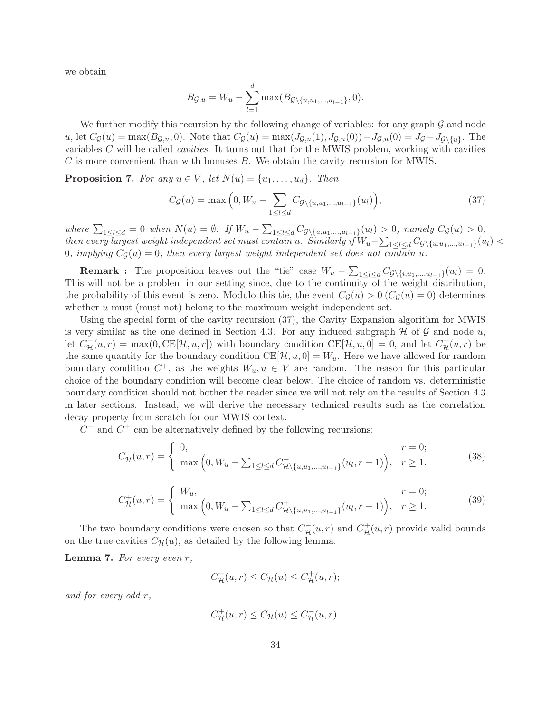we obtain

$$
B_{\mathcal{G},u} = W_u - \sum_{l=1}^d \max(B_{\mathcal{G}\setminus\{u,u_1,\dots,u_{l-1}\}},0).
$$

We further modify this recursion by the following change of variables: for any graph  $\mathcal G$  and node u, let  $C_{\mathcal{G}}(u) = \max(B_{\mathcal{G},u}, 0)$ . Note that  $C_{\mathcal{G}}(u) = \max(J_{\mathcal{G},u}(1), J_{\mathcal{G},u}(0)) - J_{\mathcal{G},u}(0) = J_{\mathcal{G}} - J_{\mathcal{G}\setminus\{u\}}$ . The variables C will be called *cavities*. It turns out that for the MWIS problem, working with cavities C is more convenient than with bonuses B. We obtain the cavity recursion for MWIS.

**Proposition 7.** For any  $u \in V$ , let  $N(u) = \{u_1, \ldots, u_d\}$ . Then

$$
C_{\mathcal{G}}(u) = \max\Big(0, W_u - \sum_{1 \le l \le d} C_{\mathcal{G} \setminus \{u, u_1, \dots, u_{l-1}\}}(u_l)\Big),\tag{37}
$$

 $where \sum_{1 \leq l \leq d} = 0$  when  $N(u) = \emptyset$ . If  $W_u - \sum_{1 \leq l \leq d} C_{\mathcal{G} \setminus \{u, u_1, \dots, u_{l-1}\}}(u_l) > 0$ , namely  $C_{\mathcal{G}}(u) > 0$ , *then every largest weight independent set must contain* u. Similarly if  $W_u-\sum_{1\leq l\leq d}C_{\mathcal{G}\backslash\{u,u_1,...,u_{l-1}\}}(u_l)<\infty$ 0*, implying*  $C_g(u) = 0$ *, then every largest weight independent set does not contain u.* 

**Remark :** The proposition leaves out the "tie" case  $W_u - \sum_{1 \leq l \leq d} C_{\mathcal{G}\backslash \{i, u_1, ..., u_{l-1}\}}(u_l) = 0.$ This will not be a problem in our setting since, due to the continuity of the weight distribution, the probability of this event is zero. Modulo this tie, the event  $C_G(u) > 0$  ( $C_G(u) = 0$ ) determines whether u must (must not) belong to the maximum weight independent set.

Using the special form of the cavity recursion (37), the Cavity Expansion algorithm for MWIS is very similar as the one defined in Section 4.3. For any induced subgraph  $H$  of  $G$  and node  $u$ , let  $C_{\mathcal{H}}^-(u,r) = \max(0, \text{CE}[\mathcal{H}, u, r])$  with boundary condition  $\text{CE}[\mathcal{H}, u, 0] = 0$ , and let  $C_{\mathcal{H}}^+(u, r)$  be the same quantity for the boundary condition  $CE[\mathcal{H}, u, 0] = W_u$ . Here we have allowed for random boundary condition  $C^+$ , as the weights  $W_u, u \in V$  are random. The reason for this particular choice of the boundary condition will become clear below. The choice of random vs. deterministic boundary condition should not bother the reader since we will not rely on the results of Section 4.3 in later sections. Instead, we will derive the necessary technical results such as the correlation decay property from scratch for our MWIS context.

 $C$ <sup>-</sup> and  $C$ <sup>+</sup> can be alternatively defined by the following recursions:

$$
C_{\mathcal{H}}^{-}(u,r) = \begin{cases} 0, & r = 0; \\ \max\left(0, W_u - \sum_{1 \le l \le d} C_{\mathcal{H} \setminus \{u, u_1, \dots, u_{l-1}\}}(u_l, r-1)\right), & r \ge 1. \end{cases}
$$
(38)

$$
C_{\mathcal{H}}^{+}(u,r) = \begin{cases} W_u, & r = 0; \\ \max\left(0, W_u - \sum_{1 \le l \le d} C_{\mathcal{H} \setminus \{u, u_1, \dots, u_{l-1}\}}^{+}(u_l, r - 1)\right), & r \ge 1. \end{cases}
$$
(39)

The two boundary conditions were chosen so that  $C_{\mathcal{H}}^-(u,r)$  and  $C_{\mathcal{H}}^+(u,r)$  provide valid bounds on the true cavities  $C_{\mathcal{H}}(u)$ , as detailed by the following lemma.

Lemma 7. *For every even* r*,*

$$
C_{\mathcal{H}}^-(u,r) \leq C_{\mathcal{H}}(u) \leq C_{\mathcal{H}}^+(u,r);
$$

*and for every odd* r*,*

$$
C_{\mathcal{H}}^{+}(u,r) \leq C_{\mathcal{H}}(u) \leq C_{\mathcal{H}}^{-}(u,r).
$$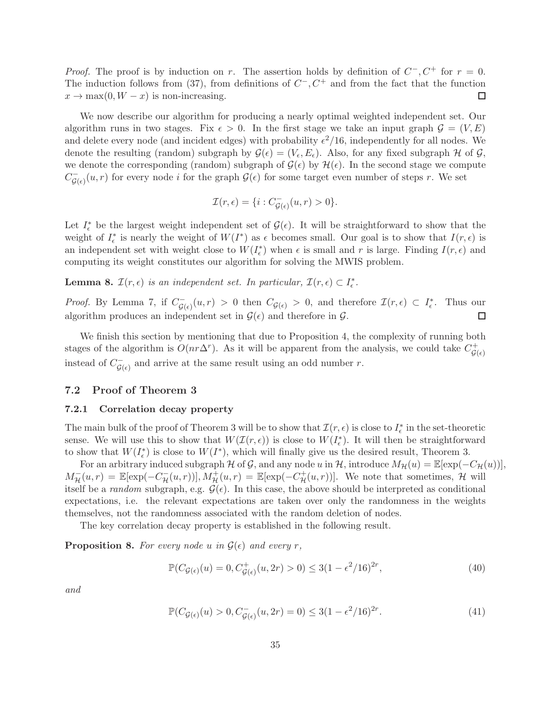*Proof.* The proof is by induction on r. The assertion holds by definition of  $C^-, C^+$  for  $r = 0$ . The induction follows from (37), from definitions of  $C^-$ ,  $C^+$  and from the fact that the function  $x \to \max(0, W - x)$  is non-increasing. □

We now describe our algorithm for producing a nearly optimal weighted independent set. Our algorithm runs in two stages. Fix  $\epsilon > 0$ . In the first stage we take an input graph  $\mathcal{G} = (V, E)$ and delete every node (and incident edges) with probability  $\epsilon^2/16$ , independently for all nodes. We denote the resulting (random) subgraph by  $\mathcal{G}(\epsilon) = (V_{\epsilon}, E_{\epsilon})$ . Also, for any fixed subgraph H of G, we denote the corresponding (random) subgraph of  $\mathcal{G}(\epsilon)$  by  $\mathcal{H}(\epsilon)$ . In the second stage we compute  $C_{\mathcal{G}(\epsilon)}^-(u,r)$  for every node *i* for the graph  $\mathcal{G}(\epsilon)$  for some target even number of steps *r*. We set

$$
\mathcal{I}(r,\epsilon) = \{i : C_{\mathcal{G}(\epsilon)}^-(u,r) > 0\}.
$$

Let  $I_{\epsilon}^*$  be the largest weight independent set of  $\mathcal{G}(\epsilon)$ . It will be straightforward to show that the weight of  $I_{\epsilon}^*$  is nearly the weight of  $W(I^*)$  as  $\epsilon$  becomes small. Our goal is to show that  $I(r,\epsilon)$  is an independent set with weight close to  $W(I_{\epsilon}^*)$  when  $\epsilon$  is small and r is large. Finding  $I(r, \epsilon)$  and computing its weight constitutes our algorithm for solving the MWIS problem.

**Lemma 8.**  $\mathcal{I}(r, \epsilon)$  *is an independent set. In particular,*  $\mathcal{I}(r, \epsilon) \subset I_{\epsilon}^*$ .

*Proof.* By Lemma 7, if  $C_{\mathcal{G}(\epsilon)}(u,r) > 0$  then  $C_{\mathcal{G}(\epsilon)} > 0$ , and therefore  $\mathcal{I}(r,\epsilon) \subset I_{\epsilon}^*$ . Thus our algorithm produces an independent set in  $\mathcal{G}(\epsilon)$  and therefore in  $\mathcal{G}$ .  $\Box$ 

We finish this section by mentioning that due to Proposition 4, the complexity of running both stages of the algorithm is  $O(nr\Delta^r)$ . As it will be apparent from the analysis, we could take  $C_{\text{G}}^+$  $\mathcal{G}(\epsilon)$ instead of  $C_{\mathcal{G}(\epsilon)}^-$  and arrive at the same result using an odd number r.

### 7.2 Proof of Theorem 3

### 7.2.1 Correlation decay property

The main bulk of the proof of Theorem 3 will be to show that  $\mathcal{I}(r, \epsilon)$  is close to  $I_{\epsilon}^*$  in the set-theoretic sense. We will use this to show that  $W(\mathcal{I}(r,\epsilon))$  is close to  $W(I_{\epsilon}^{*})$ . It will then be straightforward to show that  $W(I^*)$  is close to  $W(I^*)$ , which will finally give us the desired result, Theorem 3.

For an arbitrary induced subgraph H of G, and any node u in H, introduce  $M_{\mathcal{H}}(u) = \mathbb{E}[\exp(-C_{\mathcal{H}}(u))],$  $M_{\mathcal{H}}^-(u,r) = \mathbb{E}[\exp(-C_{\mathcal{H}}^-(u,r))], M_{\mathcal{H}}^+(u,r) = \mathbb{E}[\exp(-C_{\mathcal{H}}^+(u,r))].$  We note that sometimes,  $\mathcal{H}$  will itself be a *random* subgraph, e.g.  $\mathcal{G}(\epsilon)$ . In this case, the above should be interpreted as conditional expectations, i.e. the relevant expectations are taken over only the randomness in the weights themselves, not the randomness associated with the random deletion of nodes.

The key correlation decay property is established in the following result.

**Proposition 8.** For every node u in  $\mathcal{G}(\epsilon)$  and every r,

$$
\mathbb{P}(C_{\mathcal{G}(\epsilon)}(u) = 0, C_{\mathcal{G}(\epsilon)}^+(u, 2r) > 0) \le 3(1 - \epsilon^2/16)^{2r},\tag{40}
$$

*and*

$$
\mathbb{P}(C_{\mathcal{G}(\epsilon)}(u) > 0, C_{\mathcal{G}(\epsilon)}^-(u, 2r) = 0) \le 3(1 - \epsilon^2/16)^{2r}.\tag{41}
$$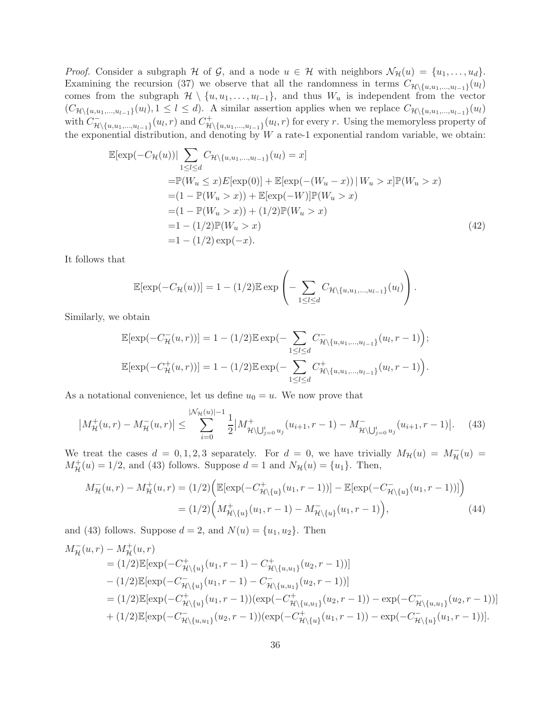*Proof.* Consider a subgraph H of G, and a node  $u \in H$  with neighbors  $\mathcal{N}_{\mathcal{H}}(u) = \{u_1, \ldots, u_d\}.$ Examining the recursion (37) we observe that all the randomness in terms  $C_{\mathcal{H}\backslash\{u,u_1,...,u_{l-1}\}}(u_l)$ comes from the subgraph  $\mathcal{H} \setminus \{u, u_1, \ldots, u_{l-1}\}$ , and thus  $W_u$  is independent from the vector  $(C_{\mathcal{H}\setminus\{u,u_1,\ldots,u_{l-1}\}}(u_l), 1 \leq l \leq d)$ . A similar assertion applies when we replace  $C_{\mathcal{H}\setminus\{u,u_1,\ldots,u_{l-1}\}}(u_l)$ with  $C^-_{\mathcal{H}\backslash\{u,u_1,...,u_{l-1}\}}(u_l,r)$  and  $C^+_{\mathcal{H}}$  $\mathcal{H}_{\setminus \{u, u_1, \ldots, u_{l-1}\}}(u_l, r)$  for every r. Using the memoryless property of the exponential distribution, and denoting by  $W$  a rate-1 exponential random variable, we obtain:

$$
\mathbb{E}[\exp(-C_{\mathcal{H}}(u))|\sum_{1\leq l\leq d} C_{\mathcal{H}\backslash\{u,u_1,\dots,u_{l-1}\}}(u_l) = x]
$$
\n
$$
= \mathbb{P}(W_u \leq x)E[\exp(0)] + \mathbb{E}[\exp(-(W_u - x))|W_u > x]\mathbb{P}(W_u > x)
$$
\n
$$
= (1 - \mathbb{P}(W_u > x)) + \mathbb{E}[\exp(-W)]\mathbb{P}(W_u > x)
$$
\n
$$
= (1 - \mathbb{P}(W_u > x)) + (1/2)\mathbb{P}(W_u > x)
$$
\n
$$
= 1 - (1/2)\mathbb{P}(W_u > x)
$$
\n
$$
= 1 - (1/2)\exp(-x).
$$
\n(42)

It follows that

$$
\mathbb{E}[\exp(-C_{\mathcal{H}}(u))] = 1 - (1/2)\mathbb{E} \exp\left(-\sum_{1 \leq l \leq d} C_{\mathcal{H} \setminus \{u, u_1, \dots, u_{l-1}\}}(u_l)\right).
$$

Similarly, we obtain

$$
\mathbb{E}[\exp(-C_{\mathcal{H}}^{-}(u,r))] = 1 - (1/2)\mathbb{E}\exp(-\sum_{1 \leq l \leq d} C_{\mathcal{H}\backslash\{u,u_1,\ldots,u_{l-1}\}}^{-}(u_l, r-1));
$$
  

$$
\mathbb{E}[\exp(-C_{\mathcal{H}}^{+}(u,r))] = 1 - (1/2)\mathbb{E}\exp(-\sum_{1 \leq l \leq d} C_{\mathcal{H}\backslash\{u,u_1,\ldots,u_{l-1}\}}^{+}(u_l, r-1)).
$$

As a notational convenience, let us define  $u_0 = u$ . We now prove that

$$
\left| M_{\mathcal{H}}^{+}(u,r) - M_{\mathcal{H}}^{-}(u,r) \right| \leq \sum_{i=0}^{|\mathcal{N}_{\mathcal{H}}(u)|-1} \frac{1}{2} \left| M_{\mathcal{H} \setminus \bigcup_{j=0}^{i} u_j}^{+}(u_{i+1},r-1) - M_{\mathcal{H} \setminus \bigcup_{j=0}^{i} u_j}^{-}(u_{i+1},r-1) \right|.
$$
 (43)

We treat the cases  $d = 0, 1, 2, 3$  separately. For  $d = 0$ , we have trivially  $M_{\mathcal{H}}(u) = M_{\mathcal{H}}^-(u) = M_{\mathcal{H}}^+(u)$  $M_{\mathcal{H}}^{+}(u) = 1/2$ , and (43) follows. Suppose  $d = 1$  and  $N_{\mathcal{H}}(u) = \{u_1\}$ . Then,

$$
M_{\mathcal{H}}^{-}(u,r) - M_{\mathcal{H}}^{+}(u,r) = (1/2) \Big( \mathbb{E}[\exp(-C_{\mathcal{H}\backslash\{u\}}^{+}(u_{1},r-1))] - \mathbb{E}[\exp(-C_{\mathcal{H}\backslash\{u\}}^{-}(u_{1},r-1))] \Big) = (1/2) \Big( M_{\mathcal{H}\backslash\{u\}}^{+}(u_{1},r-1) - M_{\mathcal{H}\backslash\{u\}}^{-}(u_{1},r-1) \Big),
$$
(44)

and (43) follows. Suppose  $d = 2$ , and  $N(u) = \{u_1, u_2\}$ . Then

$$
M_{\mathcal{H}}^{-}(u,r) - M_{\mathcal{H}}^{+}(u,r)
$$
\n
$$
= (1/2)\mathbb{E}[\exp(-C_{\mathcal{H}\backslash\{u\}}^{+}(u_{1},r-1) - C_{\mathcal{H}\backslash\{u,u_{1}\}}^{+}(u_{2},r-1))]
$$
\n
$$
- (1/2)\mathbb{E}[\exp(-C_{\mathcal{H}\backslash\{u\}}^{-}(u_{1},r-1) - C_{\mathcal{H}\backslash\{u,u_{1}\}}^{-}(u_{2},r-1))]
$$
\n
$$
= (1/2)\mathbb{E}[\exp(-C_{\mathcal{H}\backslash\{u\}}^{+}(u_{1},r-1))( \exp(-C_{\mathcal{H}\backslash\{u,u_{1}\}}^{+}(u_{2},r-1)) - \exp(-C_{\mathcal{H}\backslash\{u,u_{1}\}}^{-}(u_{2},r-1))]
$$
\n
$$
+ (1/2)\mathbb{E}[\exp(-C_{\mathcal{H}\backslash\{u,u_{1}\}}^{-}(u_{2},r-1))( \exp(-C_{\mathcal{H}\backslash\{u\}}^{+}(u_{1},r-1)) - \exp(-C_{\mathcal{H}\backslash\{u\}}^{-}(u_{1},r-1))].
$$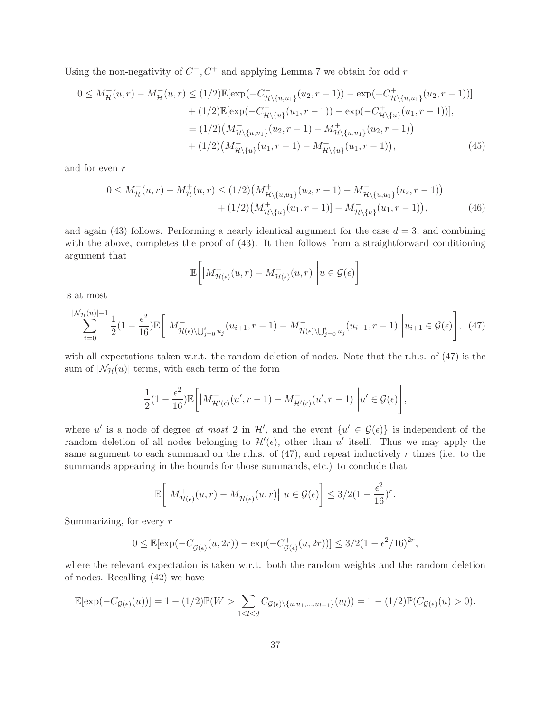Using the non-negativity of  $C^-$ ,  $C^+$  and applying Lemma 7 we obtain for odd r

$$
0 \leq M_{\mathcal{H}}^{+}(u,r) - M_{\mathcal{H}}^{-}(u,r) \leq (1/2) \mathbb{E}[\exp(-C_{\mathcal{H}\backslash\{u,u_{1}\}}^{-}(u_{2},r-1)) - \exp(-C_{\mathcal{H}\backslash\{u,u_{1}\}}^{+}(u_{2},r-1))]
$$
  
+ (1/2) \mathbb{E}[\exp(-C\_{\mathcal{H}\backslash\{u\}}^{-}(u\_{1},r-1)) - \exp(-C\_{\mathcal{H}\backslash\{u\}}^{+}(u\_{1},r-1))],  
= (1/2) (M\_{\mathcal{H}\backslash\{u,u\_{1}\}}^{-}(u\_{2},r-1) - M\_{\mathcal{H}\backslash\{u,u\_{1}\}}^{+}(u\_{2},r-1))  
+ (1/2) (M\_{\mathcal{H}\backslash\{u\}}^{-}(u\_{1},r-1) - M\_{\mathcal{H}\backslash\{u\}}^{+}(u\_{1},r-1)), \qquad (45)

and for even r

$$
0 \leq M_{\mathcal{H}}^{-}(u,r) - M_{\mathcal{H}}^{+}(u,r) \leq (1/2) \left( M_{\mathcal{H} \setminus \{u, u_{1}\}}^{+}(u_{2},r-1) - M_{\mathcal{H} \setminus \{u, u_{1}\}}^{-}(u_{2},r-1) \right) + (1/2) \left( M_{\mathcal{H} \setminus \{u\}}^{+}(u_{1},r-1) \right) - M_{\mathcal{H} \setminus \{u\}}^{-}(u_{1},r-1) \right), \tag{46}
$$

and again  $(43)$  follows. Performing a nearly identical argument for the case  $d = 3$ , and combining with the above, completes the proof of  $(43)$ . It then follows from a straightforward conditioning argument that

$$
\mathbb{E}\bigg[\big|M_{\mathcal{H}(\epsilon)}^+(u,r) - M_{\mathcal{H}(\epsilon)}^-(u,r)\big|\bigg| u \in \mathcal{G}(\epsilon)\bigg]
$$

is at most

$$
\sum_{i=0}^{|\mathcal{N}_{\mathcal{H}}(u)|-1} \frac{1}{2} (1 - \frac{\epsilon^2}{16}) \mathbb{E} \left[ |M_{\mathcal{H}(\epsilon) \setminus \bigcup_{j=0}^i u_j}^+(u_{i+1}, r-1) - M_{\mathcal{H}(\epsilon) \setminus \bigcup_{j=0}^i u_j}^-(u_{i+1}, r-1) | u_{i+1} \in \mathcal{G}(\epsilon) \right], \tag{47}
$$

with all expectations taken w.r.t. the random deletion of nodes. Note that the r.h.s. of (47) is the sum of  $|\mathcal{N}_{\mathcal{H}}(u)|$  terms, with each term of the form

$$
\frac{1}{2}(1-\frac{\epsilon^2}{16})\mathbb{E}\bigg[\big|M^+_{\mathcal{H}'(\epsilon)}(u',r-1) - M^-_{\mathcal{H}'(\epsilon)}(u',r-1)\big|\bigg|u' \in \mathcal{G}(\epsilon)\bigg],
$$

where u' is a node of degree at most 2 in  $\mathcal{H}'$ , and the event  $\{u' \in \mathcal{G}(\epsilon)\}\$ is independent of the random deletion of all nodes belonging to  $\mathcal{H}'(\epsilon)$ , other than u' itself. Thus we may apply the same argument to each summand on the r.h.s. of  $(47)$ , and repeat inductively r times (i.e. to the summands appearing in the bounds for those summands, etc.) to conclude that

$$
\mathbb{E}\bigg[\big|M_{\mathcal{H}(\epsilon)}^+(u,r) - M_{\mathcal{H}(\epsilon)}^-(u,r)\big|\bigg|u \in \mathcal{G}(\epsilon)\bigg] \leq 3/2\big(1 - \frac{\epsilon^2}{16}\big)^r.
$$

Summarizing, for every r

$$
0 \le \mathbb{E}[\exp(-C_{\mathcal{G}(\epsilon)}^{-}(u, 2r)) - \exp(-C_{\mathcal{G}(\epsilon)}^{+}(u, 2r))] \le 3/2(1 - \epsilon^2/16)^{2r},
$$

where the relevant expectation is taken w.r.t. both the random weights and the random deletion of nodes. Recalling (42) we have

$$
\mathbb{E}[\exp(-C_{\mathcal{G}(\epsilon)}(u))] = 1 - (1/2)\mathbb{P}(W > \sum_{1 \leq l \leq d} C_{\mathcal{G}(\epsilon) \setminus \{u, u_1, \dots, u_{l-1}\}}(u_l)) = 1 - (1/2)\mathbb{P}(C_{\mathcal{G}(\epsilon)}(u) > 0).
$$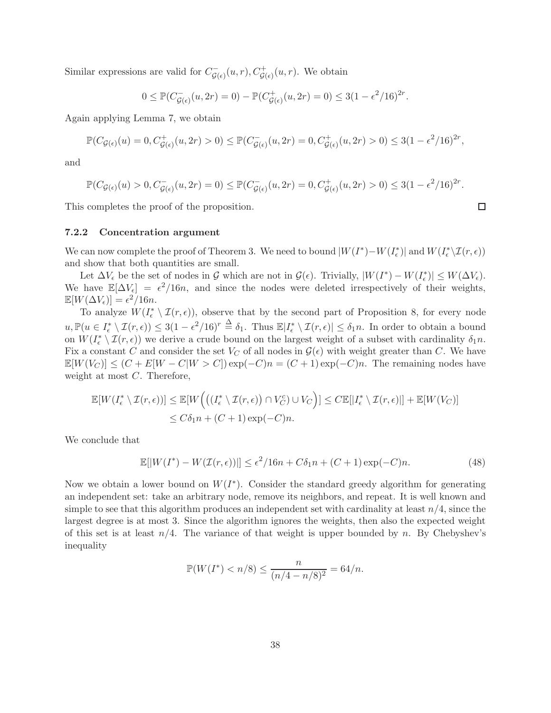Similar expressions are valid for  $C_{\mathcal{G}(\epsilon)}^-(u,r)$ ,  $C_{\mathcal{G}(\epsilon)}^+(u,r)$ . We obtain

$$
0 \leq \mathbb{P}(C_{\mathcal{G}(\epsilon)}^-(u, 2r) = 0) - \mathbb{P}(C_{\mathcal{G}(\epsilon)}^+(u, 2r) = 0) \leq 3(1 - \epsilon^2/16)^{2r}.
$$

Again applying Lemma 7, we obtain

$$
\mathbb{P}(C_{\mathcal{G}(\epsilon)}(u) = 0, C_{\mathcal{G}(\epsilon)}^+(u, 2r) > 0) \le \mathbb{P}(C_{\mathcal{G}(\epsilon)}^-(u, 2r) = 0, C_{\mathcal{G}(\epsilon)}^+(u, 2r) > 0) \le 3(1 - \epsilon^2/16)^{2r},
$$

and

$$
\mathbb{P}(C_{\mathcal{G}(\epsilon)}(u) > 0, C_{\mathcal{G}(\epsilon)}^-(u, 2r) = 0) \le \mathbb{P}(C_{\mathcal{G}(\epsilon)}^-(u, 2r) = 0, C_{\mathcal{G}(\epsilon)}^+(u, 2r) > 0) \le 3(1 - \epsilon^2/16)^{2r}
$$

This completes the proof of the proposition.

### 7.2.2 Concentration argument

We can now complete the proof of Theorem 3. We need to bound  $|W(I^*) - W(I^*_\epsilon)|$  and  $W(I^*_\epsilon \setminus \mathcal{I}(r, \epsilon))$ and show that both quantities are small.

Let  $\Delta V_{\epsilon}$  be the set of nodes in G which are not in  $\mathcal{G}(\epsilon)$ . Trivially,  $|W(I^*) - W(I_{\epsilon}^*)| \leq W(\Delta V_{\epsilon})$ . We have  $\mathbb{E}[\Delta V_{\epsilon}] = \epsilon^2/16n$ , and since the nodes were deleted irrespectively of their weights,  $\mathbb{E}[W(\Delta V_{\epsilon})] = \epsilon^2/16n.$ 

To analyze  $W(I_{\epsilon}^* \setminus \mathcal{I}(r, \epsilon))$ , observe that by the second part of Proposition 8, for every node  $u, \mathbb{P}(u \in I_{\epsilon}^* \setminus \mathcal{I}(r, \epsilon)) \leq 3(1 - \epsilon^2/16)^r \stackrel{\Delta}{=} \delta_1$ . Thus  $\mathbb{E}|I_{\epsilon}^* \setminus \mathcal{I}(r, \epsilon)| \leq \delta_1 n$ . In order to obtain a bound on  $W(I_{\epsilon}^* \setminus \mathcal{I}(r, \epsilon))$  we derive a crude bound on the largest weight of a subset with cardinality  $\delta_1 n$ . Fix a constant C and consider the set  $V_C$  of all nodes in  $\mathcal{G}(\epsilon)$  with weight greater than C. We have  $\mathbb{E}[W(V_C)] \leq (C + E[W - C|W > C]) \exp(-C)n = (C + 1) \exp(-C)n$ . The remaining nodes have weight at most C. Therefore,

$$
\mathbb{E}[W(I_{\epsilon}^* \setminus \mathcal{I}(r, \epsilon))] \leq \mathbb{E}[W\Big(\big((I_{\epsilon}^* \setminus \mathcal{I}(r, \epsilon)) \cap V_C^c\big) \cup V_C\Big)] \leq C \mathbb{E}[|I_{\epsilon}^* \setminus \mathcal{I}(r, \epsilon)|] + \mathbb{E}[W(V_C)]
$$
  

$$
\leq C\delta_1 n + (C+1)\exp(-C)n.
$$

We conclude that

$$
\mathbb{E}[|W(I^*) - W(\mathcal{I}(r, \epsilon))|] \le \epsilon^2/16n + C\delta_1 n + (C+1)\exp(-C)n.
$$
 (48)

Now we obtain a lower bound on  $W(I^*)$ . Consider the standard greedy algorithm for generating an independent set: take an arbitrary node, remove its neighbors, and repeat. It is well known and simple to see that this algorithm produces an independent set with cardinality at least  $n/4$ , since the largest degree is at most 3. Since the algorithm ignores the weights, then also the expected weight of this set is at least  $n/4$ . The variance of that weight is upper bounded by n. By Chebyshev's inequality

$$
\mathbb{P}(W(I^*) < n/8) \le \frac{n}{(n/4 - n/8)^2} = 64/n.
$$

$$
\Box
$$

.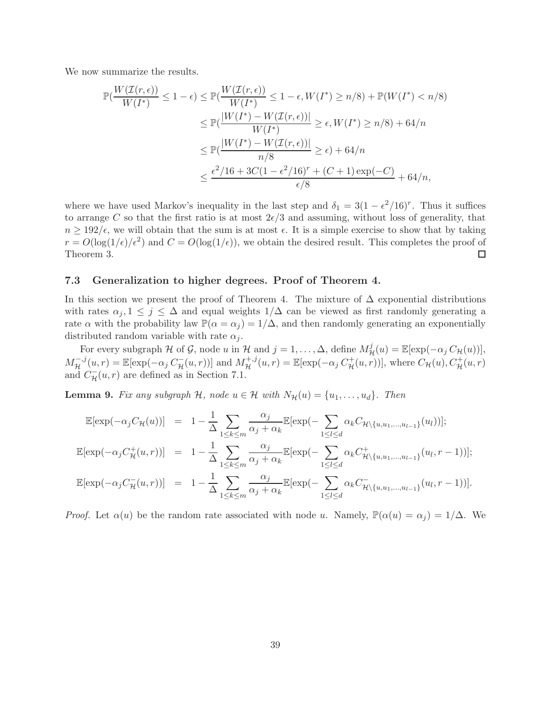We now summarize the results.

$$
\mathbb{P}\left(\frac{W(\mathcal{I}(r,\epsilon))}{W(I^*)} \le 1-\epsilon\right) \le \mathbb{P}\left(\frac{W(\mathcal{I}(r,\epsilon))}{W(I^*)} \le 1-\epsilon, W(I^*) \ge n/8\right) + \mathbb{P}(W(I^*) < n/8)
$$
  
\n
$$
\le \mathbb{P}\left(\frac{|W(I^*) - W(\mathcal{I}(r,\epsilon))|}{W(I^*)} \ge \epsilon, W(I^*) \ge n/8\right) + 64/n
$$
  
\n
$$
\le \mathbb{P}\left(\frac{|W(I^*) - W(\mathcal{I}(r,\epsilon))|}{n/8} \ge \epsilon\right) + 64/n
$$
  
\n
$$
\le \frac{\epsilon^2/16 + 3C(1-\epsilon^2/16)^r + (C+1)\exp(-C)}{\epsilon/8} + 64/n,
$$

where we have used Markov's inequality in the last step and  $\delta_1 = 3(1 - \epsilon^2/16)^r$ . Thus it suffices to arrange C so that the first ratio is at most  $2\epsilon/3$  and assuming, without loss of generality, that  $n \geq 192/\epsilon$ , we will obtain that the sum is at most  $\epsilon$ . It is a simple exercise to show that by taking  $r = O(\log(1/\epsilon)/\epsilon^2)$  and  $C = O(\log(1/\epsilon))$ , we obtain the desired result. This completes the proof of Theorem 3.  $\Box$ 

### 7.3 Generalization to higher degrees. Proof of Theorem 4.

In this section we present the proof of Theorem 4. The mixture of  $\Delta$  exponential distributions with rates  $\alpha_j, 1 \leq j \leq \Delta$  and equal weights  $1/\Delta$  can be viewed as first randomly generating a rate  $\alpha$  with the probability law  $\mathbb{P}(\alpha = \alpha_i) = 1/\Delta$ , and then randomly generating an exponentially distributed random variable with rate  $\alpha_i$ .

For every subgraph H of G, node u in H and  $j = 1, ..., \Delta$ , define  $M_{\mathcal{H}}^j(u) = \mathbb{E}[\exp(-\alpha_j C_{\mathcal{H}}(u))],$  $M_{\mathcal{H}}^{-,j}(u,r) = \mathbb{E}[\exp(-\alpha_j C_{\mathcal{H}}^{-}(u,r))]$  and  $M_{\mathcal{H}}^{+,j}(u,r) = \mathbb{E}[\exp(-\alpha_j C_{\mathcal{H}}^{+}(u,r))]$ , where  $C_{\mathcal{H}}(u), C_{\mathcal{H}}^{+}(u,r)$ and  $C_{\mathcal{H}}^-(u,r)$  are defined as in Section 7.1.

**Lemma 9.** *Fix any subgraph*  $H$ *, node*  $u \in H$  *with*  $N_H(u) = \{u_1, \ldots, u_d\}$ *. Then* 

$$
\mathbb{E}[\exp(-\alpha_j C_{\mathcal{H}}(u))] = 1 - \frac{1}{\Delta} \sum_{1 \le k \le m} \frac{\alpha_j}{\alpha_j + \alpha_k} \mathbb{E}[\exp(-\sum_{1 \le l \le d} \alpha_k C_{\mathcal{H}\backslash\{u, u_1, \dots, u_{l-1}\}}(u_l))];
$$
  

$$
\mathbb{E}[\exp(-\alpha_j C_{\mathcal{H}}^+(u, r))] = 1 - \frac{1}{\Delta} \sum_{1 \le k \le m} \frac{\alpha_j}{\alpha_j + \alpha_k} \mathbb{E}[\exp(-\sum_{1 \le l \le d} \alpha_k C_{\mathcal{H}\backslash\{u, u_1, \dots, u_{l-1}\}}^+(u_l, r-1))];
$$
  

$$
\mathbb{E}[\exp(-\alpha_j C_{\mathcal{H}}^-(u, r))] = 1 - \frac{1}{\Delta} \sum_{1 \le k \le m} \frac{\alpha_j}{\alpha_j + \alpha_k} \mathbb{E}[\exp(-\sum_{1 \le l \le d} \alpha_k C_{\mathcal{H}\backslash\{u, u_1, \dots, u_{l-1}\}}^-(u_l, r-1))].
$$

*Proof.* Let  $\alpha(u)$  be the random rate associated with node u. Namely,  $\mathbb{P}(\alpha(u) = \alpha_i) = 1/\Delta$ . We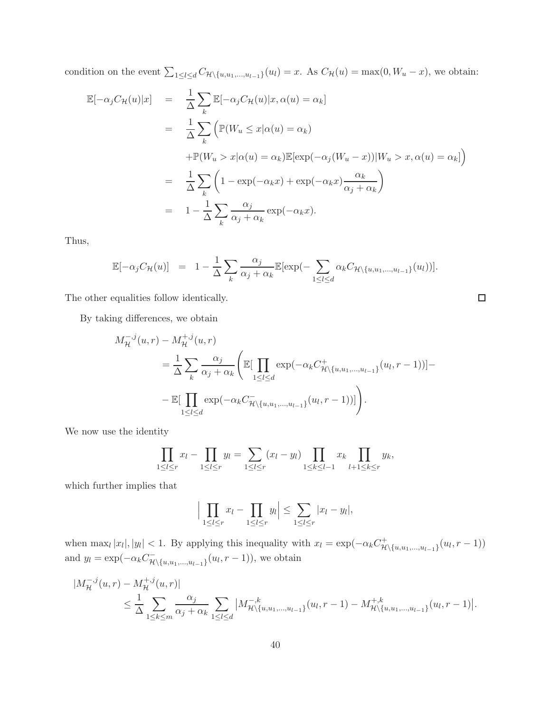condition on the event  $\sum_{1 \leq l \leq d} C_{\mathcal{H} \setminus \{u, u_1, \dots, u_{l-1}\}}(u_l) = x$ . As  $C_{\mathcal{H}}(u) = \max(0, W_u - x)$ , we obtain:

$$
\mathbb{E}[-\alpha_j C_{\mathcal{H}}(u)|x] = \frac{1}{\Delta} \sum_{k} \mathbb{E}[-\alpha_j C_{\mathcal{H}}(u)|x, \alpha(u) = \alpha_k]
$$
  
\n
$$
= \frac{1}{\Delta} \sum_{k} \left( \mathbb{P}(W_u \le x | \alpha(u) = \alpha_k) + \mathbb{P}(W_u > x | \alpha(u) = \alpha_k) \mathbb{E}[\exp(-\alpha_j (W_u - x)) | W_u > x, \alpha(u) = \alpha_k] \right)
$$
  
\n
$$
= \frac{1}{\Delta} \sum_{k} \left( 1 - \exp(-\alpha_k x) + \exp(-\alpha_k x) \frac{\alpha_k}{\alpha_j + \alpha_k} \right)
$$
  
\n
$$
= 1 - \frac{1}{\Delta} \sum_{k} \frac{\alpha_j}{\alpha_j + \alpha_k} \exp(-\alpha_k x).
$$

Thus,

$$
\mathbb{E}[-\alpha_j C_{\mathcal{H}}(u)] = 1 - \frac{1}{\Delta} \sum_k \frac{\alpha_j}{\alpha_j + \alpha_k} \mathbb{E}[\exp(-\sum_{1 \leq l \leq d} \alpha_k C_{\mathcal{H} \setminus \{u, u_1, \dots, u_{l-1}\}}(u_l))].
$$

The other equalities follow identically.

$$
\Box
$$

By taking differences, we obtain

$$
M_{\mathcal{H}}^{-,j}(u,r) - M_{\mathcal{H}}^{+,j}(u,r)
$$
  
=  $\frac{1}{\Delta} \sum_{k} \frac{\alpha_j}{\alpha_j + \alpha_k} \left( \mathbb{E}[\prod_{1 \le l \le d} \exp(-\alpha_k C_{\mathcal{H}\backslash\{u, u_1, \dots, u_{l-1}\}}^+(u_l, r-1))] - \mathbb{E}[\prod_{1 \le l \le d} \exp(-\alpha_k C_{\mathcal{H}\backslash\{u, u_1, \dots, u_{l-1}\}}^-(u_l, r-1))] \right).$ 

We now use the identity

$$
\prod_{1 \leq l \leq r} x_l - \prod_{1 \leq l \leq r} y_l = \sum_{1 \leq l \leq r} (x_l - y_l) \prod_{1 \leq k \leq l-1} x_k \prod_{l+1 \leq k \leq r} y_k,
$$

which further implies that

$$
\Big|\prod_{1\leq l\leq r}x_l-\prod_{1\leq l\leq r}y_l\Big|\leq \sum_{1\leq l\leq r}|x_l-y_l|,
$$

when  $\max_l |x_l|, |y_l| < 1$ . By applying this inequality with  $x_l = \exp(-\alpha_k C_H^+)$  $\pi^+_{\mathcal{H}\setminus\{u,u_1,...,u_{l-1}\}}(u_l,r-1))$ and  $y_l = \exp(-\alpha_k C_{\mathcal{H}\backslash\{u,u_1,\dots,u_{l-1}\}}^{-1}(u_l, r-1))$ , we obtain

$$
|M_{\mathcal{H}}^{-,j}(u,r) - M_{\mathcal{H}}^{+,j}(u,r)|
$$
  
\n
$$
\leq \frac{1}{\Delta} \sum_{1 \leq k \leq m} \frac{\alpha_j}{\alpha_j + \alpha_k} \sum_{1 \leq l \leq d} |M_{\mathcal{H}}^{-,k}_{\{\{u,u_1,\dots,u_{l-1}\}}}(u_l,r-1) - M_{\mathcal{H}}^{+,k}_{\{\{u,u_1,\dots,u_{l-1}\}}}(u_l,r-1)|.
$$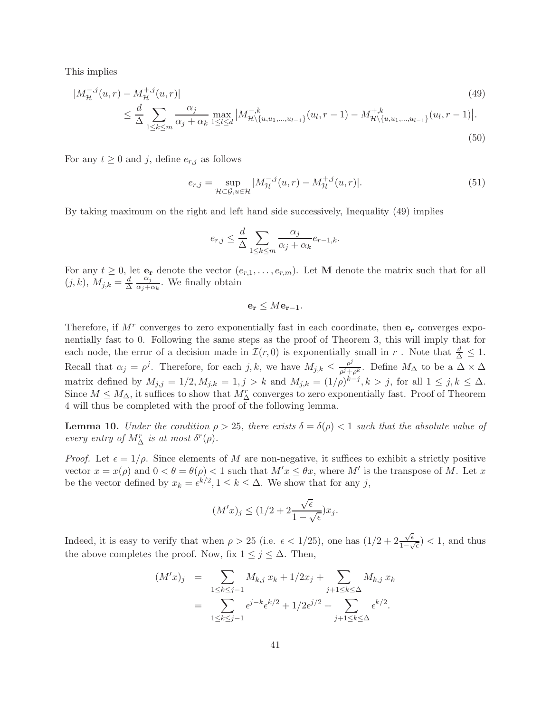This implies

$$
|M_{\mathcal{H}}^{-,j}(u,r) - M_{\mathcal{H}}^{+,j}(u,r)|
$$
\n
$$
\leq \frac{d}{\Delta} \sum_{1 \leq k \leq m} \frac{\alpha_j}{\alpha_j + \alpha_k} \max_{1 \leq l \leq d} |M_{\mathcal{H}\backslash\{u, u_1, \dots, u_{l-1}\}}^{-,k}(u_l, r-1) - M_{\mathcal{H}\backslash\{u, u_1, \dots, u_{l-1}\}}^{-,k}(u_l, r-1)|.
$$
\n(49)

For any  $t \geq 0$  and j, define  $e_{r,j}$  as follows

$$
e_{r,j} = \sup_{\mathcal{H} \subset \mathcal{G}, u \in \mathcal{H}} |M_{\mathcal{H}}^{-,j}(u, r) - M_{\mathcal{H}}^{+,j}(u, r)|.
$$
 (51)

By taking maximum on the right and left hand side successively, Inequality (49) implies

$$
e_{r,j} \le \frac{d}{\Delta} \sum_{1 \le k \le m} \frac{\alpha_j}{\alpha_j + \alpha_k} e_{r-1,k}.
$$

For any  $t \geq 0$ , let  $e_r$  denote the vector  $(e_{r,1},\ldots,e_{r,m})$ . Let M denote the matrix such that for all  $(j, k), M_{j,k} = \frac{d}{\Delta}$  $\alpha_j$  $\frac{\alpha_j}{\alpha_j+\alpha_k}$ . We finally obtain

$$
\mathbf{e_r} \leq M\mathbf{e_{r-1}}.
$$

Therefore, if  $M^r$  converges to zero exponentially fast in each coordinate, then  $e_r$  converges exponentially fast to 0. Following the same steps as the proof of Theorem 3, this will imply that for each node, the error of a decision made in  $\mathcal{I}(r, 0)$  is exponentially small in r. Note that  $\frac{d}{\Delta} \leq 1$ . Recall that  $\alpha_j = \rho^j$ . Therefore, for each j, k, we have  $M_{j,k} \leq \frac{\rho^j}{\rho^j + 1}$  $\frac{\rho^{\nu}}{\rho^j+\rho^k}$ . Define  $M_{\Delta}$  to be a  $\Delta \times \Delta$ matrix defined by  $M_{j,j} = 1/2, M_{j,k} = 1, j > k$  and  $M_{j,k} = (1/\rho)^{k-j}, k > j$ , for all  $1 \le j, k \le \Delta$ . Since  $M \leq M_{\Delta}$ , it suffices to show that  $M_{\Delta}^r$  converges to zero exponentially fast. Proof of Theorem 4 will thus be completed with the proof of the following lemma.

**Lemma 10.** *Under the condition*  $\rho > 25$ *, there exists*  $\delta = \delta(\rho) < 1$  *such that the absolute value of every entry of*  $M_{\Delta}^{r}$  *is at most*  $\delta^{r}(\rho)$ *.* 

*Proof.* Let  $\epsilon = 1/\rho$ . Since elements of M are non-negative, it suffices to exhibit a strictly positive vector  $x = x(\rho)$  and  $0 < \theta = \theta(\rho) < 1$  such that  $M'x \le \theta x$ , where M' is the transpose of M. Let x be the vector defined by  $x_k = \epsilon^{k/2}, 1 \le k \le \Delta$ . We show that for any j,

$$
(M'x)_j \le (1/2 + 2\frac{\sqrt{\epsilon}}{1 - \sqrt{\epsilon}})x_j.
$$

Indeed, it is easy to verify that when  $\rho > 25$  (i.e.  $\epsilon < 1/25$ ), one has  $(1/2 + 2\frac{\sqrt{\epsilon}}{1-\epsilon})$  $\frac{\sqrt{\epsilon}}{1-\sqrt{\epsilon}}$  > (1, and thus the above completes the proof. Now, fix  $1 \leq j \leq \Delta$ . Then,

$$
(M'x)_j = \sum_{1 \le k \le j-1} M_{k,j} x_k + 1/2x_j + \sum_{j+1 \le k \le \Delta} M_{k,j} x_k
$$
  
= 
$$
\sum_{1 \le k \le j-1} \epsilon^{j-k} \epsilon^{k/2} + 1/2 \epsilon^{j/2} + \sum_{j+1 \le k \le \Delta} \epsilon^{k/2}.
$$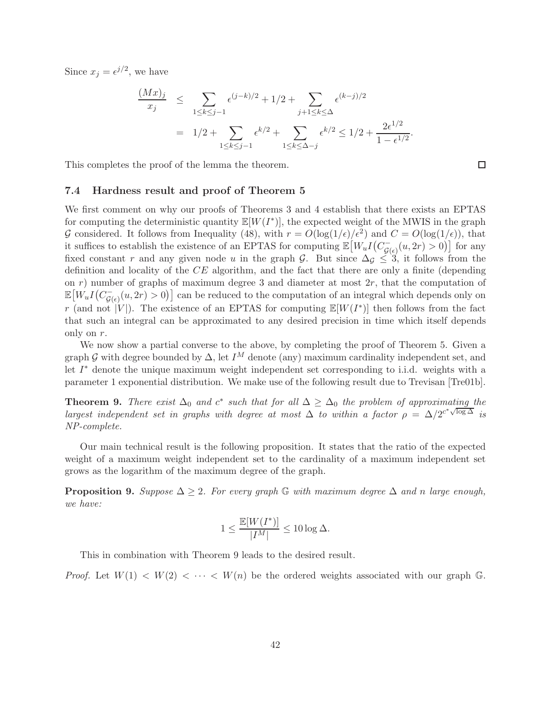Since  $x_j = e^{j/2}$ , we have

$$
\frac{(Mx)_j}{x_j} \leq \sum_{1 \leq k \leq j-1} \epsilon^{(j-k)/2} + 1/2 + \sum_{j+1 \leq k \leq \Delta} \epsilon^{(k-j)/2}
$$
  
=  $1/2 + \sum_{1 \leq k \leq j-1} \epsilon^{k/2} + \sum_{1 \leq k \leq \Delta - j} \epsilon^{k/2} \leq 1/2 + \frac{2\epsilon^{1/2}}{1 - \epsilon^{1/2}}.$ 

This completes the proof of the lemma the theorem.

### 7.4 Hardness result and proof of Theorem 5

We first comment on why our proofs of Theorems 3 and 4 establish that there exists an EPTAS for computing the deterministic quantity  $\mathbb{E}[W(I^*)]$ , the expected weight of the MWIS in the graph G considered. It follows from Inequality (48), with  $r = O(\log(1/\epsilon)/\epsilon^2)$  and  $C = O(\log(1/\epsilon))$ , that it suffices to establish the existence of an EPTAS for computing  $\mathbb{E}\big[W_uI(C_{G(\epsilon)}^-(u,2r)>0\big)\big]$  for any fixed constant r and any given node u in the graph G. But since  $\Delta_{\mathcal{G}} \leq 3$ , it follows from the definition and locality of the CE algorithm, and the fact that there are only a finite (depending on  $r$ ) number of graphs of maximum degree 3 and diameter at most  $2r$ , that the computation of  $\mathbb{E}[W_u I(C^-_{\mathcal{G}(\epsilon)}(u, 2r) > 0)]$  can be reduced to the computation of an integral which depends only on r (and not  $|V|$ ). The existence of an EPTAS for computing  $\mathbb{E}[W(I^*)]$  then follows from the fact that such an integral can be approximated to any desired precision in time which itself depends only on r.

We now show a partial converse to the above, by completing the proof of Theorem 5. Given a graph G with degree bounded by  $\Delta$ , let I<sup>M</sup> denote (any) maximum cardinality independent set, and let I ∗ denote the unique maximum weight independent set corresponding to i.i.d. weights with a parameter 1 exponential distribution. We make use of the following result due to Trevisan [Tre01b].

**Theorem 9.** There exist  $\Delta_0$  and  $c^*$  such that for all  $\Delta \geq \Delta_0$  the problem of approximating the *largest independent set in graphs with degree at most*  $\Delta$  *to within a factor*  $\rho = \Delta/2^{c^* \sqrt{\log \Delta}}$  *is NP-complete.*

Our main technical result is the following proposition. It states that the ratio of the expected weight of a maximum weight independent set to the cardinality of a maximum independent set grows as the logarithm of the maximum degree of the graph.

**Proposition 9.** Suppose  $\Delta \geq 2$ . For every graph G with maximum degree  $\Delta$  and n large enough, *we have:*

$$
1 \leq \frac{\mathbb{E}[W(I^*)]}{|I^M|} \leq 10\log \Delta.
$$

This in combination with Theorem 9 leads to the desired result.

*Proof.* Let  $W(1) < W(2) < \cdots < W(n)$  be the ordered weights associated with our graph G.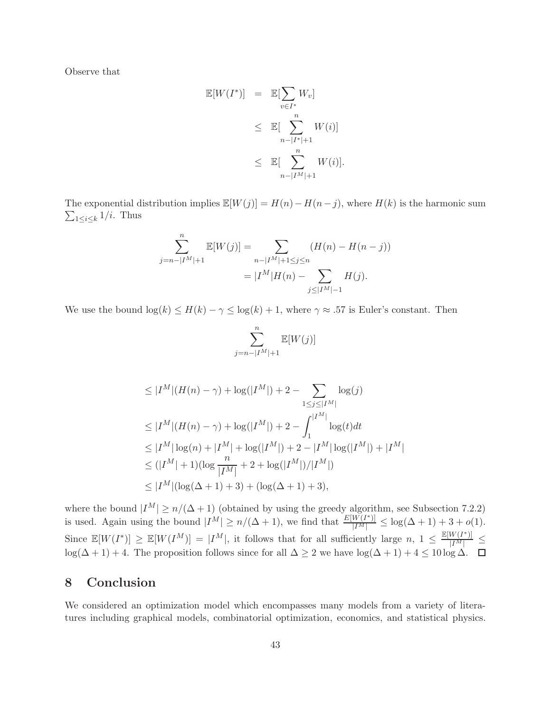Observe that

$$
\mathbb{E}[W(I^*)] = \mathbb{E}[\sum_{v \in I^*} W_v]
$$
  
\n
$$
\leq \mathbb{E}[\sum_{n-|I^*|+1}^{n} W(i)]
$$
  
\n
$$
\leq \mathbb{E}[\sum_{n-|I^M|+1}^{n} W(i)].
$$

The exponential distribution implies  $\mathbb{E}[W(j)] = H(n) - H(n-j)$ , where  $H(k)$  is the harmonic sum  $\sum_{1 \leq i \leq k} 1/i$ . Thus

$$
\sum_{j=n-|I^M|+1}^{n} \mathbb{E}[W(j)] = \sum_{n-|I^M|+1 \le j \le n} (H(n) - H(n-j))
$$

$$
= |I^M|H(n) - \sum_{j \le |I^M| - 1} H(j).
$$

We use the bound  $\log(k) \le H(k) - \gamma \le \log(k) + 1$ , where  $\gamma \approx .57$  is Euler's constant. Then

$$
\sum_{j=n-|I^M|+1}^{n} \mathbb{E}[W(j)]
$$

$$
\leq |I^M|(H(n) - \gamma) + \log(|I^M|) + 2 - \sum_{1 \leq j \leq |I^M|} \log(j)
$$
  
\n
$$
\leq |I^M|(H(n) - \gamma) + \log(|I^M|) + 2 - \int_1^{|I^M|} \log(t)dt
$$
  
\n
$$
\leq |I^M| \log(n) + |I^M| + \log(|I^M|) + 2 - |I^M| \log(|I^M|) + |I^M|
$$
  
\n
$$
\leq (|I^M| + 1)(\log \frac{n}{|I^M|} + 2 + \log(|I^M|)/|I^M|)
$$
  
\n
$$
\leq |I^M| (\log(\Delta + 1) + 3) + (\log(\Delta + 1) + 3),
$$

where the bound  $|I^M| \ge n/(\Delta+1)$  (obtained by using the greedy algorithm, see Subsection 7.2.2) is used. Again using the bound  $|I^M| \ge n/(\Delta+1)$ , we find that  $\frac{E[W(I^*)]}{|I^M|} \le \log(\Delta+1) + 3 + o(1)$ . Since  $\mathbb{E}[W(I^*)] \geq \mathbb{E}[W(I^M)] = |I^M|$ , it follows that for all sufficiently large  $n, 1 \leq \frac{\mathbb{E}[W(I^*)]}{|I^M|}$  $\overline{|I^M|} \geq$  $\log(\Delta + 1) + 4$ . The proposition follows since for all  $\Delta \geq 2$  we have  $\log(\Delta + 1) + 4 \leq 10 \log \Delta$ .

## 8 Conclusion

We considered an optimization model which encompasses many models from a variety of literatures including graphical models, combinatorial optimization, economics, and statistical physics.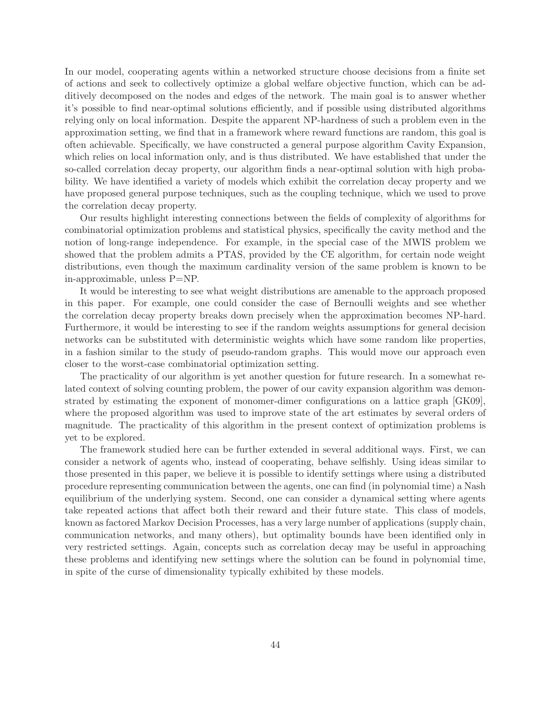In our model, cooperating agents within a networked structure choose decisions from a finite set of actions and seek to collectively optimize a global welfare objective function, which can be additively decomposed on the nodes and edges of the network. The main goal is to answer whether it's possible to find near-optimal solutions efficiently, and if possible using distributed algorithms relying only on local information. Despite the apparent NP-hardness of such a problem even in the approximation setting, we find that in a framework where reward functions are random, this goal is often achievable. Specifically, we have constructed a general purpose algorithm Cavity Expansion, which relies on local information only, and is thus distributed. We have established that under the so-called correlation decay property, our algorithm finds a near-optimal solution with high probability. We have identified a variety of models which exhibit the correlation decay property and we have proposed general purpose techniques, such as the coupling technique, which we used to prove the correlation decay property.

Our results highlight interesting connections between the fields of complexity of algorithms for combinatorial optimization problems and statistical physics, specifically the cavity method and the notion of long-range independence. For example, in the special case of the MWIS problem we showed that the problem admits a PTAS, provided by the CE algorithm, for certain node weight distributions, even though the maximum cardinality version of the same problem is known to be in-approximable, unless P=NP.

It would be interesting to see what weight distributions are amenable to the approach proposed in this paper. For example, one could consider the case of Bernoulli weights and see whether the correlation decay property breaks down precisely when the approximation becomes NP-hard. Furthermore, it would be interesting to see if the random weights assumptions for general decision networks can be substituted with deterministic weights which have some random like properties, in a fashion similar to the study of pseudo-random graphs. This would move our approach even closer to the worst-case combinatorial optimization setting.

The practicality of our algorithm is yet another question for future research. In a somewhat related context of solving counting problem, the power of our cavity expansion algorithm was demonstrated by estimating the exponent of monomer-dimer configurations on a lattice graph [GK09], where the proposed algorithm was used to improve state of the art estimates by several orders of magnitude. The practicality of this algorithm in the present context of optimization problems is yet to be explored.

The framework studied here can be further extended in several additional ways. First, we can consider a network of agents who, instead of cooperating, behave selfishly. Using ideas similar to those presented in this paper, we believe it is possible to identify settings where using a distributed procedure representing communication between the agents, one can find (in polynomial time) a Nash equilibrium of the underlying system. Second, one can consider a dynamical setting where agents take repeated actions that affect both their reward and their future state. This class of models, known as factored Markov Decision Processes, has a very large number of applications (supply chain, communication networks, and many others), but optimality bounds have been identified only in very restricted settings. Again, concepts such as correlation decay may be useful in approaching these problems and identifying new settings where the solution can be found in polynomial time, in spite of the curse of dimensionality typically exhibited by these models.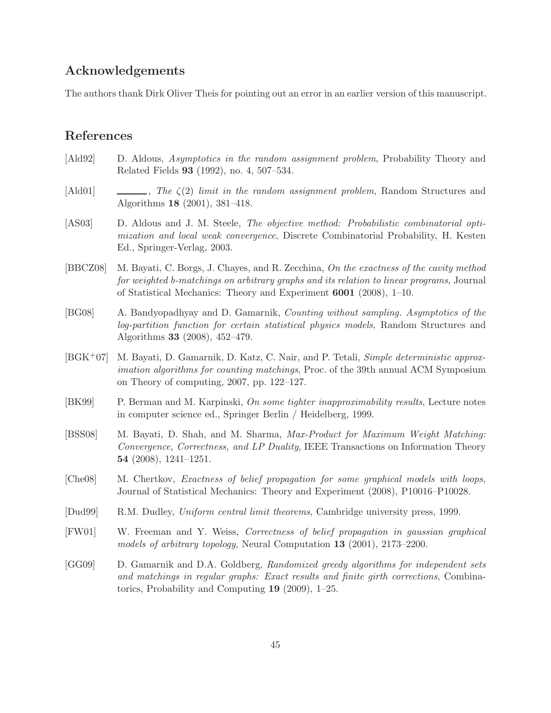### Acknowledgements

The authors thank Dirk Oliver Theis for pointing out an error in an earlier version of this manuscript.

## References

- [Ald92] D. Aldous, *Asymptotics in the random assignment problem*, Probability Theory and Related Fields 93 (1992), no. 4, 507–534.
- [Ald01] , *The* ζ(2) *limit in the random assignment problem*, Random Structures and Algorithms 18 (2001), 381–418.
- [AS03] D. Aldous and J. M. Steele, *The objective method: Probabilistic combinatorial optimization and local weak convergence*, Discrete Combinatorial Probability, H. Kesten Ed., Springer-Verlag, 2003.
- [BBCZ08] M. Bayati, C. Borgs, J. Chayes, and R. Zecchina, *On the exactness of the cavity method for weighted b-matchings on arbitrary graphs and its relation to linear programs*, Journal of Statistical Mechanics: Theory and Experiment 6001 (2008), 1–10.
- [BG08] A. Bandyopadhyay and D. Gamarnik, *Counting without sampling. Asymptotics of the log-partition function for certain statistical physics models*, Random Structures and Algorithms 33 (2008), 452–479.
- [BGK+07] M. Bayati, D. Gamarnik, D. Katz, C. Nair, and P. Tetali, *Simple deterministic approximation algorithms for counting matchings*, Proc. of the 39th annual ACM Symposium on Theory of computing, 2007, pp. 122–127.
- [BK99] P. Berman and M. Karpinski, *On some tighter inapproximability results*, Lecture notes in computer science ed., Springer Berlin / Heidelberg, 1999.
- [BSS08] M. Bayati, D. Shah, and M. Sharma, *Max-Product for Maximum Weight Matching: Convergence, Correctness, and LP Duality*, IEEE Transactions on Information Theory 54 (2008), 1241–1251.
- [Che08] M. Chertkov, *Exactness of belief propagation for some graphical models with loops*, Journal of Statistical Mechanics: Theory and Experiment (2008), P10016–P10028.
- [Dud99] R.M. Dudley, *Uniform central limit theorems*, Cambridge university press, 1999.
- [FW01] W. Freeman and Y. Weiss, *Correctness of belief propagation in gaussian graphical models of arbitrary topology*, Neural Computation 13 (2001), 2173–2200.
- [GG09] D. Gamarnik and D.A. Goldberg, *Randomized greedy algorithms for independent sets and matchings in regular graphs: Exact results and finite girth corrections*, Combinatorics, Probability and Computing 19 (2009), 1–25.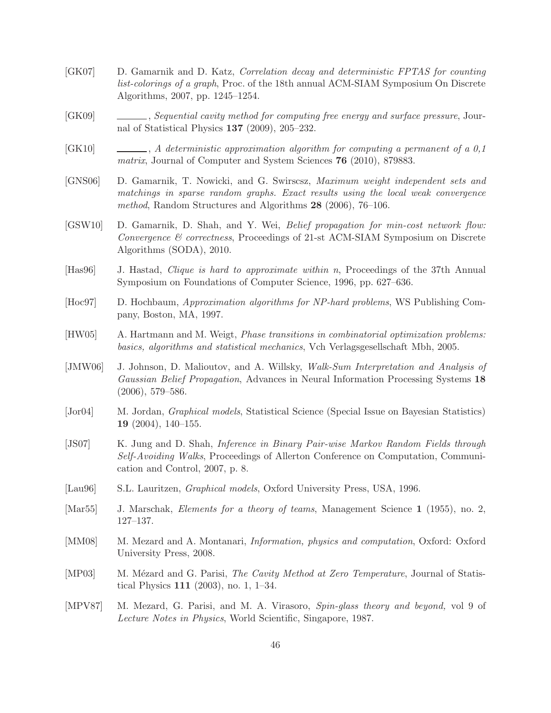- [GK07] D. Gamarnik and D. Katz, *Correlation decay and deterministic FPTAS for counting list-colorings of a graph*, Proc. of the 18th annual ACM-SIAM Symposium On Discrete Algorithms, 2007, pp. 1245–1254.
- [GK09] , *Sequential cavity method for computing free energy and surface pressure*, Journal of Statistical Physics 137 (2009), 205–232.
- [GK10] , *A deterministic approximation algorithm for computing a permanent of a 0,1 matrix*, Journal of Computer and System Sciences 76 (2010), 879883.
- [GNS06] D. Gamarnik, T. Nowicki, and G. Swirscsz, *Maximum weight independent sets and matchings in sparse random graphs. Exact results using the local weak convergence method*, Random Structures and Algorithms 28 (2006), 76–106.
- [GSW10] D. Gamarnik, D. Shah, and Y. Wei, *Belief propagation for min-cost network flow: Convergence & correctness*, Proceedings of 21-st ACM-SIAM Symposium on Discrete Algorithms (SODA), 2010.
- [Has96] J. Hastad, *Clique is hard to approximate within n*, Proceedings of the 37th Annual Symposium on Foundations of Computer Science, 1996, pp. 627–636.
- [Hoc97] D. Hochbaum, *Approximation algorithms for NP-hard problems*, WS Publishing Company, Boston, MA, 1997.
- [HW05] A. Hartmann and M. Weigt, *Phase transitions in combinatorial optimization problems: basics, algorithms and statistical mechanics*, Vch Verlagsgesellschaft Mbh, 2005.
- [JMW06] J. Johnson, D. Malioutov, and A. Willsky, *Walk-Sum Interpretation and Analysis of Gaussian Belief Propagation*, Advances in Neural Information Processing Systems 18 (2006), 579–586.
- [Jor04] M. Jordan, *Graphical models*, Statistical Science (Special Issue on Bayesian Statistics) 19 (2004), 140–155.
- [JS07] K. Jung and D. Shah, *Inference in Binary Pair-wise Markov Random Fields through Self-Avoiding Walks*, Proceedings of Allerton Conference on Computation, Communication and Control, 2007, p. 8.
- [Lau96] S.L. Lauritzen, *Graphical models*, Oxford University Press, USA, 1996.
- [Mar55] J. Marschak, *Elements for a theory of teams*, Management Science 1 (1955), no. 2, 127–137.
- [MM08] M. Mezard and A. Montanari, *Information, physics and computation*, Oxford: Oxford University Press, 2008.
- [MP03] M. Mézard and G. Parisi, *The Cavity Method at Zero Temperature*, Journal of Statistical Physics 111 (2003), no. 1, 1–34.
- [MPV87] M. Mezard, G. Parisi, and M. A. Virasoro, *Spin-glass theory and beyond,* vol 9 of *Lecture Notes in Physics*, World Scientific, Singapore, 1987.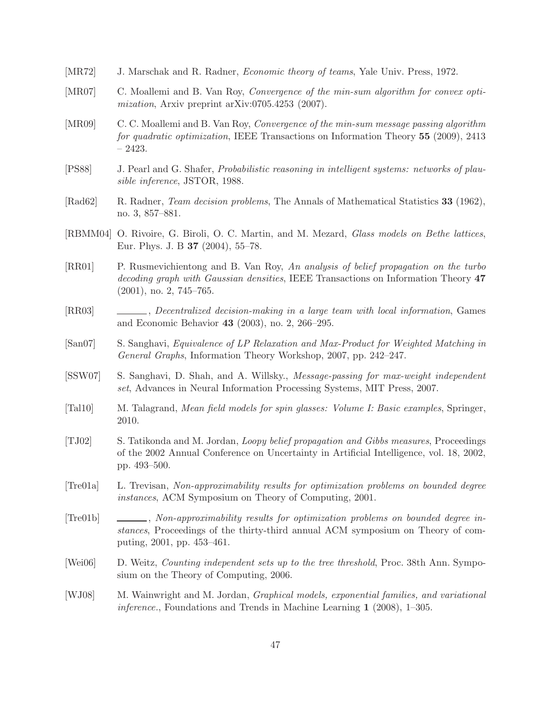- [MR72] J. Marschak and R. Radner, *Economic theory of teams*, Yale Univ. Press, 1972.
- [MR07] C. Moallemi and B. Van Roy, *Convergence of the min-sum algorithm for convex optimization*, Arxiv preprint arXiv:0705.4253 (2007).
- [MR09] C. C. Moallemi and B. Van Roy, *Convergence of the min-sum message passing algorithm for quadratic optimization*, IEEE Transactions on Information Theory 55 (2009), 2413 – 2423.
- [PS88] J. Pearl and G. Shafer, *Probabilistic reasoning in intelligent systems: networks of plausible inference*, JSTOR, 1988.
- [Rad62] R. Radner, *Team decision problems*, The Annals of Mathematical Statistics 33 (1962), no. 3, 857–881.
- [RBMM04] O. Rivoire, G. Biroli, O. C. Martin, and M. Mezard, *Glass models on Bethe lattices*, Eur. Phys. J. B 37 (2004), 55–78.
- [RR01] P. Rusmevichientong and B. Van Roy, *An analysis of belief propagation on the turbo decoding graph with Gaussian densities*, IEEE Transactions on Information Theory 47 (2001), no. 2, 745–765.
- [RR03] , *Decentralized decision-making in a large team with local information*, Games and Economic Behavior 43 (2003), no. 2, 266–295.
- [San07] S. Sanghavi, *Equivalence of LP Relaxation and Max-Product for Weighted Matching in General Graphs*, Information Theory Workshop, 2007, pp. 242–247.
- [SSW07] S. Sanghavi, D. Shah, and A. Willsky., *Message-passing for max-weight independent set*, Advances in Neural Information Processing Systems, MIT Press, 2007.
- [Tal10] M. Talagrand, *Mean field models for spin glasses: Volume I: Basic examples*, Springer, 2010.
- [TJ02] S. Tatikonda and M. Jordan, *Loopy belief propagation and Gibbs measures*, Proceedings of the 2002 Annual Conference on Uncertainty in Artificial Intelligence, vol. 18, 2002, pp. 493–500.
- [Tre01a] L. Trevisan, *Non-approximability results for optimization problems on bounded degree instances*, ACM Symposium on Theory of Computing, 2001.
- [Tre01b] , *Non-approximability results for optimization problems on bounded degree instances*, Proceedings of the thirty-third annual ACM symposium on Theory of computing, 2001, pp. 453–461.
- [Wei06] D. Weitz, *Counting independent sets up to the tree threshold*, Proc. 38th Ann. Symposium on the Theory of Computing, 2006.
- [WJ08] M. Wainwright and M. Jordan, *Graphical models, exponential families, and variational inference.*, Foundations and Trends in Machine Learning 1 (2008), 1–305.